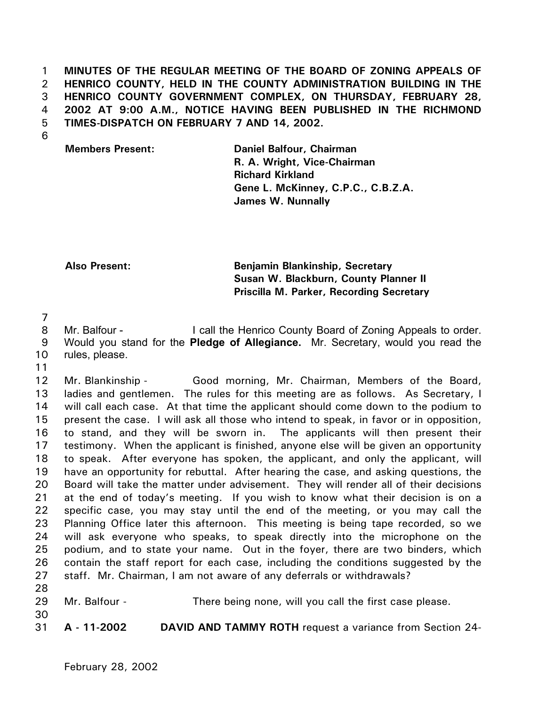1 2 3 4 5 **MINUTES OF THE REGULAR MEETING OF THE BOARD OF ZONING APPEALS OF HENRICO COUNTY, HELD IN THE COUNTY ADMINISTRATION BUILDING IN THE HENRICO COUNTY GOVERNMENT COMPLEX, ON THURSDAY, FEBRUARY 28, 2002 AT 9:00 A.M., NOTICE HAVING BEEN PUBLISHED IN THE RICHMOND TIMES-DISPATCH ON FEBRUARY 7 AND 14, 2002.** 

6

**Members Present: Daniel Balfour, Chairman R. A. Wright, Vice-Chairman Richard Kirkland Gene L. McKinney, C.P.C., C.B.Z.A. James W. Nunnally**

**Also Present: Benjamin Blankinship, Secretary Susan W. Blackburn, County Planner II Priscilla M. Parker, Recording Secretary** 

7

8 9 Mr. Balfour - I call the Henrico County Board of Zoning Appeals to order. Would you stand for the **Pledge of Allegiance.** Mr. Secretary, would you read the

10 rules, please.

11

30

12 13 14 15 16 17 18 19 20 21 22 23 24 25 26 27 28 Mr. Blankinship - Good morning, Mr. Chairman, Members of the Board, ladies and gentlemen. The rules for this meeting are as follows. As Secretary, I will call each case. At that time the applicant should come down to the podium to present the case. I will ask all those who intend to speak, in favor or in opposition, to stand, and they will be sworn in. The applicants will then present their testimony. When the applicant is finished, anyone else will be given an opportunity to speak. After everyone has spoken, the applicant, and only the applicant, will have an opportunity for rebuttal. After hearing the case, and asking questions, the Board will take the matter under advisement. They will render all of their decisions at the end of today's meeting. If you wish to know what their decision is on a specific case, you may stay until the end of the meeting, or you may call the Planning Office later this afternoon. This meeting is being tape recorded, so we will ask everyone who speaks, to speak directly into the microphone on the podium, and to state your name. Out in the foyer, there are two binders, which contain the staff report for each case, including the conditions suggested by the staff. Mr. Chairman, I am not aware of any deferrals or withdrawals?

29 Mr. Balfour - There being none, will you call the first case please.

31 **A - 11-2002 DAVID AND TAMMY ROTH** request a variance from Section 24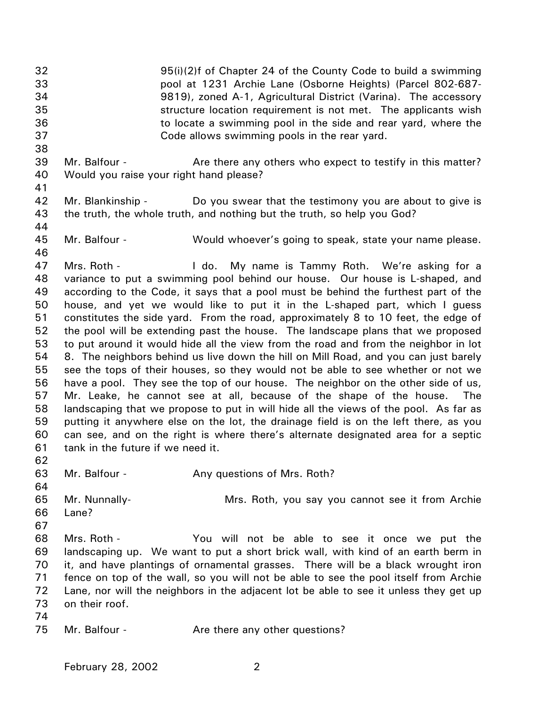32 33 34 35 36 37 38 39 40 41 42 43 44 45 46 47 48 49 50 51 52 53 54 55 56 57 58 59 60 61 62 63 64 65 66 67 68 69 70 71 72 73 74 75 95(i)(2)f of Chapter 24 of the County Code to build a swimming pool at 1231 Archie Lane (Osborne Heights) (Parcel 802-687- 9819), zoned A-1, Agricultural District (Varina). The accessory structure location requirement is not met. The applicants wish to locate a swimming pool in the side and rear yard, where the Code allows swimming pools in the rear yard. Mr. Balfour - **Are there any others who expect to testify in this matter?** Would you raise your right hand please? Mr. Blankinship - Do you swear that the testimony you are about to give is the truth, the whole truth, and nothing but the truth, so help you God? Mr. Balfour - **Would whoever's going to speak, state your name please.** Mrs. Roth - The My name is Tammy Roth. We're asking for a variance to put a swimming pool behind our house. Our house is L-shaped, and according to the Code, it says that a pool must be behind the furthest part of the house, and yet we would like to put it in the L-shaped part, which I guess constitutes the side yard. From the road, approximately 8 to 10 feet, the edge of the pool will be extending past the house. The landscape plans that we proposed to put around it would hide all the view from the road and from the neighbor in lot 8. The neighbors behind us live down the hill on Mill Road, and you can just barely see the tops of their houses, so they would not be able to see whether or not we have a pool. They see the top of our house. The neighbor on the other side of us, Mr. Leake, he cannot see at all, because of the shape of the house. The landscaping that we propose to put in will hide all the views of the pool. As far as putting it anywhere else on the lot, the drainage field is on the left there, as you can see, and on the right is where there's alternate designated area for a septic tank in the future if we need it. Mr. Balfour - **Any questions of Mrs. Roth?** Mr. Nunnally- Mrs. Roth, you say you cannot see it from Archie Lane? Mrs. Roth - The You will not be able to see it once we put the landscaping up. We want to put a short brick wall, with kind of an earth berm in it, and have plantings of ornamental grasses. There will be a black wrought iron fence on top of the wall, so you will not be able to see the pool itself from Archie Lane, nor will the neighbors in the adjacent lot be able to see it unless they get up on their roof. Mr. Balfour - The Are there any other questions?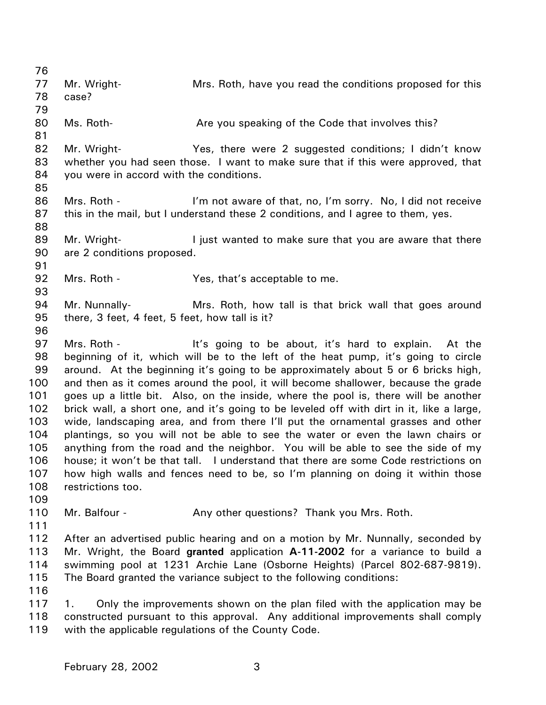| 76       |                                                |                                                                                                                                                                        |
|----------|------------------------------------------------|------------------------------------------------------------------------------------------------------------------------------------------------------------------------|
| 77       | Mr. Wright-                                    | Mrs. Roth, have you read the conditions proposed for this                                                                                                              |
| 78       | case?                                          |                                                                                                                                                                        |
| 79       |                                                |                                                                                                                                                                        |
| 80       | Ms. Roth-                                      | Are you speaking of the Code that involves this?                                                                                                                       |
| 81       |                                                |                                                                                                                                                                        |
| 82       | Mr. Wright-                                    | Yes, there were 2 suggested conditions; I didn't know                                                                                                                  |
| 83       |                                                | whether you had seen those. I want to make sure that if this were approved, that                                                                                       |
| 84       | you were in accord with the conditions.        |                                                                                                                                                                        |
| 85       |                                                |                                                                                                                                                                        |
| 86       | Mrs. Roth -                                    | I'm not aware of that, no, I'm sorry. No, I did not receive                                                                                                            |
| 87       |                                                | this in the mail, but I understand these 2 conditions, and I agree to them, yes.                                                                                       |
| 88       |                                                |                                                                                                                                                                        |
| 89       | Mr. Wright-                                    | I just wanted to make sure that you are aware that there                                                                                                               |
| 90       | are 2 conditions proposed.                     |                                                                                                                                                                        |
| 91       |                                                |                                                                                                                                                                        |
| 92       | Mrs. Roth -                                    | Yes, that's acceptable to me.                                                                                                                                          |
| 93       |                                                |                                                                                                                                                                        |
| 94       | Mr. Nunnally-                                  | Mrs. Roth, how tall is that brick wall that goes around                                                                                                                |
| 95       | there, 3 feet, 4 feet, 5 feet, how tall is it? |                                                                                                                                                                        |
| 96       |                                                |                                                                                                                                                                        |
| 97       | Mrs. Roth -                                    | It's going to be about, it's hard to explain. At the                                                                                                                   |
| 98<br>99 |                                                | beginning of it, which will be to the left of the heat pump, it's going to circle                                                                                      |
| 100      |                                                | around. At the beginning it's going to be approximately about 5 or 6 bricks high,<br>and then as it comes around the pool, it will become shallower, because the grade |
| 101      |                                                | goes up a little bit. Also, on the inside, where the pool is, there will be another                                                                                    |
| 102      |                                                | brick wall, a short one, and it's going to be leveled off with dirt in it, like a large,                                                                               |
| 103      |                                                | wide, landscaping area, and from there I'll put the ornamental grasses and other                                                                                       |
| 104      |                                                | plantings, so you will not be able to see the water or even the lawn chairs or                                                                                         |
| 105      |                                                | anything from the road and the neighbor. You will be able to see the side of my                                                                                        |
| 106      |                                                | house; it won't be that tall. I understand that there are some Code restrictions on                                                                                    |
| 107      |                                                | how high walls and fences need to be, so I'm planning on doing it within those                                                                                         |
| 108      | restrictions too.                              |                                                                                                                                                                        |
| 109      |                                                |                                                                                                                                                                        |
| 110      | Mr. Balfour -                                  | Any other questions? Thank you Mrs. Roth.                                                                                                                              |
| 111      |                                                |                                                                                                                                                                        |
| 112      |                                                | After an advertised public hearing and on a motion by Mr. Nunnally, seconded by                                                                                        |
| 113      |                                                | Mr. Wright, the Board granted application A-11-2002 for a variance to build a                                                                                          |
| 114      |                                                | swimming pool at 1231 Archie Lane (Osborne Heights) (Parcel 802-687-9819).                                                                                             |
| 115      |                                                | The Board granted the variance subject to the following conditions:                                                                                                    |
| 116      |                                                |                                                                                                                                                                        |
| 117      | 1.                                             | Only the improvements shown on the plan filed with the application may be                                                                                              |
| 118      |                                                | constructed pursuant to this approval. Any additional improvements shall comply                                                                                        |
| 119      |                                                | with the applicable regulations of the County Code.                                                                                                                    |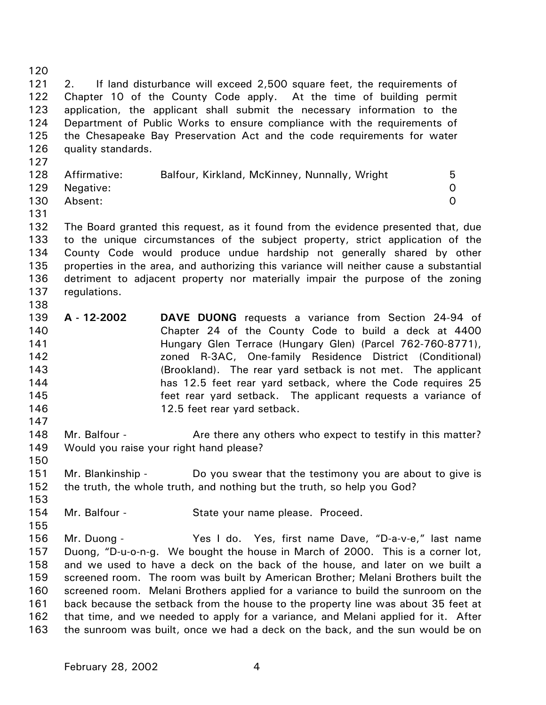120 121 122 123 124 125 126 127 128 129 130 131 132 133 134 135 136 137 138 139 140 141 142 143 144 145 146 147 148 149 150 151 152 153 154 155 156 157 158 159 160 161 162 163 2. If land disturbance will exceed 2,500 square feet, the requirements of Chapter 10 of the County Code apply. At the time of building permit application, the applicant shall submit the necessary information to the Department of Public Works to ensure compliance with the requirements of the Chesapeake Bay Preservation Act and the code requirements for water quality standards. Affirmative: Balfour, Kirkland, McKinney, Nunnally, Wright 5 Negative: 0 Absent: 0 The Board granted this request, as it found from the evidence presented that, due to the unique circumstances of the subject property, strict application of the County Code would produce undue hardship not generally shared by other properties in the area, and authorizing this variance will neither cause a substantial detriment to adjacent property nor materially impair the purpose of the zoning regulations. **A - 12-2002 DAVE DUONG** requests a variance from Section 24-94 of Chapter 24 of the County Code to build a deck at 4400 Hungary Glen Terrace (Hungary Glen) (Parcel 762-760-8771), zoned R-3AC, One-family Residence District (Conditional) (Brookland). The rear yard setback is not met. The applicant has 12.5 feet rear yard setback, where the Code requires 25 feet rear yard setback. The applicant requests a variance of 12.5 feet rear yard setback. Mr. Balfour - Are there any others who expect to testify in this matter? Would you raise your right hand please? Mr. Blankinship - Do you swear that the testimony you are about to give is the truth, the whole truth, and nothing but the truth, so help you God? Mr. Balfour - State your name please. Proceed. Mr. Duong - The Yes I do. Yes, first name Dave, "D-a-v-e," last name Duong, "D-u-o-n-g. We bought the house in March of 2000. This is a corner lot, and we used to have a deck on the back of the house, and later on we built a screened room. The room was built by American Brother; Melani Brothers built the screened room. Melani Brothers applied for a variance to build the sunroom on the back because the setback from the house to the property line was about 35 feet at that time, and we needed to apply for a variance, and Melani applied for it. After the sunroom was built, once we had a deck on the back, and the sun would be on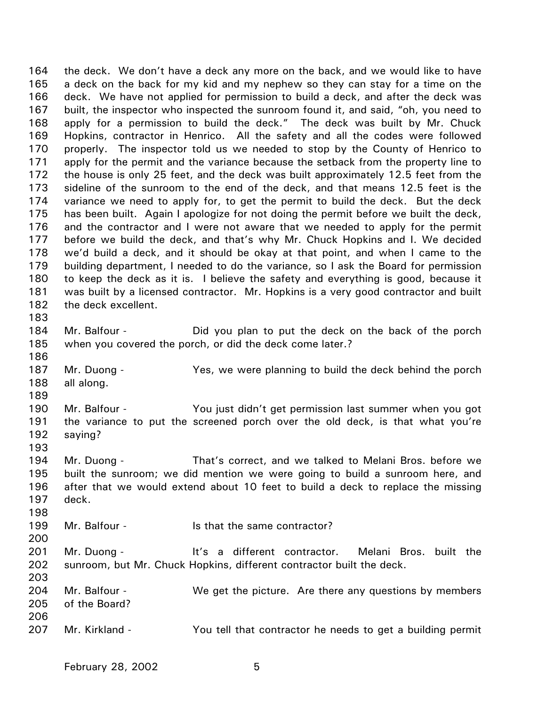164 165 166 167 168 169 170 171 172 173 174 175 176 177 178 179 180 181 182 183 184 185 186 187 188 189 190 191 192 193 194 195 196 197 198 199 200 201 202 203 204 205 206 207 the deck. We don't have a deck any more on the back, and we would like to have a deck on the back for my kid and my nephew so they can stay for a time on the deck. We have not applied for permission to build a deck, and after the deck was built, the inspector who inspected the sunroom found it, and said, "oh, you need to apply for a permission to build the deck." The deck was built by Mr. Chuck Hopkins, contractor in Henrico. All the safety and all the codes were followed properly. The inspector told us we needed to stop by the County of Henrico to apply for the permit and the variance because the setback from the property line to the house is only 25 feet, and the deck was built approximately 12.5 feet from the sideline of the sunroom to the end of the deck, and that means 12.5 feet is the variance we need to apply for, to get the permit to build the deck. But the deck has been built. Again I apologize for not doing the permit before we built the deck, and the contractor and I were not aware that we needed to apply for the permit before we build the deck, and that's why Mr. Chuck Hopkins and I. We decided we'd build a deck, and it should be okay at that point, and when I came to the building department, I needed to do the variance, so I ask the Board for permission to keep the deck as it is. I believe the safety and everything is good, because it was built by a licensed contractor. Mr. Hopkins is a very good contractor and built the deck excellent. Mr. Balfour - **Did** you plan to put the deck on the back of the porch when you covered the porch, or did the deck come later.? Mr. Duong - Yes, we were planning to build the deck behind the porch all along. Mr. Balfour - You just didn't get permission last summer when you got the variance to put the screened porch over the old deck, is that what you're saying? Mr. Duong - That's correct, and we talked to Melani Bros. before we built the sunroom; we did mention we were going to build a sunroom here, and after that we would extend about 10 feet to build a deck to replace the missing deck. Mr. Balfour - The Sthat the same contractor? Mr. Duong - The It's a different contractor. Melani Bros. built the sunroom, but Mr. Chuck Hopkins, different contractor built the deck. Mr. Balfour - We get the picture. Are there any questions by members of the Board? Mr. Kirkland - You tell that contractor he needs to get a building permit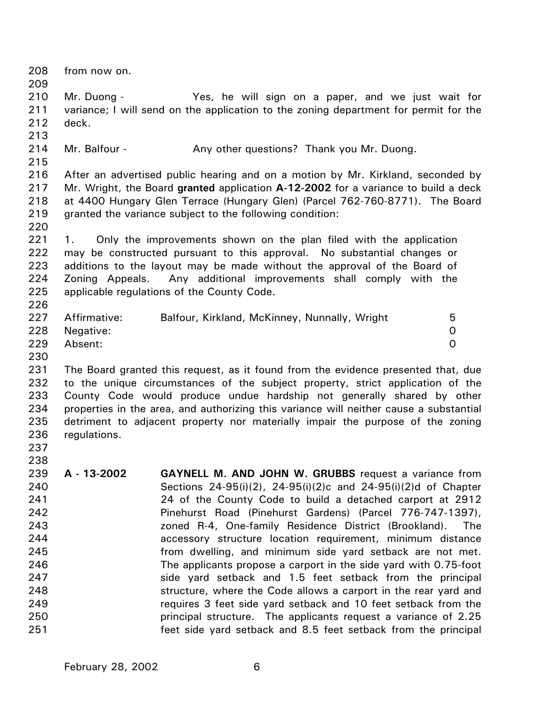| 208<br>209                                                                              | from now on.                         |                                                                                                                                                                                                                                                                                                                                                                                                                                                                                                                                                                                                                                                                                                                                                                                                                                                        |                                 |
|-----------------------------------------------------------------------------------------|--------------------------------------|--------------------------------------------------------------------------------------------------------------------------------------------------------------------------------------------------------------------------------------------------------------------------------------------------------------------------------------------------------------------------------------------------------------------------------------------------------------------------------------------------------------------------------------------------------------------------------------------------------------------------------------------------------------------------------------------------------------------------------------------------------------------------------------------------------------------------------------------------------|---------------------------------|
| 210<br>211<br>212<br>213                                                                | Mr. Duong -<br>deck.                 | Yes, he will sign on a paper, and we just wait for<br>variance; I will send on the application to the zoning department for permit for the                                                                                                                                                                                                                                                                                                                                                                                                                                                                                                                                                                                                                                                                                                             |                                 |
| 214<br>215                                                                              | Mr. Balfour -                        | Any other questions? Thank you Mr. Duong.                                                                                                                                                                                                                                                                                                                                                                                                                                                                                                                                                                                                                                                                                                                                                                                                              |                                 |
| 216<br>217<br>218<br>219<br>220                                                         |                                      | After an advertised public hearing and on a motion by Mr. Kirkland, seconded by<br>Mr. Wright, the Board granted application A-12-2002 for a variance to build a deck<br>at 4400 Hungary Glen Terrace (Hungary Glen) (Parcel 762-760-8771). The Board<br>granted the variance subject to the following condition:                                                                                                                                                                                                                                                                                                                                                                                                                                                                                                                                      |                                 |
| 221<br>222<br>223<br>224<br>225<br>226                                                  | 1.                                   | Only the improvements shown on the plan filed with the application<br>may be constructed pursuant to this approval. No substantial changes or<br>additions to the layout may be made without the approval of the Board of<br>Zoning Appeals. Any additional improvements shall comply with the<br>applicable regulations of the County Code.                                                                                                                                                                                                                                                                                                                                                                                                                                                                                                           |                                 |
| 227<br>228<br>229<br>230                                                                | Affirmative:<br>Negative:<br>Absent: | Balfour, Kirkland, McKinney, Nunnally, Wright                                                                                                                                                                                                                                                                                                                                                                                                                                                                                                                                                                                                                                                                                                                                                                                                          | 5<br>$\mathbf 0$<br>$\mathbf 0$ |
| 231<br>232<br>233<br>234<br>235<br>236<br>237<br>238                                    | regulations.                         | The Board granted this request, as it found from the evidence presented that, due<br>to the unique circumstances of the subject property, strict application of the<br>County Code would produce undue hardship not generally shared by other<br>properties in the area, and authorizing this variance will neither cause a substantial<br>detriment to adjacent property nor materially impair the purpose of the zoning                                                                                                                                                                                                                                                                                                                                                                                                                              |                                 |
| 239<br>240<br>241<br>242<br>243<br>244<br>245<br>246<br>247<br>248<br>249<br>250<br>251 | A - 13-2002                          | <b>GAYNELL M. AND JOHN W. GRUBBS</b> request a variance from<br>Sections 24-95(i)(2), 24-95(i)(2)c and 24-95(i)(2)d of Chapter<br>24 of the County Code to build a detached carport at 2912<br>Pinehurst Road (Pinehurst Gardens) (Parcel 776-747-1397),<br>zoned R-4, One-family Residence District (Brookland).<br>accessory structure location requirement, minimum distance<br>from dwelling, and minimum side yard setback are not met.<br>The applicants propose a carport in the side yard with 0.75-foot<br>side yard setback and 1.5 feet setback from the principal<br>structure, where the Code allows a carport in the rear yard and<br>requires 3 feet side yard setback and 10 feet setback from the<br>principal structure. The applicants request a variance of 2.25<br>feet side yard setback and 8.5 feet setback from the principal | The                             |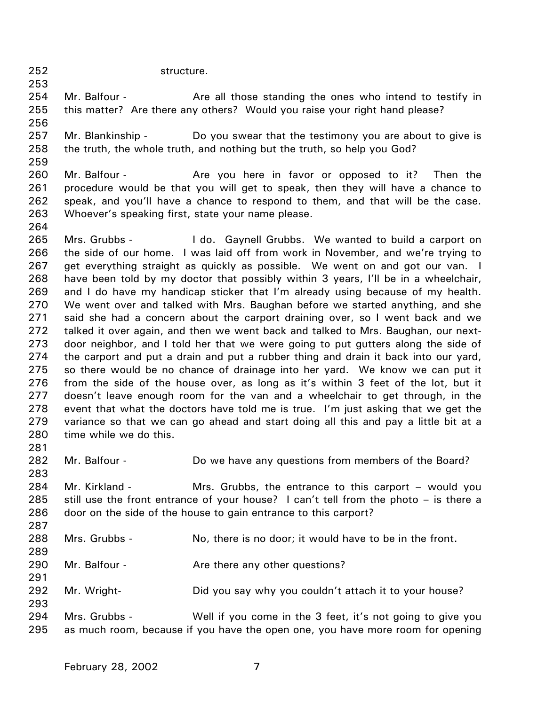252 structure.

259

264

253 254 255 256 Mr. Balfour - The Are all those standing the ones who intend to testify in this matter? Are there any others? Would you raise your right hand please?

- 257 258 Mr. Blankinship - Do you swear that the testimony you are about to give is the truth, the whole truth, and nothing but the truth, so help you God?
- 260 261 262 263 Mr. Balfour - The Are you here in favor or opposed to it? Then the procedure would be that you will get to speak, then they will have a chance to speak, and you'll have a chance to respond to them, and that will be the case. Whoever's speaking first, state your name please.

265 266 267 268 269 270 271 272 273 274 275 276 277 278 279 280 281 Mrs. Grubbs - The Letton Gaynell Grubbs. We wanted to build a carport on the side of our home. I was laid off from work in November, and we're trying to get everything straight as quickly as possible. We went on and got our van. I have been told by my doctor that possibly within 3 years, I'll be in a wheelchair, and I do have my handicap sticker that I'm already using because of my health. We went over and talked with Mrs. Baughan before we started anything, and she said she had a concern about the carport draining over, so I went back and we talked it over again, and then we went back and talked to Mrs. Baughan, our nextdoor neighbor, and I told her that we were going to put gutters along the side of the carport and put a drain and put a rubber thing and drain it back into our yard, so there would be no chance of drainage into her yard. We know we can put it from the side of the house over, as long as it's within 3 feet of the lot, but it doesn't leave enough room for the van and a wheelchair to get through, in the event that what the doctors have told me is true. I'm just asking that we get the variance so that we can go ahead and start doing all this and pay a little bit at a time while we do this.

- 282 283 284 285 286 287 288 289 290 291 292 293 Mr. Balfour - **Do we have any questions from members of the Board?** Mr. Kirkland - The Mrs. Grubbs, the entrance to this carport – would you still use the front entrance of your house? I can't tell from the photo – is there a door on the side of the house to gain entrance to this carport? Mrs. Grubbs - No, there is no door; it would have to be in the front. Mr. Balfour - The Are there any other questions? Mr. Wright- Did you say why you couldn't attach it to your house?
- 294 295 Mrs. Grubbs - Well if you come in the 3 feet, it's not going to give you as much room, because if you have the open one, you have more room for opening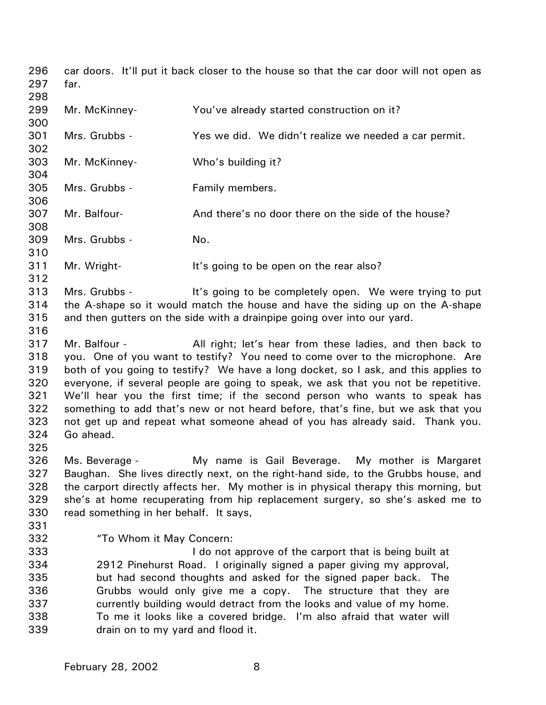296 297 298 299 300 301 302 303 304 305 306 307 308 309 310 311 312 313 314 315 316 317 318 319 320 321 322 323 324 325 326 327 328 329 330 331 332 333 334 335 336 337 338 339 car doors. It'll put it back closer to the house so that the car door will not open as far. Mr. McKinney- You've already started construction on it? Mrs. Grubbs - The Yes we did. We didn't realize we needed a car permit. Mr. McKinney- Who's building it? Mrs. Grubbs - Family members. Mr. Balfour- **And there's no door there on the side of the house?** Mrs. Grubbs - No. Mr. Wright- It's going to be open on the rear also? Mrs. Grubbs - It's going to be completely open. We were trying to put the A-shape so it would match the house and have the siding up on the A-shape and then gutters on the side with a drainpipe going over into our yard. Mr. Balfour - All right; let's hear from these ladies, and then back to you. One of you want to testify? You need to come over to the microphone. Are both of you going to testify? We have a long docket, so I ask, and this applies to everyone, if several people are going to speak, we ask that you not be repetitive. We'll hear you the first time; if the second person who wants to speak has something to add that's new or not heard before, that's fine, but we ask that you not get up and repeat what someone ahead of you has already said. Thank you. Go ahead. Ms. Beverage - My name is Gail Beverage. My mother is Margaret Baughan. She lives directly next, on the right-hand side, to the Grubbs house, and the carport directly affects her. My mother is in physical therapy this morning, but she's at home recuperating from hip replacement surgery, so she's asked me to read something in her behalf. It says, "To Whom it May Concern: I do not approve of the carport that is being built at 2912 Pinehurst Road. I originally signed a paper giving my approval, but had second thoughts and asked for the signed paper back. The Grubbs would only give me a copy. The structure that they are currently building would detract from the looks and value of my home. To me it looks like a covered bridge. I'm also afraid that water will drain on to my yard and flood it.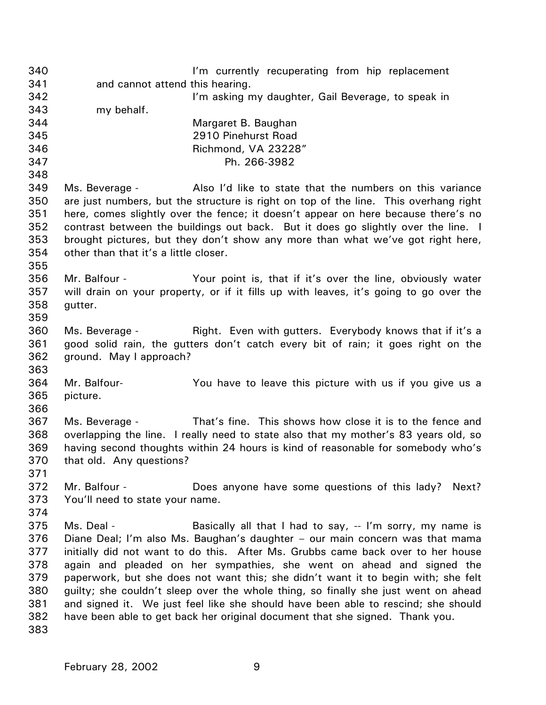340 341 342 343 344 345 346 347 348 349 350 351 352 353 354 355 356 357 358 359 360 361 362 363 364 365 366 367 368 369 370 371 372 373 374 375 376 377 378 379 380 381 382 383 I'm currently recuperating from hip replacement and cannot attend this hearing. I'm asking my daughter, Gail Beverage, to speak in my behalf. Margaret B. Baughan 2910 Pinehurst Road Richmond, VA 23228" Ph. 266-3982 Ms. Beverage - Also I'd like to state that the numbers on this variance are just numbers, but the structure is right on top of the line. This overhang right here, comes slightly over the fence; it doesn't appear on here because there's no contrast between the buildings out back. But it does go slightly over the line. I brought pictures, but they don't show any more than what we've got right here, other than that it's a little closer. Mr. Balfour - Your point is, that if it's over the line, obviously water will drain on your property, or if it fills up with leaves, it's going to go over the gutter. Ms. Beverage - Right. Even with gutters. Everybody knows that if it's a good solid rain, the gutters don't catch every bit of rain; it goes right on the ground. May I approach? Mr. Balfour- You have to leave this picture with us if you give us a picture. Ms. Beverage - That's fine. This shows how close it is to the fence and overlapping the line. I really need to state also that my mother's 83 years old, so having second thoughts within 24 hours is kind of reasonable for somebody who's that old. Any questions? Mr. Balfour - **Does anyone have some questions of this lady?** Next? You'll need to state your name. Ms. Deal - Basically all that I had to say, -- I'm sorry, my name is Diane Deal; I'm also Ms. Baughan's daughter – our main concern was that mama initially did not want to do this. After Ms. Grubbs came back over to her house again and pleaded on her sympathies, she went on ahead and signed the paperwork, but she does not want this; she didn't want it to begin with; she felt guilty; she couldn't sleep over the whole thing, so finally she just went on ahead and signed it. We just feel like she should have been able to rescind; she should have been able to get back her original document that she signed. Thank you.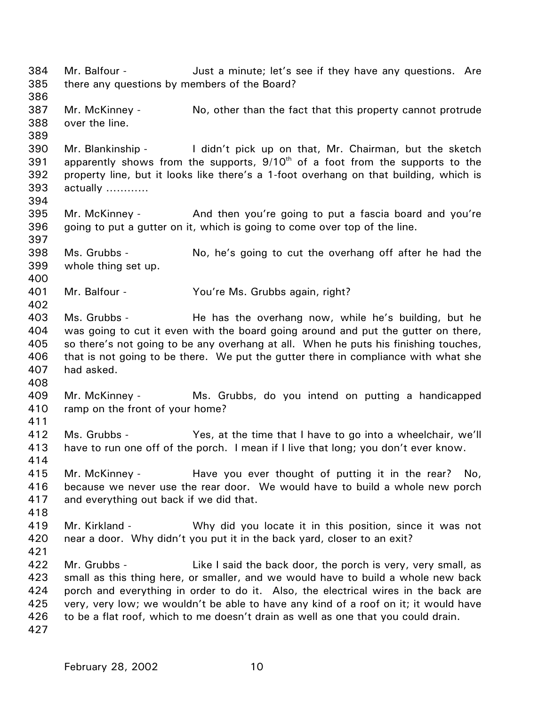384 385 386 387 388 389 390 391 392 393 394 395 396 397 398 399 400 401 402 403 404 405 406 407 408 409 410 411 412 413 414 415 416 417 418 419 420 421 422 423 424 425 426 427 Mr. Balfour - **Just a minute; let's see if they have any questions.** Are there any questions by members of the Board? Mr. McKinney - No, other than the fact that this property cannot protrude over the line. Mr. Blankinship - I didn't pick up on that, Mr. Chairman, but the sketch apparently shows from the supports,  $9/10<sup>th</sup>$  of a foot from the supports to the property line, but it looks like there's a 1-foot overhang on that building, which is actually ………… Mr. McKinney - And then you're going to put a fascia board and you're going to put a gutter on it, which is going to come over top of the line. Ms. Grubbs - No, he's going to cut the overhang off after he had the whole thing set up. Mr. Balfour - You're Ms. Grubbs again, right? Ms. Grubbs - The has the overhang now, while he's building, but he was going to cut it even with the board going around and put the gutter on there, so there's not going to be any overhang at all. When he puts his finishing touches, that is not going to be there. We put the gutter there in compliance with what she had asked. Mr. McKinney - Ms. Grubbs, do you intend on putting a handicapped ramp on the front of your home? Ms. Grubbs - Yes, at the time that I have to go into a wheelchair, we'll have to run one off of the porch. I mean if I live that long; you don't ever know. Mr. McKinney - Have you ever thought of putting it in the rear? No, because we never use the rear door. We would have to build a whole new porch and everything out back if we did that. Mr. Kirkland - Why did you locate it in this position, since it was not near a door. Why didn't you put it in the back yard, closer to an exit? Mr. Grubbs - The Like I said the back door, the porch is very, very small, as small as this thing here, or smaller, and we would have to build a whole new back porch and everything in order to do it. Also, the electrical wires in the back are very, very low; we wouldn't be able to have any kind of a roof on it; it would have to be a flat roof, which to me doesn't drain as well as one that you could drain.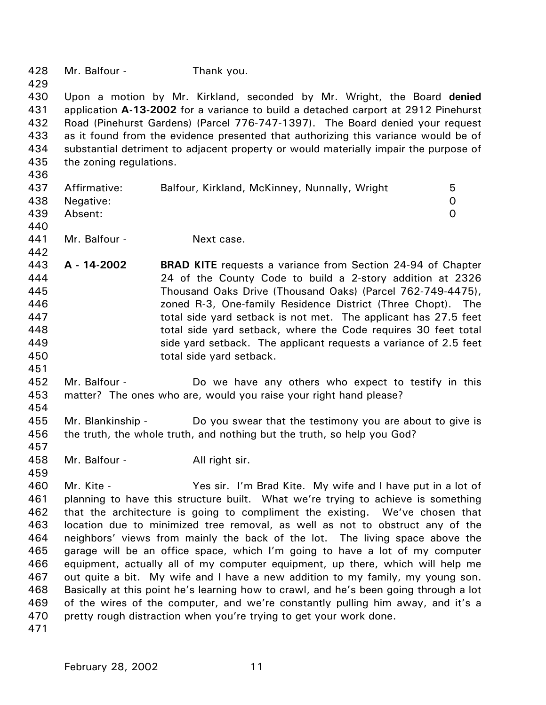428 429 430 431 432 433 434 435 436 437 438 439 440 441 442 443 444 445 446 447 448 449 450 451 452 453 454 455 456 457 458 459 460 461 462 463 464 465 466 467 468 469 470 471 Mr. Balfour - Thank you. Upon a motion by Mr. Kirkland, seconded by Mr. Wright, the Board **denied** application **A-13-2002** for a variance to build a detached carport at 2912 Pinehurst Road (Pinehurst Gardens) (Parcel 776-747-1397). The Board denied your request as it found from the evidence presented that authorizing this variance would be of substantial detriment to adjacent property or would materially impair the purpose of the zoning regulations. Affirmative: Balfour, Kirkland, McKinney, Nunnally, Wright 5 Negative: 0 Absent: 0 Mr. Balfour - Next case. **A - 14-2002 BRAD KITE** requests a variance from Section 24-94 of Chapter 24 of the County Code to build a 2-story addition at 2326 Thousand Oaks Drive (Thousand Oaks) (Parcel 762-749-4475), zoned R-3, One-family Residence District (Three Chopt). The total side yard setback is not met. The applicant has 27.5 feet total side yard setback, where the Code requires 30 feet total side yard setback. The applicant requests a variance of 2.5 feet total side yard setback. Mr. Balfour - The Do we have any others who expect to testify in this matter? The ones who are, would you raise your right hand please? Mr. Blankinship - Do you swear that the testimony you are about to give is the truth, the whole truth, and nothing but the truth, so help you God? Mr. Balfour - All right sir. Mr. Kite - Yes sir. I'm Brad Kite. My wife and I have put in a lot of planning to have this structure built. What we're trying to achieve is something that the architecture is going to compliment the existing. We've chosen that location due to minimized tree removal, as well as not to obstruct any of the neighbors' views from mainly the back of the lot. The living space above the garage will be an office space, which I'm going to have a lot of my computer equipment, actually all of my computer equipment, up there, which will help me out quite a bit. My wife and I have a new addition to my family, my young son. Basically at this point he's learning how to crawl, and he's been going through a lot of the wires of the computer, and we're constantly pulling him away, and it's a pretty rough distraction when you're trying to get your work done.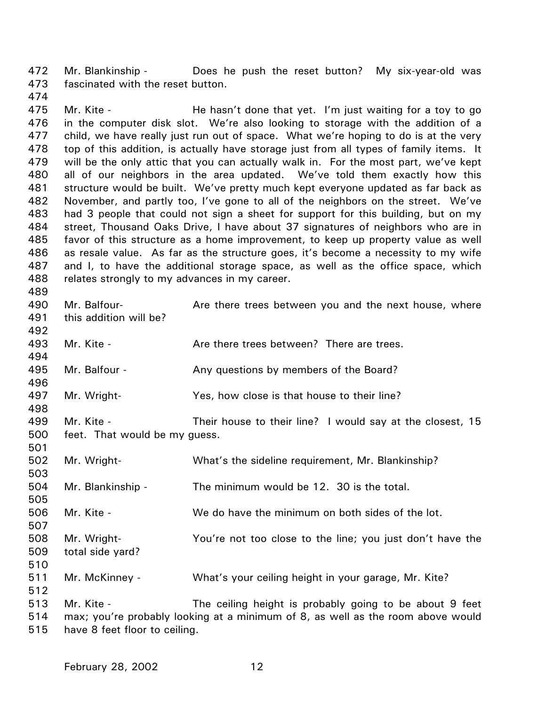472 473 Mr. Blankinship - Does he push the reset button? My six-year-old was fascinated with the reset button.

475 476 477 478 479 480 481 482 483 484 485 486 487 488 Mr. Kite - **He hasn't done that yet.** I'm just waiting for a toy to go in the computer disk slot. We're also looking to storage with the addition of a child, we have really just run out of space. What we're hoping to do is at the very top of this addition, is actually have storage just from all types of family items. It will be the only attic that you can actually walk in. For the most part, we've kept all of our neighbors in the area updated. We've told them exactly how this structure would be built. We've pretty much kept everyone updated as far back as November, and partly too, I've gone to all of the neighbors on the street. We've had 3 people that could not sign a sheet for support for this building, but on my street, Thousand Oaks Drive, I have about 37 signatures of neighbors who are in favor of this structure as a home improvement, to keep up property value as well as resale value. As far as the structure goes, it's become a necessity to my wife and I, to have the additional storage space, as well as the office space, which relates strongly to my advances in my career.

- 490 491 492 Mr. Balfour- **Are there trees between you and the next house, where** this addition will be?
- 493 494 Mr. Kite - There is a Are there trees between? There are trees.
- 495 Mr. Balfour - The Any questions by members of the Board?
- 497 Mr. Wright- Yes, how close is that house to their line?
- 499 500 Mr. Kite - Their house to their line? I would say at the closest, 15 feet. That would be my guess.
- 502 503 504 505 506 507 508 509 510 511 512 513 Mr. Wright- What's the sideline requirement, Mr. Blankinship? Mr. Blankinship - The minimum would be 12. 30 is the total. Mr. Kite - We do have the minimum on both sides of the lot. Mr. Wright- You're not too close to the line; you just don't have the total side yard? Mr. McKinney - What's your ceiling height in your garage, Mr. Kite? Mr. Kite - The ceiling height is probably going to be about 9 feet
- 514 515 max; you're probably looking at a minimum of 8, as well as the room above would have 8 feet floor to ceiling.

474

489

496

498

501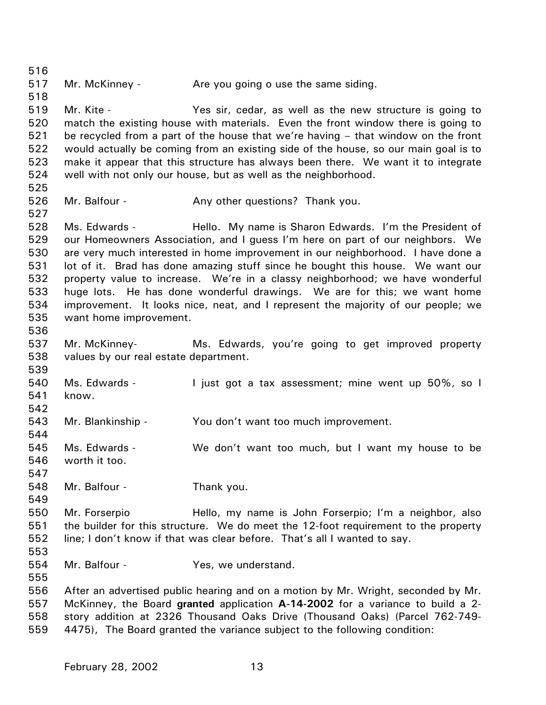516 517 518 519 520 521 522 523 524 525 526 527 528 529 530 531 532 533 534 535 536 537 538 539 540 541 542 543 544 545 546 547 548 549 550 551 552 553 554 555 556 557 558 559 Mr. McKinney - The you going o use the same siding. Mr. Kite - Yes sir, cedar, as well as the new structure is going to match the existing house with materials. Even the front window there is going to be recycled from a part of the house that we're having – that window on the front would actually be coming from an existing side of the house, so our main goal is to make it appear that this structure has always been there. We want it to integrate well with not only our house, but as well as the neighborhood. Mr. Balfour - Any other questions? Thank you. Ms. Edwards - Thello. My name is Sharon Edwards. I'm the President of our Homeowners Association, and I guess I'm here on part of our neighbors. We are very much interested in home improvement in our neighborhood. I have done a lot of it. Brad has done amazing stuff since he bought this house. We want our property value to increase. We're in a classy neighborhood; we have wonderful huge lots. He has done wonderful drawings. We are for this; we want home improvement. It looks nice, neat, and I represent the majority of our people; we want home improvement. Mr. McKinney- Ms. Edwards, you're going to get improved property values by our real estate department. Ms. Edwards - Tiust got a tax assessment; mine went up 50%, so I know. Mr. Blankinship - You don't want too much improvement. Ms. Edwards - We don't want too much, but I want my house to be worth it too. Mr. Balfour - Thank you. Mr. Forserpio Hello, my name is John Forserpio; I'm a neighbor, also the builder for this structure. We do meet the 12-foot requirement to the property line; I don't know if that was clear before. That's all I wanted to say. Mr. Balfour - The Yes, we understand. After an advertised public hearing and on a motion by Mr. Wright, seconded by Mr. McKinney, the Board **granted** application **A-14-2002** for a variance to build a 2 story addition at 2326 Thousand Oaks Drive (Thousand Oaks) (Parcel 762-749- 4475), The Board granted the variance subject to the following condition: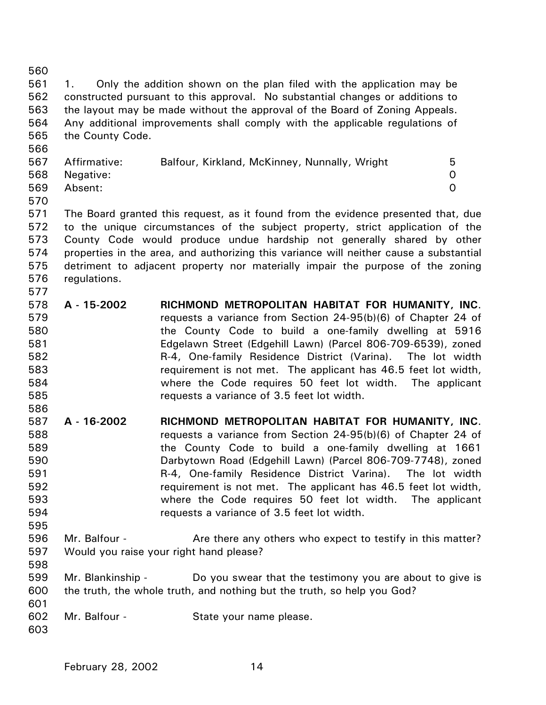| 560 |                                                                               |                                                                                        |                |  |
|-----|-------------------------------------------------------------------------------|----------------------------------------------------------------------------------------|----------------|--|
| 561 | 1.                                                                            | Only the addition shown on the plan filed with the application may be                  |                |  |
| 562 | constructed pursuant to this approval. No substantial changes or additions to |                                                                                        |                |  |
| 563 |                                                                               | the layout may be made without the approval of the Board of Zoning Appeals.            |                |  |
| 564 | Any additional improvements shall comply with the applicable regulations of   |                                                                                        |                |  |
| 565 | the County Code.                                                              |                                                                                        |                |  |
| 566 |                                                                               |                                                                                        |                |  |
| 567 | Affirmative:                                                                  | Balfour, Kirkland, McKinney, Nunnally, Wright                                          | 5              |  |
| 568 | Negative:                                                                     |                                                                                        | 0              |  |
| 569 | Absent:                                                                       |                                                                                        | $\overline{0}$ |  |
| 570 |                                                                               |                                                                                        |                |  |
| 571 |                                                                               | The Board granted this request, as it found from the evidence presented that, due      |                |  |
| 572 |                                                                               | to the unique circumstances of the subject property, strict application of the         |                |  |
| 573 |                                                                               | County Code would produce undue hardship not generally shared by other                 |                |  |
| 574 |                                                                               | properties in the area, and authorizing this variance will neither cause a substantial |                |  |
| 575 |                                                                               | detriment to adjacent property nor materially impair the purpose of the zoning         |                |  |
| 576 | regulations.                                                                  |                                                                                        |                |  |
| 577 |                                                                               |                                                                                        |                |  |
| 578 | A - 15-2002                                                                   | RICHMOND METROPOLITAN HABITAT FOR HUMANITY, INC.                                       |                |  |
| 579 |                                                                               | requests a variance from Section 24-95(b)(6) of Chapter 24 of                          |                |  |
| 580 |                                                                               | the County Code to build a one-family dwelling at 5916                                 |                |  |
| 581 |                                                                               | Edgelawn Street (Edgehill Lawn) (Parcel 806-709-6539), zoned                           |                |  |
| 582 |                                                                               | R-4, One-family Residence District (Varina). The lot width                             |                |  |
| 583 |                                                                               | requirement is not met. The applicant has 46.5 feet lot width,                         |                |  |
| 584 |                                                                               | where the Code requires 50 feet lot width. The applicant                               |                |  |
| 585 |                                                                               | requests a variance of 3.5 feet lot width.                                             |                |  |
| 586 |                                                                               |                                                                                        |                |  |
| 587 | A - 16-2002                                                                   | RICHMOND METROPOLITAN HABITAT FOR HUMANITY, INC.                                       |                |  |
| 588 |                                                                               | requests a variance from Section 24-95(b)(6) of Chapter 24 of                          |                |  |
| 589 |                                                                               | the County Code to build a one-family dwelling at 1661                                 |                |  |
| 590 |                                                                               | Darbytown Road (Edgehill Lawn) (Parcel 806-709-7748), zoned                            |                |  |
| 591 |                                                                               | R-4, One-family Residence District Varina). The lot width                              |                |  |
| 592 |                                                                               | requirement is not met. The applicant has 46.5 feet lot width,                         |                |  |
| 593 |                                                                               | where the Code requires 50 feet lot width. The applicant                               |                |  |
| 594 |                                                                               | requests a variance of 3.5 feet lot width.                                             |                |  |
| 595 |                                                                               |                                                                                        |                |  |
| 596 | Mr. Balfour -                                                                 | Are there any others who expect to testify in this matter?                             |                |  |
| 597 |                                                                               | Would you raise your right hand please?                                                |                |  |
| 598 |                                                                               |                                                                                        |                |  |
| 599 | Mr. Blankinship -                                                             | Do you swear that the testimony you are about to give is                               |                |  |
| 600 |                                                                               | the truth, the whole truth, and nothing but the truth, so help you God?                |                |  |
| 601 |                                                                               |                                                                                        |                |  |
| 602 | Mr. Balfour -                                                                 | State your name please.                                                                |                |  |
| 603 |                                                                               |                                                                                        |                |  |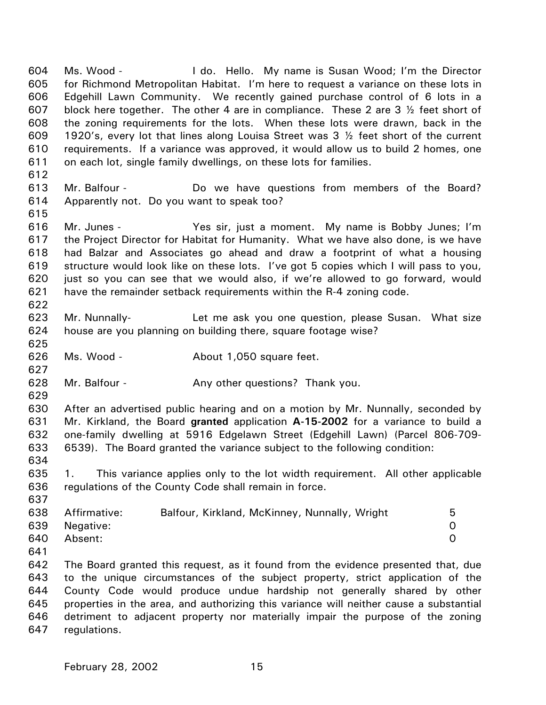604 605 606 607 608 609 610 611 Ms. Wood - I do. Hello. My name is Susan Wood; I'm the Director for Richmond Metropolitan Habitat. I'm here to request a variance on these lots in Edgehill Lawn Community. We recently gained purchase control of 6 lots in a block here together. The other 4 are in compliance. These 2 are  $3\frac{1}{2}$  feet short of the zoning requirements for the lots. When these lots were drawn, back in the 1920's, every lot that lines along Louisa Street was 3 ½ feet short of the current requirements. If a variance was approved, it would allow us to build 2 homes, one on each lot, single family dwellings, on these lots for families.

- 613 614 Mr. Balfour - Do we have questions from members of the Board? Apparently not. Do you want to speak too?
- 615

612

616 617 618 619 620 621 Mr. Junes - Yes sir, just a moment. My name is Bobby Junes; I'm the Project Director for Habitat for Humanity. What we have also done, is we have had Balzar and Associates go ahead and draw a footprint of what a housing structure would look like on these lots. I've got 5 copies which I will pass to you, just so you can see that we would also, if we're allowed to go forward, would have the remainder setback requirements within the R-4 zoning code.

622

625

627

- 623 624 Mr. Nunnally- Let me ask you one question, please Susan. What size house are you planning on building there, square footage wise?
- 626 Ms. Wood - **About 1,050 square feet.**
- 628 Mr. Balfour - The Any other questions? Thank you.
- 629

634

630 631 632 633 After an advertised public hearing and on a motion by Mr. Nunnally, seconded by Mr. Kirkland, the Board **granted** application **A-15-2002** for a variance to build a one-family dwelling at 5916 Edgelawn Street (Edgehill Lawn) (Parcel 806-709- 6539). The Board granted the variance subject to the following condition:

- 635 636 1. This variance applies only to the lot width requirement. All other applicable regulations of the County Code shall remain in force.
- 637 638 639 640 Affirmative: Balfour, Kirkland, McKinney, Nunnally, Wright 5 Negative: 0 Absent: 0
- 641

642 643 644 645 646 647 The Board granted this request, as it found from the evidence presented that, due to the unique circumstances of the subject property, strict application of the County Code would produce undue hardship not generally shared by other properties in the area, and authorizing this variance will neither cause a substantial detriment to adjacent property nor materially impair the purpose of the zoning regulations.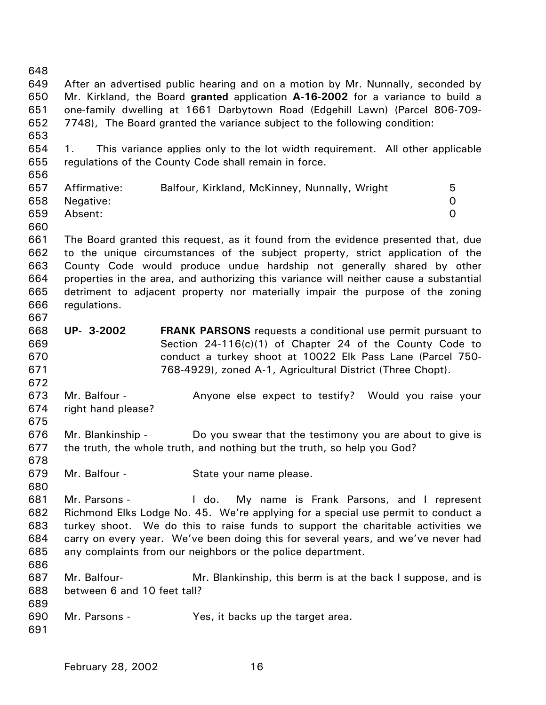648 649 650 651 652 653 654 655 656 657 658 659 660 661 662 663 664 665 666 667 668 669 670 671 672 673 674 675 676 677 678 679 680 681 682 683 684 685 686 687 688 689 690 691 After an advertised public hearing and on a motion by Mr. Nunnally, seconded by Mr. Kirkland, the Board **granted** application **A-16-2002** for a variance to build a one-family dwelling at 1661 Darbytown Road (Edgehill Lawn) (Parcel 806-709- 7748), The Board granted the variance subject to the following condition: 1. This variance applies only to the lot width requirement. All other applicable regulations of the County Code shall remain in force. Affirmative: Balfour, Kirkland, McKinney, Nunnally, Wright 5 Negative: 0 Absent: 0 The Board granted this request, as it found from the evidence presented that, due to the unique circumstances of the subject property, strict application of the County Code would produce undue hardship not generally shared by other properties in the area, and authorizing this variance will neither cause a substantial detriment to adjacent property nor materially impair the purpose of the zoning regulations. **UP- 3-2002 FRANK PARSONS** requests a conditional use permit pursuant to Section 24-116(c)(1) of Chapter 24 of the County Code to conduct a turkey shoot at 10022 Elk Pass Lane (Parcel 750- 768-4929), zoned A-1, Agricultural District (Three Chopt). Mr. Balfour - Anyone else expect to testify? Would you raise your right hand please? Mr. Blankinship - Do you swear that the testimony you are about to give is the truth, the whole truth, and nothing but the truth, so help you God? Mr. Balfour - State your name please. Mr. Parsons - The Letton My name is Frank Parsons, and I represent Richmond Elks Lodge No. 45. We're applying for a special use permit to conduct a turkey shoot. We do this to raise funds to support the charitable activities we carry on every year. We've been doing this for several years, and we've never had any complaints from our neighbors or the police department. Mr. Balfour- Mr. Blankinship, this berm is at the back I suppose, and is between 6 and 10 feet tall? Mr. Parsons - Yes, it backs up the target area.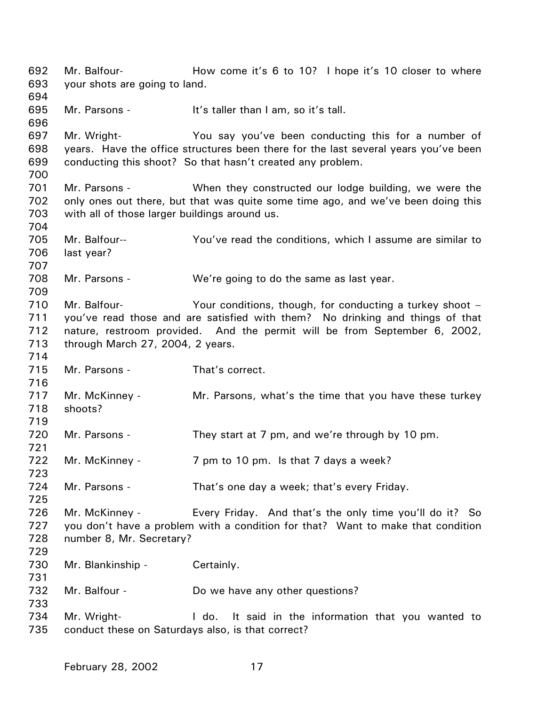692 693 694 695 696 697 698 699 700 701 702 703 704 705 706 707 708 709 710 711 712 713 714 715 716 717 718 719 720 721 722 723 724 725 726 727 728 729 730 731 732 733 734 735 Mr. Balfour- **How come it's 6 to 10?** I hope it's 10 closer to where your shots are going to land. Mr. Parsons - It's taller than I am, so it's tall. Mr. Wright- You say you've been conducting this for a number of years. Have the office structures been there for the last several years you've been conducting this shoot? So that hasn't created any problem. Mr. Parsons - When they constructed our lodge building, we were the only ones out there, but that was quite some time ago, and we've been doing this with all of those larger buildings around us. Mr. Balfour-- You've read the conditions, which I assume are similar to last year? Mr. Parsons - We're going to do the same as last year. Mr. Balfour- The Your conditions, though, for conducting a turkey shoot – you've read those and are satisfied with them? No drinking and things of that nature, restroom provided. And the permit will be from September 6, 2002, through March 27, 2004, 2 years. Mr. Parsons - That's correct. Mr. McKinney - Mr. Parsons, what's the time that you have these turkey shoots? Mr. Parsons - They start at 7 pm, and we're through by 10 pm. Mr. McKinney - 7 pm to 10 pm. Is that 7 days a week? Mr. Parsons - That's one day a week; that's every Friday. Mr. McKinney - Every Friday. And that's the only time you'll do it? So you don't have a problem with a condition for that? Want to make that condition number 8, Mr. Secretary? Mr. Blankinship - Certainly. Mr. Balfour - Do we have any other questions? Mr. Wright- **I** do. It said in the information that you wanted to conduct these on Saturdays also, is that correct?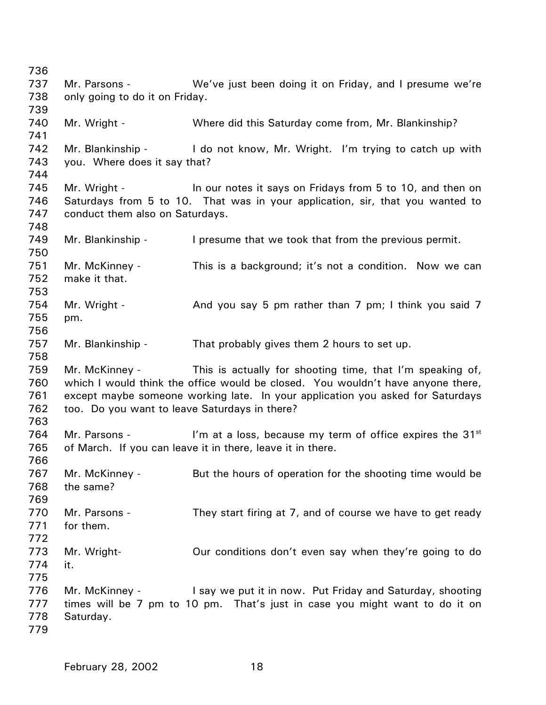736 737 738 739 740 741 742 743 744 745 746 747 748 749 750 751 752 753 754 755 756 757 758 759 760 761 762 763 764 765 766 767 768 769 770 771 772 773 774 775 776 777 778 779 Mr. Parsons - We've just been doing it on Friday, and I presume we're only going to do it on Friday. Mr. Wright - Where did this Saturday come from, Mr. Blankinship? Mr. Blankinship - I do not know, Mr. Wright. I'm trying to catch up with you. Where does it say that? Mr. Wright - In our notes it says on Fridays from 5 to 10, and then on Saturdays from 5 to 10. That was in your application, sir, that you wanted to conduct them also on Saturdays. Mr. Blankinship - I presume that we took that from the previous permit. Mr. McKinney - This is a background; it's not a condition. Now we can make it that. Mr. Wright - And you say 5 pm rather than 7 pm; I think you said 7 pm. Mr. Blankinship - That probably gives them 2 hours to set up. Mr. McKinney - This is actually for shooting time, that I'm speaking of, which I would think the office would be closed. You wouldn't have anyone there, except maybe someone working late. In your application you asked for Saturdays too. Do you want to leave Saturdays in there? Mr. Parsons - I'm at a loss, because my term of office expires the  $31<sup>st</sup>$ of March. If you can leave it in there, leave it in there. Mr. McKinney - But the hours of operation for the shooting time would be the same? Mr. Parsons - They start firing at 7, and of course we have to get ready for them. Mr. Wright- Our conditions don't even say when they're going to do it. Mr. McKinney - I say we put it in now. Put Friday and Saturday, shooting times will be 7 pm to 10 pm. That's just in case you might want to do it on Saturday.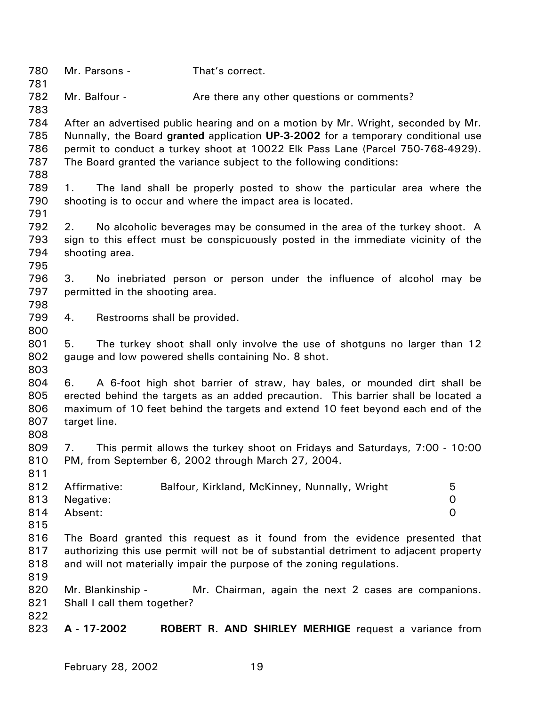| 780<br>781                      | Mr. Parsons -                                                         | That's correct.                               |                                                                                                                                                                                                                                                          |  |
|---------------------------------|-----------------------------------------------------------------------|-----------------------------------------------|----------------------------------------------------------------------------------------------------------------------------------------------------------------------------------------------------------------------------------------------------------|--|
| 782<br>783                      | Mr. Balfour -                                                         |                                               | Are there any other questions or comments?                                                                                                                                                                                                               |  |
| 784<br>785<br>786<br>787<br>788 | The Board granted the variance subject to the following conditions:   |                                               | After an advertised public hearing and on a motion by Mr. Wright, seconded by Mr.<br>Nunnally, the Board granted application UP-3-2002 for a temporary conditional use<br>permit to conduct a turkey shoot at 10022 Elk Pass Lane (Parcel 750-768-4929). |  |
| 789<br>790<br>791               | 1.<br>shooting is to occur and where the impact area is located.      |                                               | The land shall be properly posted to show the particular area where the                                                                                                                                                                                  |  |
| 792<br>793<br>794<br>795        | 2.<br>shooting area.                                                  |                                               | No alcoholic beverages may be consumed in the area of the turkey shoot. A<br>sign to this effect must be conspicuously posted in the immediate vicinity of the                                                                                           |  |
| 796<br>797<br>798               | 3.<br>permitted in the shooting area.                                 |                                               | No inebriated person or person under the influence of alcohol may be                                                                                                                                                                                     |  |
| 799<br>800                      | Restrooms shall be provided.<br>4.                                    |                                               |                                                                                                                                                                                                                                                          |  |
| 801<br>802<br>803               | 5.<br>gauge and low powered shells containing No. 8 shot.             |                                               | The turkey shoot shall only involve the use of shotguns no larger than 12                                                                                                                                                                                |  |
| 804<br>805<br>806<br>807<br>808 | 6.<br>target line.                                                    |                                               | A 6-foot high shot barrier of straw, hay bales, or mounded dirt shall be<br>erected behind the targets as an added precaution. This barrier shall be located a<br>maximum of 10 feet behind the targets and extend 10 feet beyond each end of the        |  |
| 809<br>810<br>811               | 7.<br>PM, from September 6, 2002 through March 27, 2004.              |                                               | This permit allows the turkey shoot on Fridays and Saturdays, 7:00 - 10:00                                                                                                                                                                               |  |
| 812<br>813<br>814<br>815        | Affirmative:<br>Negative:<br>Absent:                                  | Balfour, Kirkland, McKinney, Nunnally, Wright | 5<br>0<br>$\Omega$                                                                                                                                                                                                                                       |  |
| 816<br>817<br>818<br>819        | and will not materially impair the purpose of the zoning regulations. |                                               | The Board granted this request as it found from the evidence presented that<br>authorizing this use permit will not be of substantial detriment to adjacent property                                                                                     |  |
| 820<br>821<br>822               | Mr. Blankinship -<br>Shall I call them together?                      |                                               | Mr. Chairman, again the next 2 cases are companions.                                                                                                                                                                                                     |  |
| 823                             | A - 17-2002                                                           |                                               | <b>ROBERT R. AND SHIRLEY MERHIGE</b> request a variance from                                                                                                                                                                                             |  |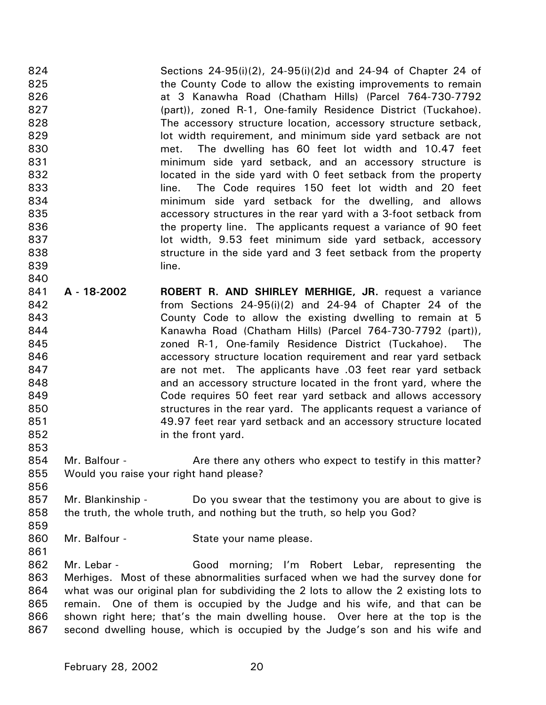824 825 826 827 828 829 830 831 832 833 834 835 836 837 838 839 840 Sections 24-95(i)(2), 24-95(i)(2)d and 24-94 of Chapter 24 of the County Code to allow the existing improvements to remain at 3 Kanawha Road (Chatham Hills) (Parcel 764-730-7792 (part)), zoned R-1, One-family Residence District (Tuckahoe). The accessory structure location, accessory structure setback, lot width requirement, and minimum side yard setback are not met. The dwelling has 60 feet lot width and 10.47 feet minimum side yard setback, and an accessory structure is located in the side yard with 0 feet setback from the property line. The Code requires 150 feet lot width and 20 feet minimum side yard setback for the dwelling, and allows accessory structures in the rear yard with a 3-foot setback from the property line. The applicants request a variance of 90 feet lot width, 9.53 feet minimum side yard setback, accessory structure in the side yard and 3 feet setback from the property line.

- 841 842 843 844 845 846 847 848 849 850 851 852 **A - 18-2002 ROBERT R. AND SHIRLEY MERHIGE, JR.** request a variance from Sections 24-95(i)(2) and 24-94 of Chapter 24 of the County Code to allow the existing dwelling to remain at 5 Kanawha Road (Chatham Hills) (Parcel 764-730-7792 (part)), zoned R-1, One-family Residence District (Tuckahoe). The accessory structure location requirement and rear yard setback are not met. The applicants have .03 feet rear yard setback and an accessory structure located in the front yard, where the Code requires 50 feet rear yard setback and allows accessory structures in the rear yard. The applicants request a variance of 49.97 feet rear yard setback and an accessory structure located in the front yard.
- 854 855 Mr. Balfour - **Are there any others who expect to testify in this matter?** Would you raise your right hand please?
- 857 858 Mr. Blankinship - Do you swear that the testimony you are about to give is the truth, the whole truth, and nothing but the truth, so help you God?
- 860 Mr. Balfour - State your name please.
- 862 863 864 865 866 867 Mr. Lebar - Good morning; I'm Robert Lebar, representing the Merhiges. Most of these abnormalities surfaced when we had the survey done for what was our original plan for subdividing the 2 lots to allow the 2 existing lots to remain. One of them is occupied by the Judge and his wife, and that can be shown right here; that's the main dwelling house. Over here at the top is the second dwelling house, which is occupied by the Judge's son and his wife and

853

856

859

861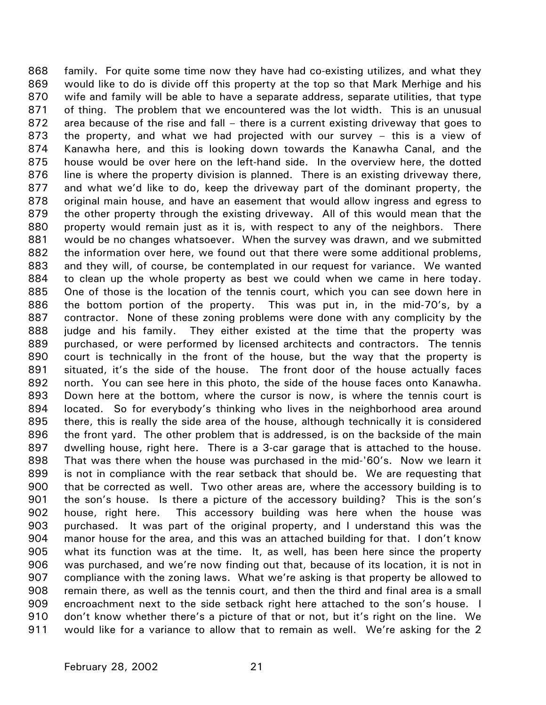family. For quite some time now they have had co-existing utilizes, and what they would like to do is divide off this property at the top so that Mark Merhige and his wife and family will be able to have a separate address, separate utilities, that type of thing. The problem that we encountered was the lot width. This is an unusual area because of the rise and fall – there is a current existing driveway that goes to the property, and what we had projected with our survey – this is a view of Kanawha here, and this is looking down towards the Kanawha Canal, and the house would be over here on the left-hand side. In the overview here, the dotted line is where the property division is planned. There is an existing driveway there, and what we'd like to do, keep the driveway part of the dominant property, the original main house, and have an easement that would allow ingress and egress to the other property through the existing driveway. All of this would mean that the property would remain just as it is, with respect to any of the neighbors. There would be no changes whatsoever. When the survey was drawn, and we submitted the information over here, we found out that there were some additional problems, and they will, of course, be contemplated in our request for variance. We wanted to clean up the whole property as best we could when we came in here today. One of those is the location of the tennis court, which you can see down here in the bottom portion of the property. This was put in, in the mid-70's, by a contractor. None of these zoning problems were done with any complicity by the judge and his family. They either existed at the time that the property was purchased, or were performed by licensed architects and contractors. The tennis court is technically in the front of the house, but the way that the property is situated, it's the side of the house. The front door of the house actually faces north. You can see here in this photo, the side of the house faces onto Kanawha. Down here at the bottom, where the cursor is now, is where the tennis court is located. So for everybody's thinking who lives in the neighborhood area around there, this is really the side area of the house, although technically it is considered the front yard. The other problem that is addressed, is on the backside of the main dwelling house, right here. There is a 3-car garage that is attached to the house. That was there when the house was purchased in the mid-'60's. Now we learn it is not in compliance with the rear setback that should be. We are requesting that that be corrected as well. Two other areas are, where the accessory building is to the son's house. Is there a picture of the accessory building? This is the son's house, right here. This accessory building was here when the house was purchased. It was part of the original property, and I understand this was the manor house for the area, and this was an attached building for that. I don't know what its function was at the time. It, as well, has been here since the property was purchased, and we're now finding out that, because of its location, it is not in compliance with the zoning laws. What we're asking is that property be allowed to remain there, as well as the tennis court, and then the third and final area is a small encroachment next to the side setback right here attached to the son's house. I don't know whether there's a picture of that or not, but it's right on the line. We would like for a variance to allow that to remain as well. We're asking for the 2 868 869 870 871 872 873 874 875 876 877 878 879 880 881 882 883 884 885 886 887 888 889 890 891 892 893 894 895 896 897 898 899 900 901 902 903 904 905 906 907 908 909 910 911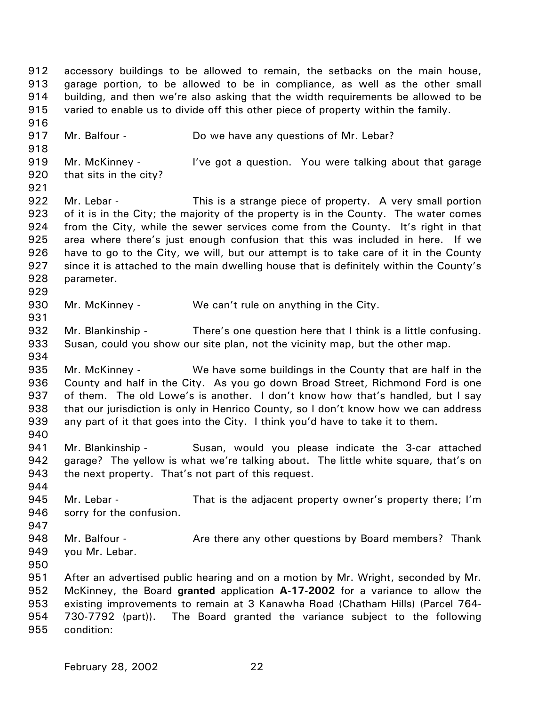912 913 914 915 916 917 918 919 920 921 922 923 924 925 926 927 928 929 930 931 932 933 934 935 936 937 938 939 940 941 942 943 944 945 946 947 948 949 950 951 952 953 954 955 accessory buildings to be allowed to remain, the setbacks on the main house, garage portion, to be allowed to be in compliance, as well as the other small building, and then we're also asking that the width requirements be allowed to be varied to enable us to divide off this other piece of property within the family. Mr. Balfour - **Do we have any questions of Mr. Lebar?** Mr. McKinney - I've got a question. You were talking about that garage that sits in the city? Mr. Lebar - This is a strange piece of property. A very small portion of it is in the City; the majority of the property is in the County. The water comes from the City, while the sewer services come from the County. It's right in that area where there's just enough confusion that this was included in here. If we have to go to the City, we will, but our attempt is to take care of it in the County since it is attached to the main dwelling house that is definitely within the County's parameter. Mr. McKinney - We can't rule on anything in the City. Mr. Blankinship - There's one question here that I think is a little confusing. Susan, could you show our site plan, not the vicinity map, but the other map. Mr. McKinney - We have some buildings in the County that are half in the County and half in the City. As you go down Broad Street, Richmond Ford is one of them. The old Lowe's is another. I don't know how that's handled, but I say that our jurisdiction is only in Henrico County, so I don't know how we can address any part of it that goes into the City. I think you'd have to take it to them. Mr. Blankinship - Susan, would you please indicate the 3-car attached garage? The yellow is what we're talking about. The little white square, that's on the next property. That's not part of this request. Mr. Lebar - That is the adjacent property owner's property there; I'm sorry for the confusion. Mr. Balfour - Thank Are there any other questions by Board members? Thank you Mr. Lebar. After an advertised public hearing and on a motion by Mr. Wright, seconded by Mr. McKinney, the Board **granted** application **A-17-2002** for a variance to allow the existing improvements to remain at 3 Kanawha Road (Chatham Hills) (Parcel 764- 730-7792 (part)). The Board granted the variance subject to the following condition: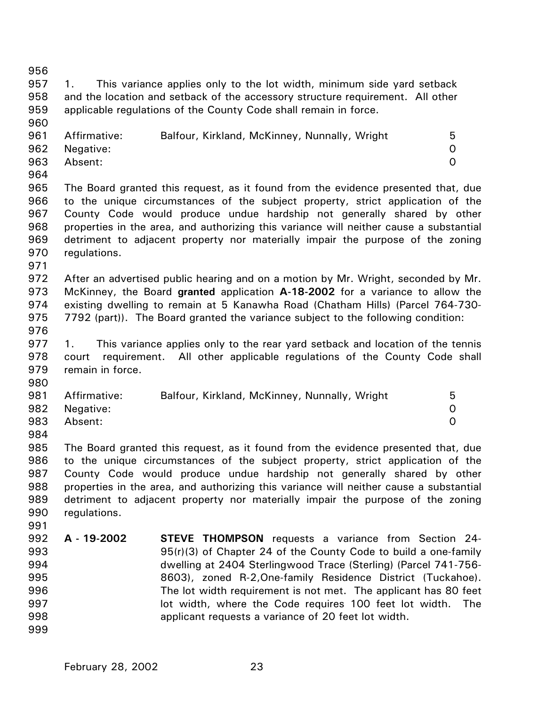956 957 958 959 960 961 962 963 964 965 966 967 968 969 970 971 972 973 974 975 976 977 978 979 980 981 982 983 984 985 986 987 988 989 990 991 992 993 994 995 996 997 998 999 1. This variance applies only to the lot width, minimum side yard setback and the location and setback of the accessory structure requirement. All other applicable regulations of the County Code shall remain in force. Affirmative: Balfour, Kirkland, McKinney, Nunnally, Wright 5 Negative: 0 Absent: 0 The Board granted this request, as it found from the evidence presented that, due to the unique circumstances of the subject property, strict application of the County Code would produce undue hardship not generally shared by other properties in the area, and authorizing this variance will neither cause a substantial detriment to adjacent property nor materially impair the purpose of the zoning regulations. After an advertised public hearing and on a motion by Mr. Wright, seconded by Mr. McKinney, the Board **granted** application **A-18-2002** for a variance to allow the existing dwelling to remain at 5 Kanawha Road (Chatham Hills) (Parcel 764-730- 7792 (part)). The Board granted the variance subject to the following condition: 1. This variance applies only to the rear yard setback and location of the tennis court requirement. All other applicable regulations of the County Code shall remain in force. Affirmative: Balfour, Kirkland, McKinney, Nunnally, Wright 5 Negative: 0 Absent: 0 The Board granted this request, as it found from the evidence presented that, due to the unique circumstances of the subject property, strict application of the County Code would produce undue hardship not generally shared by other properties in the area, and authorizing this variance will neither cause a substantial detriment to adjacent property nor materially impair the purpose of the zoning regulations. **A - 19-2002 STEVE THOMPSON** requests a variance from Section 24- 95(r)(3) of Chapter 24 of the County Code to build a one-family dwelling at 2404 Sterlingwood Trace (Sterling) (Parcel 741-756- 8603), zoned R-2,One-family Residence District (Tuckahoe). The lot width requirement is not met. The applicant has 80 feet lot width, where the Code requires 100 feet lot width. The applicant requests a variance of 20 feet lot width.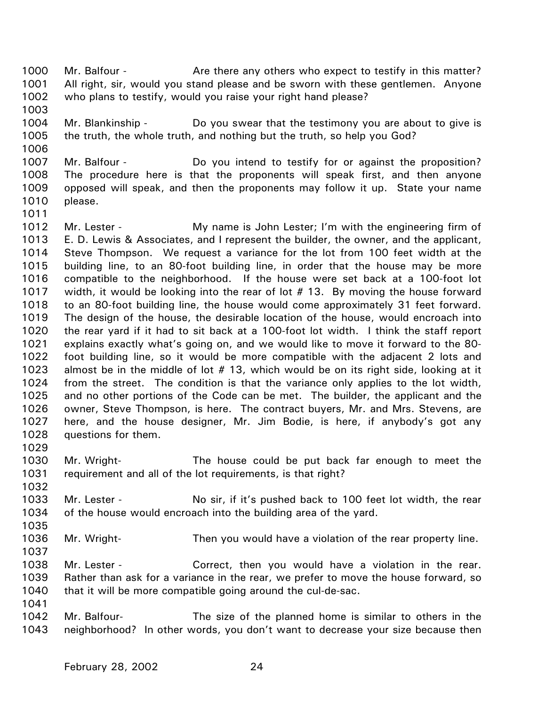1000 1001 1002 Mr. Balfour - **Are there any others who expect to testify in this matter?** All right, sir, would you stand please and be sworn with these gentlemen. Anyone who plans to testify, would you raise your right hand please?

- 1004 1005 Mr. Blankinship - Do you swear that the testimony you are about to give is the truth, the whole truth, and nothing but the truth, so help you God?
- 1006

1003

## 1007 1008 1009 1010 Mr. Balfour - **Do** you intend to testify for or against the proposition? The procedure here is that the proponents will speak first, and then anyone opposed will speak, and then the proponents may follow it up. State your name please.

- 1011
- 1012 1013 1014 1015 1016 1017 1018 1019 1020 1021 1022 1023 1024 1025 1026 1027 1028 Mr. Lester - **My name is John Lester;** I'm with the engineering firm of E. D. Lewis & Associates, and I represent the builder, the owner, and the applicant, Steve Thompson. We request a variance for the lot from 100 feet width at the building line, to an 80-foot building line, in order that the house may be more compatible to the neighborhood. If the house were set back at a 100-foot lot width, it would be looking into the rear of lot #13. By moving the house forward to an 80-foot building line, the house would come approximately 31 feet forward. The design of the house, the desirable location of the house, would encroach into the rear yard if it had to sit back at a 100-foot lot width. I think the staff report explains exactly what's going on, and we would like to move it forward to the 80 foot building line, so it would be more compatible with the adjacent 2 lots and almost be in the middle of lot # 13, which would be on its right side, looking at it from the street. The condition is that the variance only applies to the lot width, and no other portions of the Code can be met. The builder, the applicant and the owner, Steve Thompson, is here. The contract buyers, Mr. and Mrs. Stevens, are here, and the house designer, Mr. Jim Bodie, is here, if anybody's got any questions for them.
- 1029

1032

- 1030 1031 Mr. Wright- The house could be put back far enough to meet the requirement and all of the lot requirements, is that right?
- 1033 1034 Mr. Lester - No sir, if it's pushed back to 100 feet lot width, the rear of the house would encroach into the building area of the yard.
- 1036 Mr. Wright- Then you would have a violation of the rear property line.
- 1037

1035

- 1038 Mr. Lester - Correct, then you would have a violation in the rear.
- 1039 1040 Rather than ask for a variance in the rear, we prefer to move the house forward, so that it will be more compatible going around the cul-de-sac.
- 1041
- 1042 1043 Mr. Balfour- The size of the planned home is similar to others in the neighborhood? In other words, you don't want to decrease your size because then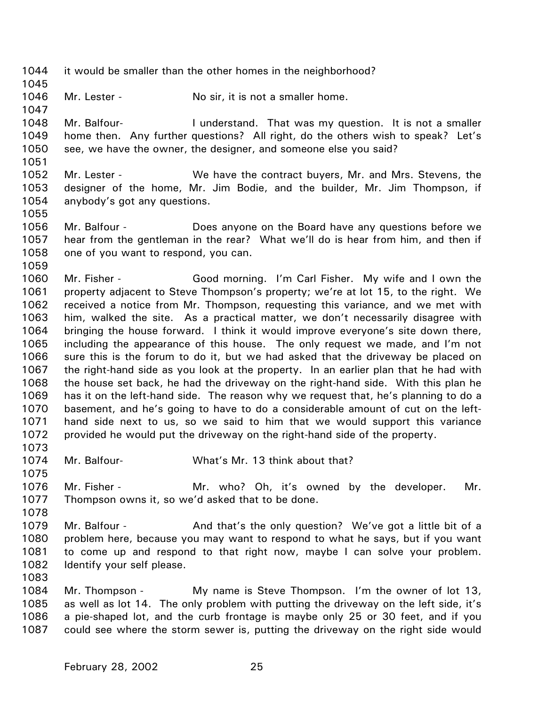1044 1045 1046 1047 1048 1049 1050 1051 1052 1053 1054 1055 1056 1057 1058 1059 1060 1061 1062 1063 1064 1065 1066 1067 1068 1069 1070 1071 1072 1073 1074 1075 1076 1077 1078 1079 1080 1081 1082 1083 1084 1085 1086 1087 it would be smaller than the other homes in the neighborhood? Mr. Lester - No sir, it is not a smaller home. Mr. Balfour- **I** understand. That was my question. It is not a smaller home then. Any further questions? All right, do the others wish to speak? Let's see, we have the owner, the designer, and someone else you said? Mr. Lester - We have the contract buyers, Mr. and Mrs. Stevens, the designer of the home, Mr. Jim Bodie, and the builder, Mr. Jim Thompson, if anybody's got any questions. Mr. Balfour - Does anyone on the Board have any questions before we hear from the gentleman in the rear? What we'll do is hear from him, and then if one of you want to respond, you can. Mr. Fisher - Good morning. I'm Carl Fisher. My wife and I own the property adjacent to Steve Thompson's property; we're at lot 15, to the right. We received a notice from Mr. Thompson, requesting this variance, and we met with him, walked the site. As a practical matter, we don't necessarily disagree with bringing the house forward. I think it would improve everyone's site down there, including the appearance of this house. The only request we made, and I'm not sure this is the forum to do it, but we had asked that the driveway be placed on the right-hand side as you look at the property. In an earlier plan that he had with the house set back, he had the driveway on the right-hand side. With this plan he has it on the left-hand side. The reason why we request that, he's planning to do a basement, and he's going to have to do a considerable amount of cut on the lefthand side next to us, so we said to him that we would support this variance provided he would put the driveway on the right-hand side of the property. Mr. Balfour- What's Mr. 13 think about that? Mr. Fisher - The Mr. who? Oh, it's owned by the developer. Mr. Thompson owns it, so we'd asked that to be done. Mr. Balfour - And that's the only question? We've got a little bit of a problem here, because you may want to respond to what he says, but if you want to come up and respond to that right now, maybe I can solve your problem. Identify your self please. Mr. Thompson - My name is Steve Thompson. I'm the owner of lot 13, as well as lot 14. The only problem with putting the driveway on the left side, it's a pie-shaped lot, and the curb frontage is maybe only 25 or 30 feet, and if you could see where the storm sewer is, putting the driveway on the right side would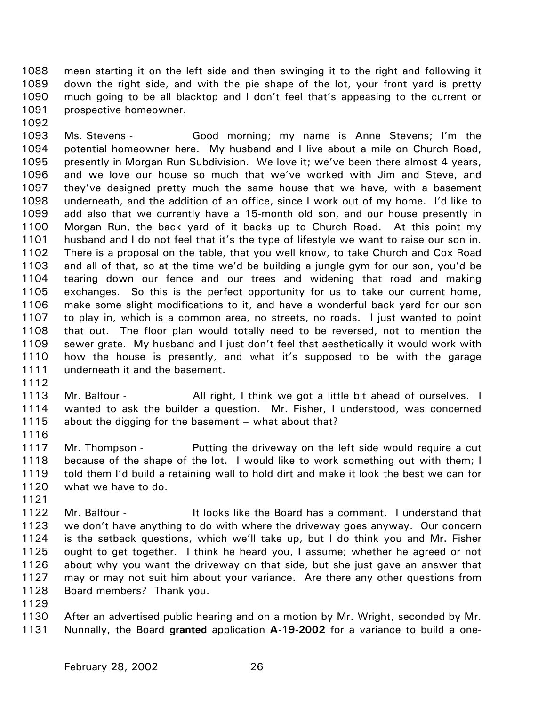1088 1089 1090 1091 1092 mean starting it on the left side and then swinging it to the right and following it down the right side, and with the pie shape of the lot, your front yard is pretty much going to be all blacktop and I don't feel that's appeasing to the current or prospective homeowner.

1093 1094 1095 1096 1097 1098 1099 1100 1101 1102 1103 1104 1105 1106 1107 1108 1109 1110 1111 Ms. Stevens - Good morning; my name is Anne Stevens; I'm the potential homeowner here. My husband and I live about a mile on Church Road, presently in Morgan Run Subdivision. We love it; we've been there almost 4 years, and we love our house so much that we've worked with Jim and Steve, and they've designed pretty much the same house that we have, with a basement underneath, and the addition of an office, since I work out of my home. I'd like to add also that we currently have a 15-month old son, and our house presently in Morgan Run, the back yard of it backs up to Church Road. At this point my husband and I do not feel that it's the type of lifestyle we want to raise our son in. There is a proposal on the table, that you well know, to take Church and Cox Road and all of that, so at the time we'd be building a jungle gym for our son, you'd be tearing down our fence and our trees and widening that road and making exchanges. So this is the perfect opportunity for us to take our current home, make some slight modifications to it, and have a wonderful back yard for our son to play in, which is a common area, no streets, no roads. I just wanted to point that out. The floor plan would totally need to be reversed, not to mention the sewer grate. My husband and I just don't feel that aesthetically it would work with how the house is presently, and what it's supposed to be with the garage underneath it and the basement.

- 1112
- 1113 1114 1115 Mr. Balfour - All right, I think we got a little bit ahead of ourselves. I wanted to ask the builder a question. Mr. Fisher, I understood, was concerned about the digging for the basement – what about that?
- 1116

1121

1117 1118 1119 1120 Mr. Thompson - Putting the driveway on the left side would require a cut because of the shape of the lot. I would like to work something out with them; I told them I'd build a retaining wall to hold dirt and make it look the best we can for what we have to do.

1122 1123 1124 1125 1126 1127 1128 Mr. Balfour - The It looks like the Board has a comment. I understand that we don't have anything to do with where the driveway goes anyway. Our concern is the setback questions, which we'll take up, but I do think you and Mr. Fisher ought to get together. I think he heard you, I assume; whether he agreed or not about why you want the driveway on that side, but she just gave an answer that may or may not suit him about your variance. Are there any other questions from Board members? Thank you.

1129

1130 1131 After an advertised public hearing and on a motion by Mr. Wright, seconded by Mr. Nunnally, the Board **granted** application **A-19-2002** for a variance to build a one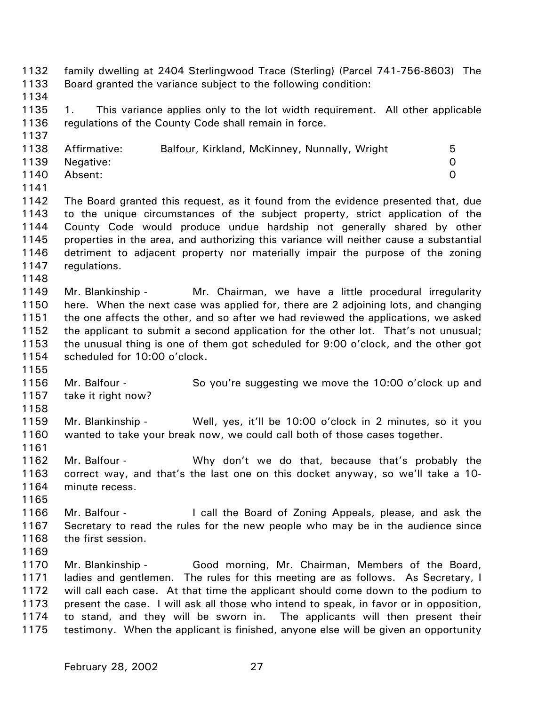1132 1133 1134 1135 1136 1137 1138 1139 1140 1141 1142 1143 1144 1145 1146 1147 1148 1149 1150 1151 1152 1153 1154 1155 1156 1157 1158 1159 1160 1161 1162 1163 1164 1165 1166 1167 1168 1169 1170 1171 1172 1173 1174 1175 family dwelling at 2404 Sterlingwood Trace (Sterling) (Parcel 741-756-8603) The Board granted the variance subject to the following condition: 1. This variance applies only to the lot width requirement. All other applicable regulations of the County Code shall remain in force. Affirmative: Balfour, Kirkland, McKinney, Nunnally, Wright 5 Negative: 0 Absent: 0 The Board granted this request, as it found from the evidence presented that, due to the unique circumstances of the subject property, strict application of the County Code would produce undue hardship not generally shared by other properties in the area, and authorizing this variance will neither cause a substantial detriment to adjacent property nor materially impair the purpose of the zoning regulations. Mr. Blankinship - Mr. Chairman, we have a little procedural irregularity here. When the next case was applied for, there are 2 adjoining lots, and changing the one affects the other, and so after we had reviewed the applications, we asked the applicant to submit a second application for the other lot. That's not unusual; the unusual thing is one of them got scheduled for 9:00 o'clock, and the other got scheduled for 10:00 o'clock. Mr. Balfour - So you're suggesting we move the 10:00 o'clock up and take it right now? Mr. Blankinship - Well, yes, it'll be 10:00 o'clock in 2 minutes, so it you wanted to take your break now, we could call both of those cases together. Mr. Balfour - Why don't we do that, because that's probably the correct way, and that's the last one on this docket anyway, so we'll take a 10 minute recess. Mr. Balfour - I call the Board of Zoning Appeals, please, and ask the Secretary to read the rules for the new people who may be in the audience since the first session. Mr. Blankinship - Good morning, Mr. Chairman, Members of the Board, ladies and gentlemen. The rules for this meeting are as follows. As Secretary, I will call each case. At that time the applicant should come down to the podium to present the case. I will ask all those who intend to speak, in favor or in opposition, to stand, and they will be sworn in. The applicants will then present their testimony. When the applicant is finished, anyone else will be given an opportunity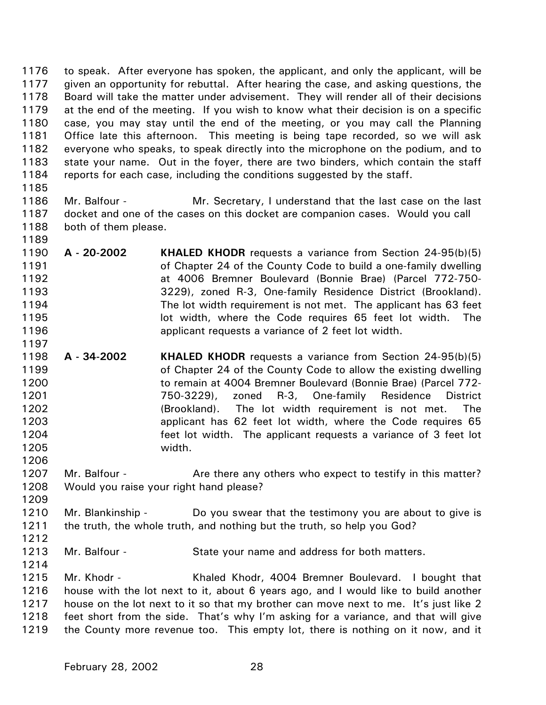1176 1177 1178 1179 1180 1181 1182 1183 1184 to speak. After everyone has spoken, the applicant, and only the applicant, will be given an opportunity for rebuttal. After hearing the case, and asking questions, the Board will take the matter under advisement. They will render all of their decisions at the end of the meeting. If you wish to know what their decision is on a specific case, you may stay until the end of the meeting, or you may call the Planning Office late this afternoon. This meeting is being tape recorded, so we will ask everyone who speaks, to speak directly into the microphone on the podium, and to state your name. Out in the foyer, there are two binders, which contain the staff reports for each case, including the conditions suggested by the staff.

- 1185
- 1186

1189

1197

1187 1188 Mr. Balfour - Mr. Secretary, I understand that the last case on the last docket and one of the cases on this docket are companion cases. Would you call both of them please.

- 1190 1191 1192 1193 1194 1195 1196 **A - 20-2002 KHALED KHODR** requests a variance from Section 24-95(b)(5) of Chapter 24 of the County Code to build a one-family dwelling at 4006 Bremner Boulevard (Bonnie Brae) (Parcel 772-750- 3229), zoned R-3, One-family Residence District (Brookland). The lot width requirement is not met. The applicant has 63 feet lot width, where the Code requires 65 feet lot width. The applicant requests a variance of 2 feet lot width.
- 1198 1199 1200 1201 1202 1203 1204 1205 **A - 34-2002 KHALED KHODR** requests a variance from Section 24-95(b)(5) of Chapter 24 of the County Code to allow the existing dwelling to remain at 4004 Bremner Boulevard (Bonnie Brae) (Parcel 772- 750-3229), zoned R-3, One-family Residence District (Brookland). The lot width requirement is not met. The applicant has 62 feet lot width, where the Code requires 65 feet lot width. The applicant requests a variance of 3 feet lot width.
- 1207 1208 Mr. Balfour - **Are there any others who expect to testify in this matter?** Would you raise your right hand please?
- 1210 1211 Mr. Blankinship - Do you swear that the testimony you are about to give is the truth, the whole truth, and nothing but the truth, so help you God?
- 1212

1206

1209

- 1213 Mr. Balfour - State your name and address for both matters.
- 1214
- 1215 1216 1217 1218 1219 Mr. Khodr - Khaled Khodr, 4004 Bremner Boulevard. I bought that house with the lot next to it, about 6 years ago, and I would like to build another house on the lot next to it so that my brother can move next to me. It's just like 2 feet short from the side. That's why I'm asking for a variance, and that will give the County more revenue too. This empty lot, there is nothing on it now, and it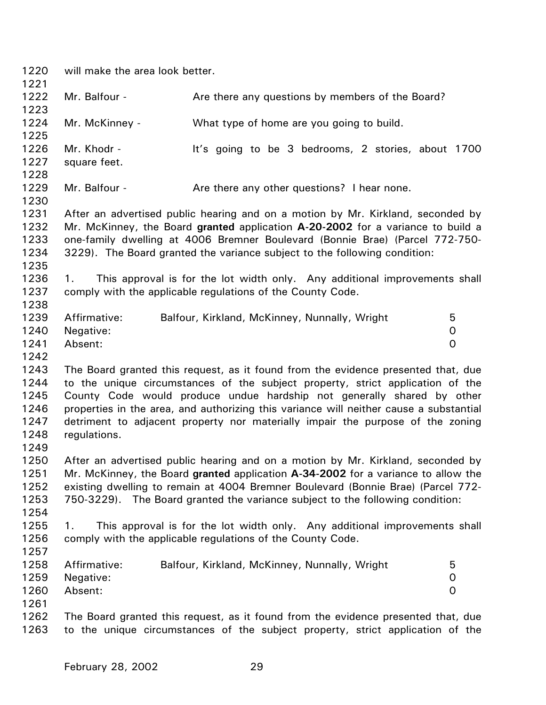1220 1221 1222 1223 1224 1225 1226 1227 1228 1229 1230 1231 1232 1233 1234 1235 1236 1237 1238 1239 1240 1241 1242 1243 1244 1245 1246 1247 1248 1249 1250 1251 1252 1253 1254 1255 1256 1257 1258 1259 1260 1261 1262 1263 will make the area look better. Mr. Balfour - Are there any questions by members of the Board? Mr. McKinney - What type of home are you going to build. Mr. Khodr - It's going to be 3 bedrooms, 2 stories, about 1700 square feet. Mr. Balfour - The Are there any other questions? I hear none. After an advertised public hearing and on a motion by Mr. Kirkland, seconded by Mr. McKinney, the Board **granted** application **A-20-2002** for a variance to build a one-family dwelling at 4006 Bremner Boulevard (Bonnie Brae) (Parcel 772-750- 3229). The Board granted the variance subject to the following condition: 1. This approval is for the lot width only. Any additional improvements shall comply with the applicable regulations of the County Code. Affirmative: Balfour, Kirkland, McKinney, Nunnally, Wright 5 Negative: 0 Absent: 0 The Board granted this request, as it found from the evidence presented that, due to the unique circumstances of the subject property, strict application of the County Code would produce undue hardship not generally shared by other properties in the area, and authorizing this variance will neither cause a substantial detriment to adjacent property nor materially impair the purpose of the zoning regulations. After an advertised public hearing and on a motion by Mr. Kirkland, seconded by Mr. McKinney, the Board **granted** application **A-34-2002** for a variance to allow the existing dwelling to remain at 4004 Bremner Boulevard (Bonnie Brae) (Parcel 772- 750-3229). The Board granted the variance subject to the following condition: 1. This approval is for the lot width only. Any additional improvements shall comply with the applicable regulations of the County Code. Affirmative: Balfour, Kirkland, McKinney, Nunnally, Wright 5 Negative: 0 Absent: 0 The Board granted this request, as it found from the evidence presented that, due to the unique circumstances of the subject property, strict application of the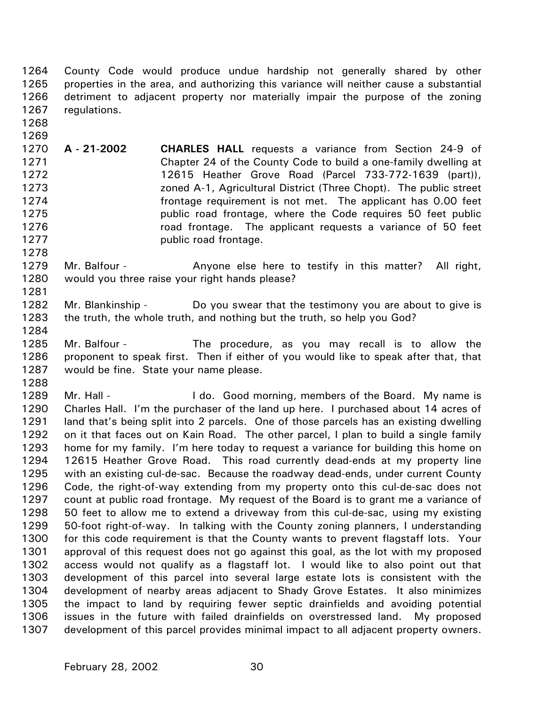1264 1265 1266 1267 County Code would produce undue hardship not generally shared by other properties in the area, and authorizing this variance will neither cause a substantial detriment to adjacent property nor materially impair the purpose of the zoning regulations.

- 1268 1269
- 1270 1271 1272 1273 1274 1275 1276 1277 **A - 21-2002 CHARLES HALL** requests a variance from Section 24-9 of Chapter 24 of the County Code to build a one-family dwelling at 12615 Heather Grove Road (Parcel 733-772-1639 (part)), zoned A-1, Agricultural District (Three Chopt). The public street frontage requirement is not met. The applicant has 0.00 feet public road frontage, where the Code requires 50 feet public road frontage. The applicant requests a variance of 50 feet public road frontage.
- 1279 1280 Mr. Balfour - The Anyone else here to testify in this matter? All right, would you three raise your right hands please?
- 1282 1283 Mr. Blankinship - Do you swear that the testimony you are about to give is the truth, the whole truth, and nothing but the truth, so help you God?
- 1284

1288

1278

1281

1285 1286 1287 Mr. Balfour - The procedure, as you may recall is to allow the proponent to speak first. Then if either of you would like to speak after that, that would be fine. State your name please.

1289 1290 1291 1292 1293 1294 1295 1296 1297 1298 1299 1300 1301 1302 1303 1304 1305 1306 1307 Mr. Hall - The I do. Good morning, members of the Board. My name is Charles Hall. I'm the purchaser of the land up here. I purchased about 14 acres of land that's being split into 2 parcels. One of those parcels has an existing dwelling on it that faces out on Kain Road. The other parcel, I plan to build a single family home for my family. I'm here today to request a variance for building this home on 12615 Heather Grove Road. This road currently dead-ends at my property line with an existing cul-de-sac. Because the roadway dead-ends, under current County Code, the right-of-way extending from my property onto this cul-de-sac does not count at public road frontage. My request of the Board is to grant me a variance of 50 feet to allow me to extend a driveway from this cul-de-sac, using my existing 50-foot right-of-way. In talking with the County zoning planners, I understanding for this code requirement is that the County wants to prevent flagstaff lots. Your approval of this request does not go against this goal, as the lot with my proposed access would not qualify as a flagstaff lot. I would like to also point out that development of this parcel into several large estate lots is consistent with the development of nearby areas adjacent to Shady Grove Estates. It also minimizes the impact to land by requiring fewer septic drainfields and avoiding potential issues in the future with failed drainfields on overstressed land. My proposed development of this parcel provides minimal impact to all adjacent property owners.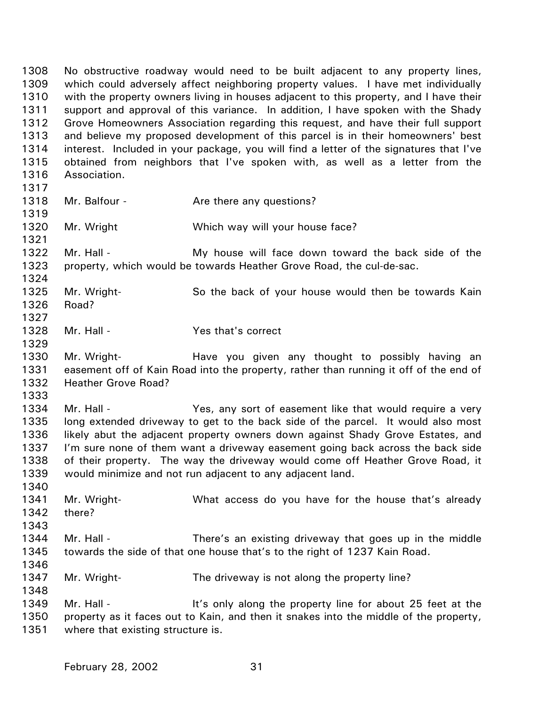1308 1309 1310 1311 1312 1313 1314 1315 1316 No obstructive roadway would need to be built adjacent to any property lines, which could adversely affect neighboring property values. I have met individually with the property owners living in houses adjacent to this property, and I have their support and approval of this variance. In addition, I have spoken with the Shady Grove Homeowners Association regarding this request, and have their full support and believe my proposed development of this parcel is in their homeowners' best interest. Included in your package, you will find a letter of the signatures that I've obtained from neighbors that I've spoken with, as well as a letter from the Association.

1317 1318

1319

1321

1324

Mr. Balfour - The Are there any questions?

1320 Mr. Wright Which way will your house face?

1322 1323 Mr. Hall - The My house will face down toward the back side of the property, which would be towards Heather Grove Road, the cul-de-sac.

1325 1326 Mr. Wright- So the back of your house would then be towards Kain Road?

1327

1328 1329 Mr. Hall - The Yes that's correct

1330 1331 1332 Mr. Wright- **Have you given any thought to possibly having an** easement off of Kain Road into the property, rather than running it off of the end of Heather Grove Road?

1333

1334 1335 1336 1337 1338 1339 Mr. Hall - The Yes, any sort of easement like that would require a very long extended driveway to get to the back side of the parcel. It would also most likely abut the adjacent property owners down against Shady Grove Estates, and I'm sure none of them want a driveway easement going back across the back side of their property. The way the driveway would come off Heather Grove Road, it would minimize and not run adjacent to any adjacent land.

1341 1342 1343 Mr. Wright- What access do you have for the house that's already there?

1344 1345 Mr. Hall - There's an existing driveway that goes up in the middle towards the side of that one house that's to the right of 1237 Kain Road.

1346

1348

1340

1347 Mr. Wright- The driveway is not along the property line?

1349 1350 1351 Mr. Hall - It's only along the property line for about 25 feet at the property as it faces out to Kain, and then it snakes into the middle of the property, where that existing structure is.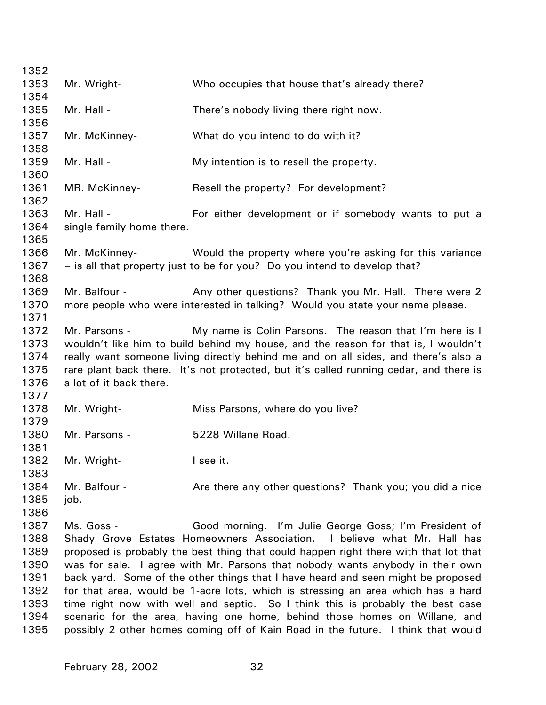| 1352         |                           |                                                                                        |
|--------------|---------------------------|----------------------------------------------------------------------------------------|
| 1353         | Mr. Wright-               | Who occupies that house that's already there?                                          |
| 1354         |                           |                                                                                        |
| 1355         | Mr. Hall -                | There's nobody living there right now.                                                 |
| 1356         |                           |                                                                                        |
| 1357         | Mr. McKinney-             | What do you intend to do with it?                                                      |
| 1358         |                           |                                                                                        |
| 1359         | Mr. Hall -                | My intention is to resell the property.                                                |
| 1360         |                           |                                                                                        |
| 1361         | MR. McKinney-             | Resell the property? For development?                                                  |
| 1362         | Mr. Hall -                |                                                                                        |
| 1363<br>1364 | single family home there. | For either development or if somebody wants to put a                                   |
| 1365         |                           |                                                                                        |
| 1366         | Mr. McKinney-             | Would the property where you're asking for this variance                               |
| 1367         |                           | - is all that property just to be for you? Do you intend to develop that?              |
| 1368         |                           |                                                                                        |
| 1369         | Mr. Balfour -             | Any other questions? Thank you Mr. Hall. There were 2                                  |
| 1370         |                           | more people who were interested in talking? Would you state your name please.          |
| 1371         |                           |                                                                                        |
| 1372         | Mr. Parsons -             | My name is Colin Parsons. The reason that I'm here is I                                |
| 1373         |                           | wouldn't like him to build behind my house, and the reason for that is, I wouldn't     |
| 1374         |                           | really want someone living directly behind me and on all sides, and there's also a     |
| 1375         |                           | rare plant back there. It's not protected, but it's called running cedar, and there is |
| 1376         | a lot of it back there.   |                                                                                        |
| 1377         |                           |                                                                                        |
| 1378         | Mr. Wright-               | Miss Parsons, where do you live?                                                       |
| 1379         |                           |                                                                                        |
| 1380         | Mr. Parsons -             | 5228 Willane Road.                                                                     |
| 1381         |                           |                                                                                        |
| 1382<br>1383 | Mr. Wright-               | I see it.                                                                              |
| 1384         | Mr. Balfour -             | Are there any other questions? Thank you; you did a nice                               |
| 1385         | job.                      |                                                                                        |
| 1386         |                           |                                                                                        |
| 1387         | Ms. Goss -                | Good morning. I'm Julie George Goss; I'm President of                                  |
| 1388         |                           | Shady Grove Estates Homeowners Association.<br>I believe what Mr. Hall has             |
| 1389         |                           | proposed is probably the best thing that could happen right there with that lot that   |
| 1390         |                           | was for sale. I agree with Mr. Parsons that nobody wants anybody in their own          |
| 1391         |                           | back yard. Some of the other things that I have heard and seen might be proposed       |
| 1392         |                           | for that area, would be 1-acre lots, which is stressing an area which has a hard       |
| 1393         |                           | time right now with well and septic. So I think this is probably the best case         |
| 1394         |                           | scenario for the area, having one home, behind those homes on Willane, and             |
| 1395         |                           | possibly 2 other homes coming off of Kain Road in the future. I think that would       |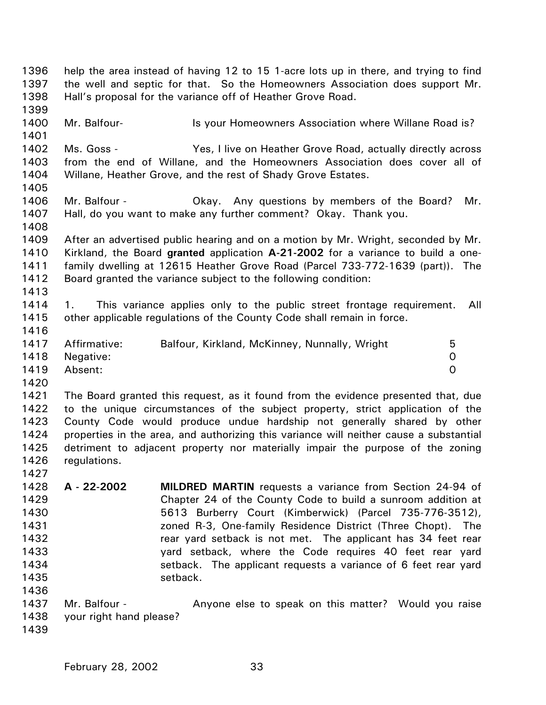1396 1397 1398 1399 1400 1401 1402 1403 1404 1405 1406 1407 1408 1409 1410 1411 1412 1413 1414 1415 1416 1417 1418 1419 1420 1421 1422 1423 1424 1425 1426 1427 1428 1429 1430 1431 1432 1433 1434 1435 1436 1437 1438 1439 help the area instead of having 12 to 15 1-acre lots up in there, and trying to find the well and septic for that. So the Homeowners Association does support Mr. Hall's proposal for the variance off of Heather Grove Road. Mr. Balfour- **IS your Homeowners Association where Willane Road is?** Ms. Goss - Yes, I live on Heather Grove Road, actually directly across from the end of Willane, and the Homeowners Association does cover all of Willane, Heather Grove, and the rest of Shady Grove Estates. Mr. Balfour - Okay. Any questions by members of the Board? Mr. Hall, do you want to make any further comment? Okay. Thank you. After an advertised public hearing and on a motion by Mr. Wright, seconded by Mr. Kirkland, the Board **granted** application **A-21-2002** for a variance to build a onefamily dwelling at 12615 Heather Grove Road (Parcel 733-772-1639 (part)). The Board granted the variance subject to the following condition: 1. This variance applies only to the public street frontage requirement. All other applicable regulations of the County Code shall remain in force. Affirmative: Balfour, Kirkland, McKinney, Nunnally, Wright 5 Negative: 0 Absent: 0 The Board granted this request, as it found from the evidence presented that, due to the unique circumstances of the subject property, strict application of the County Code would produce undue hardship not generally shared by other properties in the area, and authorizing this variance will neither cause a substantial detriment to adjacent property nor materially impair the purpose of the zoning regulations. **A - 22-2002 MILDRED MARTIN** requests a variance from Section 24-94 of Chapter 24 of the County Code to build a sunroom addition at 5613 Burberry Court (Kimberwick) (Parcel 735-776-3512), zoned R-3, One-family Residence District (Three Chopt). The rear yard setback is not met. The applicant has 34 feet rear yard setback, where the Code requires 40 feet rear yard setback. The applicant requests a variance of 6 feet rear yard setback. Mr. Balfour - **Anyone else to speak on this matter?** Would you raise your right hand please?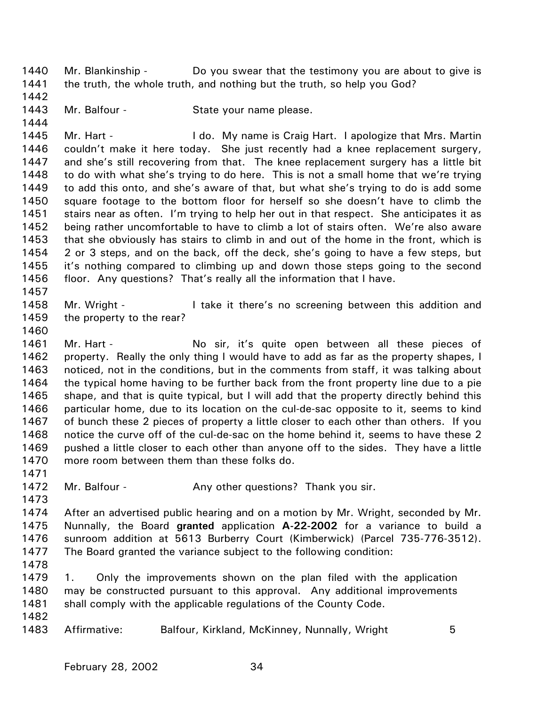1440 1441 Mr. Blankinship - Do you swear that the testimony you are about to give is the truth, the whole truth, and nothing but the truth, so help you God?

- 1442
- 1443 1444
- Mr. Balfour State your name please.

1445 1446 1447 1448 1449 1450 1451 1452 1453 1454 1455 1456 Mr. Hart - I do. My name is Craig Hart. I apologize that Mrs. Martin couldn't make it here today. She just recently had a knee replacement surgery, and she's still recovering from that. The knee replacement surgery has a little bit to do with what she's trying to do here. This is not a small home that we're trying to add this onto, and she's aware of that, but what she's trying to do is add some square footage to the bottom floor for herself so she doesn't have to climb the stairs near as often. I'm trying to help her out in that respect. She anticipates it as being rather uncomfortable to have to climb a lot of stairs often. We're also aware that she obviously has stairs to climb in and out of the home in the front, which is 2 or 3 steps, and on the back, off the deck, she's going to have a few steps, but it's nothing compared to climbing up and down those steps going to the second floor. Any questions? That's really all the information that I have.

1458 1459 Mr. Wright - The little it there's no screening between this addition and the property to the rear?

1460

1457

1461 1462 1463 1464 1465 1466 1467 1468 1469 1470 Mr. Hart - No sir, it's quite open between all these pieces of property. Really the only thing I would have to add as far as the property shapes, I noticed, not in the conditions, but in the comments from staff, it was talking about the typical home having to be further back from the front property line due to a pie shape, and that is quite typical, but I will add that the property directly behind this particular home, due to its location on the cul-de-sac opposite to it, seems to kind of bunch these 2 pieces of property a little closer to each other than others. If you notice the curve off of the cul-de-sac on the home behind it, seems to have these 2 pushed a little closer to each other than anyone off to the sides. They have a little more room between them than these folks do.

1472 Mr. Balfour - Any other questions? Thank you sir.

1473

1471

1474 1475 1476 1477 After an advertised public hearing and on a motion by Mr. Wright, seconded by Mr. Nunnally, the Board **granted** application **A-22-2002** for a variance to build a sunroom addition at 5613 Burberry Court (Kimberwick) (Parcel 735-776-3512). The Board granted the variance subject to the following condition:

1478

1479 1480 1481 1482 1. Only the improvements shown on the plan filed with the application may be constructed pursuant to this approval. Any additional improvements shall comply with the applicable regulations of the County Code.

1483 Affirmative: Balfour, Kirkland, McKinney, Nunnally, Wright 5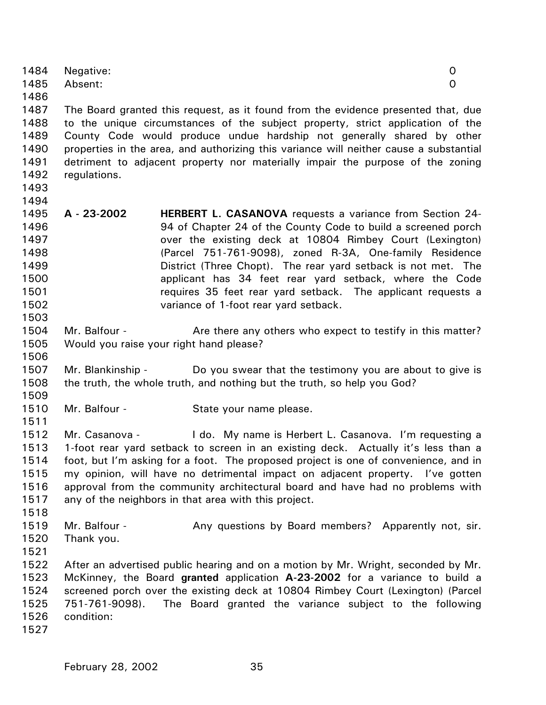| 1484 | Negative:                                                                         |  |
|------|-----------------------------------------------------------------------------------|--|
| 1485 | Absent:                                                                           |  |
| 1486 |                                                                                   |  |
| 1487 | The Board granted this request, as it found from the evidence presented that, due |  |

1488 1489 1490 1491 1492 to the unique circumstances of the subject property, strict application of the County Code would produce undue hardship not generally shared by other properties in the area, and authorizing this variance will neither cause a substantial detriment to adjacent property nor materially impair the purpose of the zoning regulations.

1493 1494

1503

1506

1511

- 1495 1496 1497 1498 1499 1500 1501 1502 **A - 23-2002 HERBERT L. CASANOVA** requests a variance from Section 24- 94 of Chapter 24 of the County Code to build a screened porch over the existing deck at 10804 Rimbey Court (Lexington) (Parcel 751-761-9098), zoned R-3A, One-family Residence District (Three Chopt). The rear yard setback is not met. The applicant has 34 feet rear yard setback, where the Code requires 35 feet rear yard setback. The applicant requests a variance of 1-foot rear yard setback.
- 1504 1505 Mr. Balfour - Are there any others who expect to testify in this matter? Would you raise your right hand please?
- 1507 1508 1509 Mr. Blankinship - Do you swear that the testimony you are about to give is the truth, the whole truth, and nothing but the truth, so help you God?
- 1510 Mr. Balfour - State your name please.

1512 1513 1514 1515 1516 1517 Mr. Casanova - I do. My name is Herbert L. Casanova. I'm requesting a 1-foot rear yard setback to screen in an existing deck. Actually it's less than a foot, but I'm asking for a foot. The proposed project is one of convenience, and in my opinion, will have no detrimental impact on adjacent property. I've gotten approval from the community architectural board and have had no problems with any of the neighbors in that area with this project.

1518

1519 1520 Mr. Balfour - Any questions by Board members? Apparently not, sir. Thank you.

1521

1522 1523 1524 1525 1526 After an advertised public hearing and on a motion by Mr. Wright, seconded by Mr. McKinney, the Board **granted** application **A-23-2002** for a variance to build a screened porch over the existing deck at 10804 Rimbey Court (Lexington) (Parcel 751-761-9098). The Board granted the variance subject to the following condition:

1527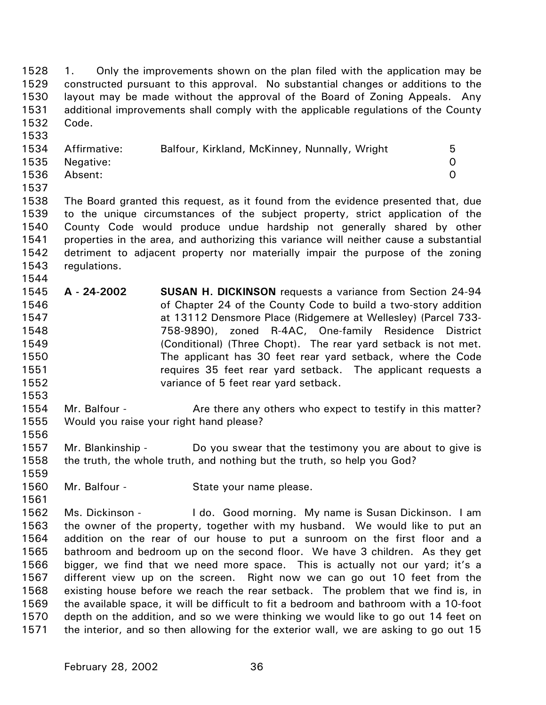1528 1529 1530 1531 1532 1. Only the improvements shown on the plan filed with the application may be constructed pursuant to this approval. No substantial changes or additions to the layout may be made without the approval of the Board of Zoning Appeals. Any additional improvements shall comply with the applicable regulations of the County Code.

|      | 1534 Affirmative: | Balfour, Kirkland, McKinney, Nunnally, Wright | 5 |
|------|-------------------|-----------------------------------------------|---|
|      | 1535 Negative:    |                                               |   |
| 1536 | Absent:           |                                               |   |

1538 1539 1540 1541 1542 1543 The Board granted this request, as it found from the evidence presented that, due to the unique circumstances of the subject property, strict application of the County Code would produce undue hardship not generally shared by other properties in the area, and authorizing this variance will neither cause a substantial detriment to adjacent property nor materially impair the purpose of the zoning regulations.

- 1545 1546 1547 1548 1549 1550 1551 1552 **A - 24-2002 SUSAN H. DICKINSON** requests a variance from Section 24-94 of Chapter 24 of the County Code to build a two-story addition at 13112 Densmore Place (Ridgemere at Wellesley) (Parcel 733- 758-9890), zoned R-4AC, One-family Residence District (Conditional) (Three Chopt). The rear yard setback is not met. The applicant has 30 feet rear yard setback, where the Code requires 35 feet rear yard setback. The applicant requests a variance of 5 feet rear yard setback.
- 1554 1555 Mr. Balfour - Are there any others who expect to testify in this matter? Would you raise your right hand please?
- 1557 1558 Mr. Blankinship - Do you swear that the testimony you are about to give is the truth, the whole truth, and nothing but the truth, so help you God?
- 1560 Mr. Balfour - State your name please.
- 1562 1563 1564 1565 1566 1567 1568 1569 1570 1571 Ms. Dickinson - I do. Good morning. My name is Susan Dickinson. I am the owner of the property, together with my husband. We would like to put an addition on the rear of our house to put a sunroom on the first floor and a bathroom and bedroom up on the second floor. We have 3 children. As they get bigger, we find that we need more space. This is actually not our yard; it's a different view up on the screen. Right now we can go out 10 feet from the existing house before we reach the rear setback. The problem that we find is, in the available space, it will be difficult to fit a bedroom and bathroom with a 10-foot depth on the addition, and so we were thinking we would like to go out 14 feet on the interior, and so then allowing for the exterior wall, we are asking to go out 15

1533

1537

1544

1553

1556

1559

1561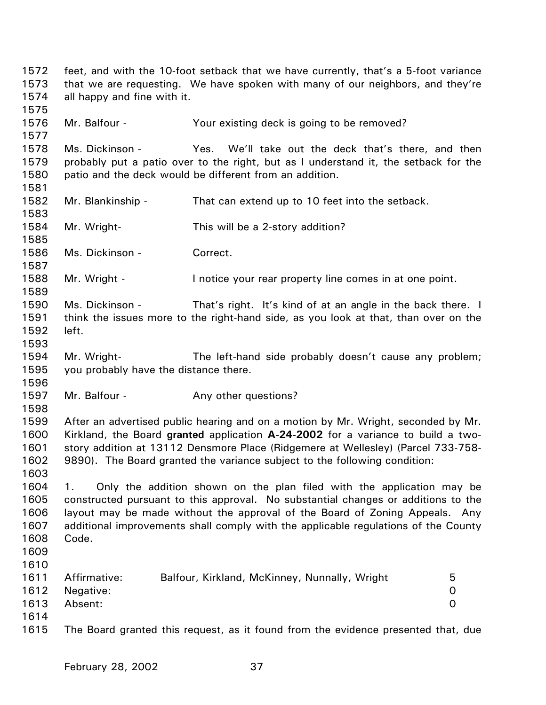1572 1573 1574 1575 1576 1577 1578 1579 1580 1581 1582 1583 1584 1585 1586 1587 1588 1589 1590 1591 1592 1593 1594 1595 1596 1597 1598 1599 1600 1601 1602 1603 1604 1605 1606 1607 1608 1609 1610 1611 1612 1613 1614 1615 feet, and with the 10-foot setback that we have currently, that's a 5-foot variance that we are requesting. We have spoken with many of our neighbors, and they're all happy and fine with it. Mr. Balfour - The Your existing deck is going to be removed? Ms. Dickinson - Yes. We'll take out the deck that's there, and then probably put a patio over to the right, but as I understand it, the setback for the patio and the deck would be different from an addition. Mr. Blankinship - That can extend up to 10 feet into the setback. Mr. Wright- This will be a 2-story addition? Ms. Dickinson - Correct. Mr. Wright - Inotice your rear property line comes in at one point. Ms. Dickinson - That's right. It's kind of at an angle in the back there. I think the issues more to the right-hand side, as you look at that, than over on the left. Mr. Wright- The left-hand side probably doesn't cause any problem; you probably have the distance there. Mr. Balfour - The Any other questions? After an advertised public hearing and on a motion by Mr. Wright, seconded by Mr. Kirkland, the Board **granted** application **A-24-2002** for a variance to build a twostory addition at 13112 Densmore Place (Ridgemere at Wellesley) (Parcel 733-758- 9890). The Board granted the variance subject to the following condition: 1. Only the addition shown on the plan filed with the application may be constructed pursuant to this approval. No substantial changes or additions to the layout may be made without the approval of the Board of Zoning Appeals. Any additional improvements shall comply with the applicable regulations of the County Code. Affirmative: Balfour, Kirkland, McKinney, Nunnally, Wright 5 Negative: 0 Absent: 0 The Board granted this request, as it found from the evidence presented that, due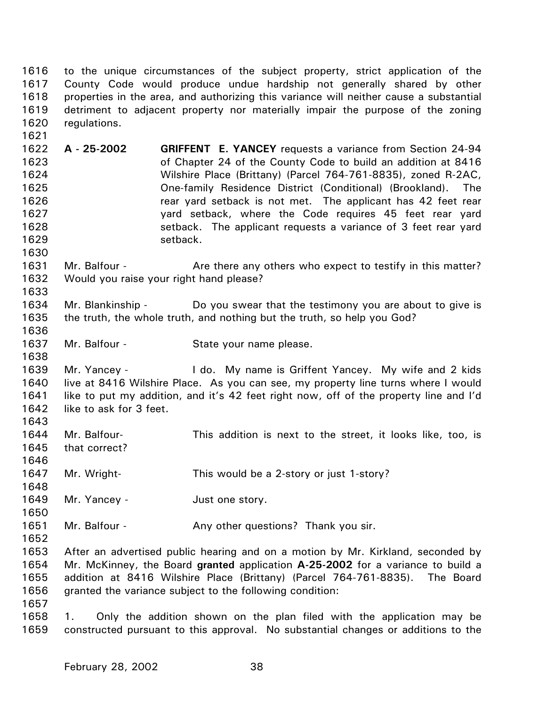1616 1617 1618 1619 1620 to the unique circumstances of the subject property, strict application of the County Code would produce undue hardship not generally shared by other properties in the area, and authorizing this variance will neither cause a substantial detriment to adjacent property nor materially impair the purpose of the zoning regulations.

1622 1623 1624 1625 1626 1627 1628 1629 **A - 25-2002 GRIFFENT E. YANCEY** requests a variance from Section 24-94 of Chapter 24 of the County Code to build an addition at 8416 Wilshire Place (Brittany) (Parcel 764-761-8835), zoned R-2AC, One-family Residence District (Conditional) (Brookland). The rear yard setback is not met. The applicant has 42 feet rear yard setback, where the Code requires 45 feet rear yard setback. The applicant requests a variance of 3 feet rear yard setback.

1631 1632 Mr. Balfour - **Are there any others who expect to testify in this matter?** Would you raise your right hand please?

- 1634 1635 1636 Mr. Blankinship - Do you swear that the testimony you are about to give is the truth, the whole truth, and nothing but the truth, so help you God?
- 1637 Mr. Balfour - State your name please.

1639 1640 1641 1642 Mr. Yancey - I do. My name is Griffent Yancey. My wife and 2 kids live at 8416 Wilshire Place. As you can see, my property line turns where I would like to put my addition, and it's 42 feet right now, off of the property line and I'd like to ask for 3 feet.

- 1644 1645 Mr. Balfour- This addition is next to the street, it looks like, too, is that correct?
- 1647 Mr. Wright- This would be a 2-story or just 1-story?
- 1649 Mr. Yancey - Just one story.
- 1651 Mr. Balfour - Any other questions? Thank you sir.
- 1652

1621

1630

1633

1638

1643

1646

1648

1650

1653 1654 1655 1656 After an advertised public hearing and on a motion by Mr. Kirkland, seconded by Mr. McKinney, the Board **granted** application **A-25-2002** for a variance to build a addition at 8416 Wilshire Place (Brittany) (Parcel 764-761-8835). The Board granted the variance subject to the following condition:

1657

1658 1659 1. Only the addition shown on the plan filed with the application may be constructed pursuant to this approval. No substantial changes or additions to the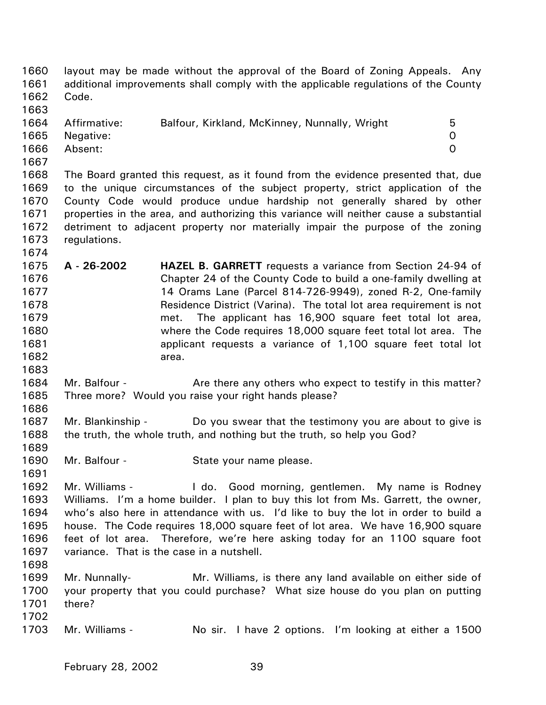| 1660<br>1661<br>1662<br>1663                                         | Code.                                | layout may be made without the approval of the Board of Zoning Appeals. Any<br>additional improvements shall comply with the applicable regulations of the County                                                                                                                                                                                                                                                                                                                   |                    |
|----------------------------------------------------------------------|--------------------------------------|-------------------------------------------------------------------------------------------------------------------------------------------------------------------------------------------------------------------------------------------------------------------------------------------------------------------------------------------------------------------------------------------------------------------------------------------------------------------------------------|--------------------|
| 1664<br>1665<br>1666<br>1667                                         | Affirmative:<br>Negative:<br>Absent: | Balfour, Kirkland, McKinney, Nunnally, Wright                                                                                                                                                                                                                                                                                                                                                                                                                                       | 5<br>0<br>$\Omega$ |
| 1668<br>1669<br>1670<br>1671<br>1672<br>1673<br>1674                 | regulations.                         | The Board granted this request, as it found from the evidence presented that, due<br>to the unique circumstances of the subject property, strict application of the<br>County Code would produce undue hardship not generally shared by other<br>properties in the area, and authorizing this variance will neither cause a substantial<br>detriment to adjacent property nor materially impair the purpose of the zoning                                                           |                    |
| 1675<br>1676<br>1677<br>1678<br>1679<br>1680<br>1681<br>1682<br>1683 | A - 26-2002                          | <b>HAZEL B. GARRETT</b> requests a variance from Section 24-94 of<br>Chapter 24 of the County Code to build a one-family dwelling at<br>14 Orams Lane (Parcel 814-726-9949), zoned R-2, One-family<br>Residence District (Varina). The total lot area requirement is not<br>The applicant has 16,900 square feet total lot area,<br>met.<br>where the Code requires 18,000 square feet total lot area. The<br>applicant requests a variance of 1,100 square feet total lot<br>area. |                    |
| 1684<br>1685<br>1686                                                 | Mr. Balfour -                        | Are there any others who expect to testify in this matter?<br>Three more? Would you raise your right hands please?                                                                                                                                                                                                                                                                                                                                                                  |                    |
| 1687<br>1688<br>1689                                                 | Mr. Blankinship -                    | Do you swear that the testimony you are about to give is<br>the truth, the whole truth, and nothing but the truth, so help you God?                                                                                                                                                                                                                                                                                                                                                 |                    |
| 1690<br>1691                                                         | Mr. Balfour -                        | State your name please.                                                                                                                                                                                                                                                                                                                                                                                                                                                             |                    |
| 1692<br>1693<br>1694<br>1695<br>1696<br>1697<br>1698                 | Mr. Williams -                       | I do. Good morning, gentlemen. My name is Rodney<br>Williams. I'm a home builder. I plan to buy this lot from Ms. Garrett, the owner,<br>who's also here in attendance with us. I'd like to buy the lot in order to build a<br>house. The Code requires 18,000 square feet of lot area. We have 16,900 square<br>feet of lot area. Therefore, we're here asking today for an 1100 square foot<br>variance. That is the case in a nutshell.                                          |                    |
| 1699<br>1700<br>1701<br>1702                                         | Mr. Nunnally-<br>there?              | Mr. Williams, is there any land available on either side of<br>your property that you could purchase? What size house do you plan on putting                                                                                                                                                                                                                                                                                                                                        |                    |
| 1703                                                                 | Mr. Williams -                       | No sir. I have 2 options. I'm looking at either a 1500                                                                                                                                                                                                                                                                                                                                                                                                                              |                    |
|                                                                      |                                      |                                                                                                                                                                                                                                                                                                                                                                                                                                                                                     |                    |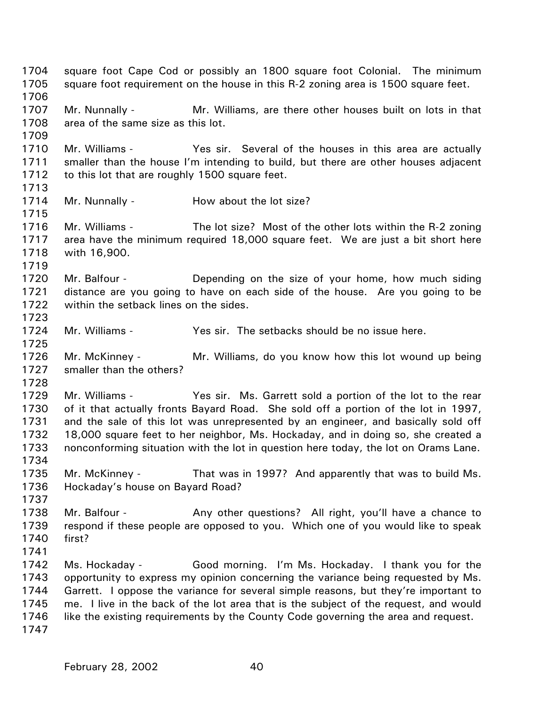1704 1705 1706 1707 1708 1709 1710 1711 1712 1713 1714 1715 1716 1717 1718 1719 1720 1721 1722 1723 1724 1725 1726 1727 1728 1729 1730 1731 1732 1733 1734 1735 1736 1737 1738 1739 1740 1741 1742 1743 1744 1745 1746 1747 square foot Cape Cod or possibly an 1800 square foot Colonial. The minimum square foot requirement on the house in this R-2 zoning area is 1500 square feet. Mr. Nunnally - Mr. Williams, are there other houses built on lots in that area of the same size as this lot. Mr. Williams - Yes sir. Several of the houses in this area are actually smaller than the house I'm intending to build, but there are other houses adjacent to this lot that are roughly 1500 square feet. Mr. Nunnally - How about the lot size? Mr. Williams - The lot size? Most of the other lots within the R-2 zoning area have the minimum required 18,000 square feet. We are just a bit short here with 16,900. Mr. Balfour - **Depending on the size of your home, how much siding** distance are you going to have on each side of the house. Are you going to be within the setback lines on the sides. Mr. Williams - Yes sir. The setbacks should be no issue here. Mr. McKinney - Mr. Williams, do you know how this lot wound up being smaller than the others? Mr. Williams - Yes sir. Ms. Garrett sold a portion of the lot to the rear of it that actually fronts Bayard Road. She sold off a portion of the lot in 1997, and the sale of this lot was unrepresented by an engineer, and basically sold off 18,000 square feet to her neighbor, Ms. Hockaday, and in doing so, she created a nonconforming situation with the lot in question here today, the lot on Orams Lane. Mr. McKinney - That was in 1997? And apparently that was to build Ms. Hockaday's house on Bayard Road? Mr. Balfour - Any other questions? All right, you'll have a chance to respond if these people are opposed to you. Which one of you would like to speak first? Ms. Hockaday - Good morning. I'm Ms. Hockaday. I thank you for the opportunity to express my opinion concerning the variance being requested by Ms. Garrett. I oppose the variance for several simple reasons, but they're important to me. I live in the back of the lot area that is the subject of the request, and would like the existing requirements by the County Code governing the area and request.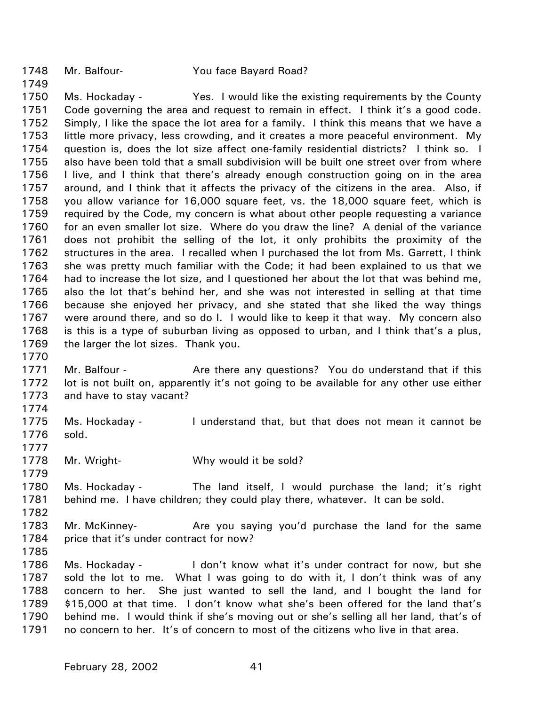1748 Mr. Balfour- You face Bayard Road?

1749

1750 1751 1752 1753 1754 1755 1756 1757 1758 1759 1760 1761 1762 1763 1764 1765 1766 1767 1768 1769 Ms. Hockaday - Yes. I would like the existing requirements by the County Code governing the area and request to remain in effect. I think it's a good code. Simply, I like the space the lot area for a family. I think this means that we have a little more privacy, less crowding, and it creates a more peaceful environment. My question is, does the lot size affect one-family residential districts? I think so. I also have been told that a small subdivision will be built one street over from where I live, and I think that there's already enough construction going on in the area around, and I think that it affects the privacy of the citizens in the area. Also, if you allow variance for 16,000 square feet, vs. the 18,000 square feet, which is required by the Code, my concern is what about other people requesting a variance for an even smaller lot size. Where do you draw the line? A denial of the variance does not prohibit the selling of the lot, it only prohibits the proximity of the structures in the area. I recalled when I purchased the lot from Ms. Garrett, I think she was pretty much familiar with the Code; it had been explained to us that we had to increase the lot size, and I questioned her about the lot that was behind me, also the lot that's behind her, and she was not interested in selling at that time because she enjoyed her privacy, and she stated that she liked the way things were around there, and so do I. I would like to keep it that way. My concern also is this is a type of suburban living as opposed to urban, and I think that's a plus, the larger the lot sizes. Thank you.

- 1771 1772 1773 Mr. Balfour - Are there any questions? You do understand that if this lot is not built on, apparently it's not going to be available for any other use either and have to stay vacant?
- 1775 1776 Ms. Hockaday - I understand that, but that does not mean it cannot be sold.
- 1778 Mr. Wright- Why would it be sold?
- 1780 1781 Ms. Hockaday - The land itself, I would purchase the land; it's right behind me. I have children; they could play there, whatever. It can be sold.
- 1782

1770

1774

1777

1779

- 1783 1784 Mr. McKinney- Are you saying you'd purchase the land for the same price that it's under contract for now?
- 1785
- 1786 1787 1788 1789 1790 1791 Ms. Hockaday - I don't know what it's under contract for now, but she sold the lot to me. What I was going to do with it, I don't think was of any concern to her. She just wanted to sell the land, and I bought the land for \$15,000 at that time. I don't know what she's been offered for the land that's behind me. I would think if she's moving out or she's selling all her land, that's of no concern to her. It's of concern to most of the citizens who live in that area.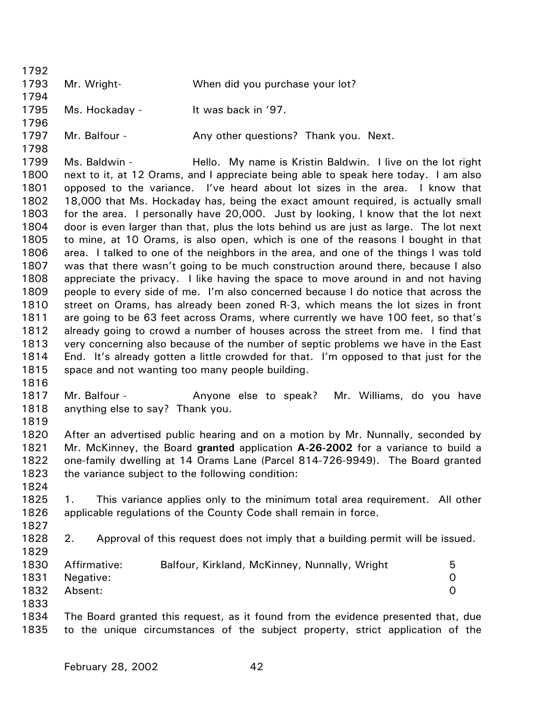1792 1793 1794 1795 1796 1797 1798 1799 1800 1801 1802 1803 1804 1805 1806 1807 1808 1809 1810 1811 1812 1813 1814 1815 1816 1817 1818 1819 1820 1821 1822 1823 1824 1825 1826 1827 1828 1829 1830 1831 1832 1833 1834 1835 Mr. Wright- When did you purchase your lot? Ms. Hockaday - It was back in '97. Mr. Balfour - Any other questions? Thank you. Next. Ms. Baldwin - Hello. My name is Kristin Baldwin. I live on the lot right next to it, at 12 Orams, and I appreciate being able to speak here today. I am also opposed to the variance. I've heard about lot sizes in the area. I know that 18,000 that Ms. Hockaday has, being the exact amount required, is actually small for the area. I personally have 20,000. Just by looking, I know that the lot next door is even larger than that, plus the lots behind us are just as large. The lot next to mine, at 10 Orams, is also open, which is one of the reasons I bought in that area. I talked to one of the neighbors in the area, and one of the things I was told was that there wasn't going to be much construction around there, because I also appreciate the privacy. I like having the space to move around in and not having people to every side of me. I'm also concerned because I do notice that across the street on Orams, has already been zoned R-3, which means the lot sizes in front are going to be 63 feet across Orams, where currently we have 100 feet, so that's already going to crowd a number of houses across the street from me. I find that very concerning also because of the number of septic problems we have in the East End. It's already gotten a little crowded for that. I'm opposed to that just for the space and not wanting too many people building. Mr. Balfour - The Anyone else to speak? Mr. Williams, do you have anything else to say? Thank you. After an advertised public hearing and on a motion by Mr. Nunnally, seconded by Mr. McKinney, the Board **granted** application **A-26-2002** for a variance to build a one-family dwelling at 14 Orams Lane (Parcel 814-726-9949). The Board granted the variance subject to the following condition: 1. This variance applies only to the minimum total area requirement. All other applicable regulations of the County Code shall remain in force. 2. Approval of this request does not imply that a building permit will be issued. Affirmative: Balfour, Kirkland, McKinney, Nunnally, Wright 5 Negative: 0 Absent: 0 The Board granted this request, as it found from the evidence presented that, due to the unique circumstances of the subject property, strict application of the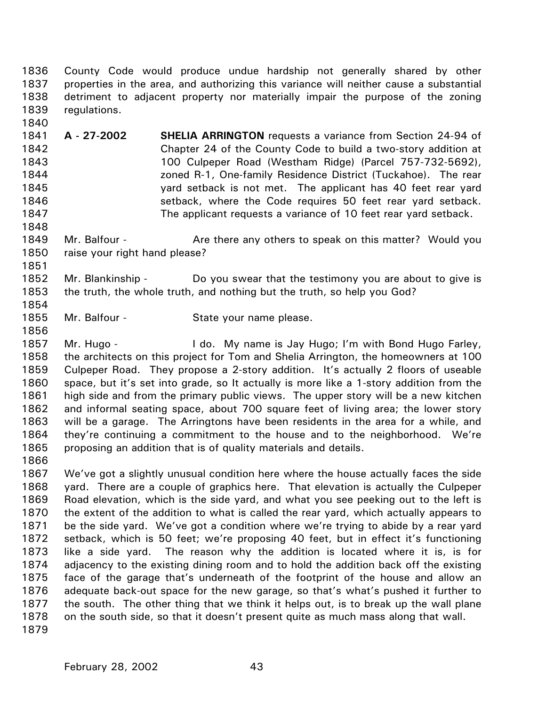1836 1837 1838 1839 County Code would produce undue hardship not generally shared by other properties in the area, and authorizing this variance will neither cause a substantial detriment to adjacent property nor materially impair the purpose of the zoning regulations.

1841 1842 1843 1844 1845 1846 1847 **A - 27-2002 SHELIA ARRINGTON** requests a variance from Section 24-94 of Chapter 24 of the County Code to build a two-story addition at 100 Culpeper Road (Westham Ridge) (Parcel 757-732-5692), zoned R-1, One-family Residence District (Tuckahoe). The rear yard setback is not met. The applicant has 40 feet rear yard setback, where the Code requires 50 feet rear yard setback. The applicant requests a variance of 10 feet rear yard setback.

1849 1850 Mr. Balfour - **Are there any others to speak on this matter?** Would you raise your right hand please?

1852 1853 Mr. Blankinship - Do you swear that the testimony you are about to give is the truth, the whole truth, and nothing but the truth, so help you God?

1855 Mr. Balfour - State your name please.

1856 1857 1858 1859 1860 1861 1862 1863 1864 1865 Mr. Hugo - I do. My name is Jay Hugo; I'm with Bond Hugo Farley, the architects on this project for Tom and Shelia Arrington, the homeowners at 100 Culpeper Road. They propose a 2-story addition. It's actually 2 floors of useable space, but it's set into grade, so It actually is more like a 1-story addition from the high side and from the primary public views. The upper story will be a new kitchen and informal seating space, about 700 square feet of living area; the lower story will be a garage. The Arringtons have been residents in the area for a while, and they're continuing a commitment to the house and to the neighborhood. We're proposing an addition that is of quality materials and details.

1866

1840

1848

1851

1854

1867 1868 1869 1870 1871 1872 1873 1874 1875 1876 1877 1878 1879 We've got a slightly unusual condition here where the house actually faces the side yard. There are a couple of graphics here. That elevation is actually the Culpeper Road elevation, which is the side yard, and what you see peeking out to the left is the extent of the addition to what is called the rear yard, which actually appears to be the side yard. We've got a condition where we're trying to abide by a rear yard setback, which is 50 feet; we're proposing 40 feet, but in effect it's functioning like a side yard. The reason why the addition is located where it is, is for adjacency to the existing dining room and to hold the addition back off the existing face of the garage that's underneath of the footprint of the house and allow an adequate back-out space for the new garage, so that's what's pushed it further to the south. The other thing that we think it helps out, is to break up the wall plane on the south side, so that it doesn't present quite as much mass along that wall.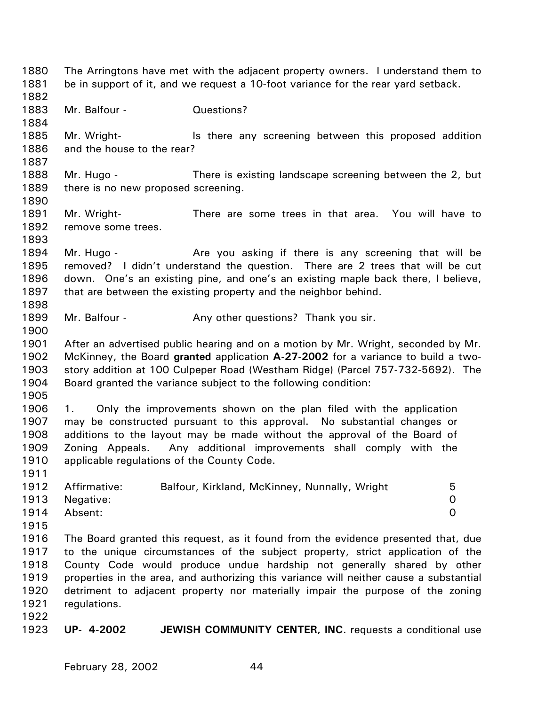1880 1881 1882 1883 1884 1885 1886 1887 1888 1889 1890 1891 1892 1893 1894 1895 1896 1897 1898 1899 1900 1901 1902 1903 1904 1905 1906 1907 1908 1909 1910 1911 1912 1913 1914 1915 1916 1917 1918 1919 1920 1921 1922 1923 The Arringtons have met with the adjacent property owners. I understand them to be in support of it, and we request a 10-foot variance for the rear yard setback. Mr. Balfour - Cuestions? Mr. Wright- **IS there any screening between this proposed addition** and the house to the rear? Mr. Hugo - There is existing landscape screening between the 2, but there is no new proposed screening. Mr. Wright- There are some trees in that area. You will have to remove some trees. Mr. Hugo - The Are you asking if there is any screening that will be removed? I didn't understand the question. There are 2 trees that will be cut down. One's an existing pine, and one's an existing maple back there, I believe, that are between the existing property and the neighbor behind. Mr. Balfour - Any other questions? Thank you sir. After an advertised public hearing and on a motion by Mr. Wright, seconded by Mr. McKinney, the Board **granted** application **A-27-2002** for a variance to build a twostory addition at 100 Culpeper Road (Westham Ridge) (Parcel 757-732-5692). The Board granted the variance subject to the following condition: 1. Only the improvements shown on the plan filed with the application may be constructed pursuant to this approval. No substantial changes or additions to the layout may be made without the approval of the Board of Zoning Appeals. Any additional improvements shall comply with the applicable regulations of the County Code. Affirmative: Balfour, Kirkland, McKinney, Nunnally, Wright 5 Negative: 0 Absent: 0 The Board granted this request, as it found from the evidence presented that, due to the unique circumstances of the subject property, strict application of the County Code would produce undue hardship not generally shared by other properties in the area, and authorizing this variance will neither cause a substantial detriment to adjacent property nor materially impair the purpose of the zoning regulations. **UP- 4-2002 JEWISH COMMUNITY CENTER, INC**. requests a conditional use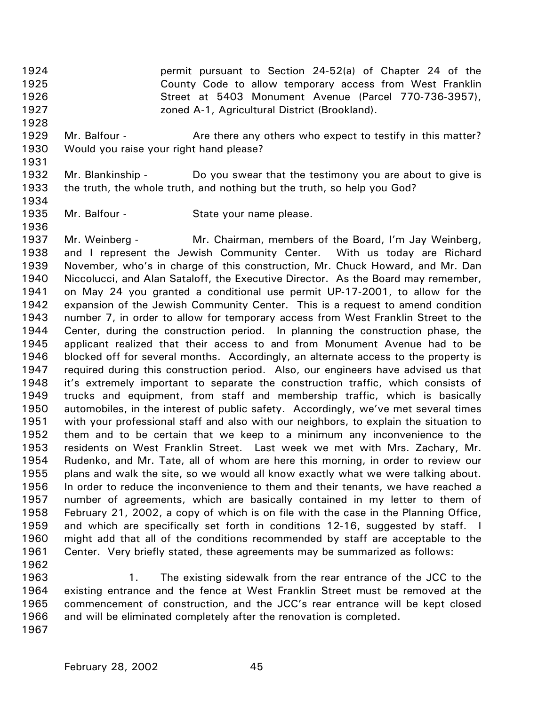1924 1925 1926 1927 permit pursuant to Section 24-52(a) of Chapter 24 of the County Code to allow temporary access from West Franklin Street at 5403 Monument Avenue (Parcel 770-736-3957), zoned A-1, Agricultural District (Brookland).

- 1929 1930 Mr. Balfour - **Are there any others who expect to testify in this matter?** Would you raise your right hand please?
- 1931

1936

1928

1932 1933 1934 Mr. Blankinship - Do you swear that the testimony you are about to give is the truth, the whole truth, and nothing but the truth, so help you God?

1935 Mr. Balfour - State your name please.

1937 1938 1939 1940 1941 1942 1943 1944 1945 1946 1947 1948 1949 1950 1951 1952 1953 1954 1955 1956 1957 1958 1959 1960 1961 1962 Mr. Weinberg - Mr. Chairman, members of the Board, I'm Jay Weinberg, and I represent the Jewish Community Center. With us today are Richard November, who's in charge of this construction, Mr. Chuck Howard, and Mr. Dan Niccolucci, and Alan Sataloff, the Executive Director. As the Board may remember, on May 24 you granted a conditional use permit UP-17-2001, to allow for the expansion of the Jewish Community Center. This is a request to amend condition number 7, in order to allow for temporary access from West Franklin Street to the Center, during the construction period. In planning the construction phase, the applicant realized that their access to and from Monument Avenue had to be blocked off for several months. Accordingly, an alternate access to the property is required during this construction period. Also, our engineers have advised us that it's extremely important to separate the construction traffic, which consists of trucks and equipment, from staff and membership traffic, which is basically automobiles, in the interest of public safety. Accordingly, we've met several times with your professional staff and also with our neighbors, to explain the situation to them and to be certain that we keep to a minimum any inconvenience to the residents on West Franklin Street. Last week we met with Mrs. Zachary, Mr. Rudenko, and Mr. Tate, all of whom are here this morning, in order to review our plans and walk the site, so we would all know exactly what we were talking about. In order to reduce the inconvenience to them and their tenants, we have reached a number of agreements, which are basically contained in my letter to them of February 21, 2002, a copy of which is on file with the case in the Planning Office, and which are specifically set forth in conditions 12-16, suggested by staff. I might add that all of the conditions recommended by staff are acceptable to the Center. Very briefly stated, these agreements may be summarized as follows:

1963 1964 1965 1966 1967 1. The existing sidewalk from the rear entrance of the JCC to the existing entrance and the fence at West Franklin Street must be removed at the commencement of construction, and the JCC's rear entrance will be kept closed and will be eliminated completely after the renovation is completed.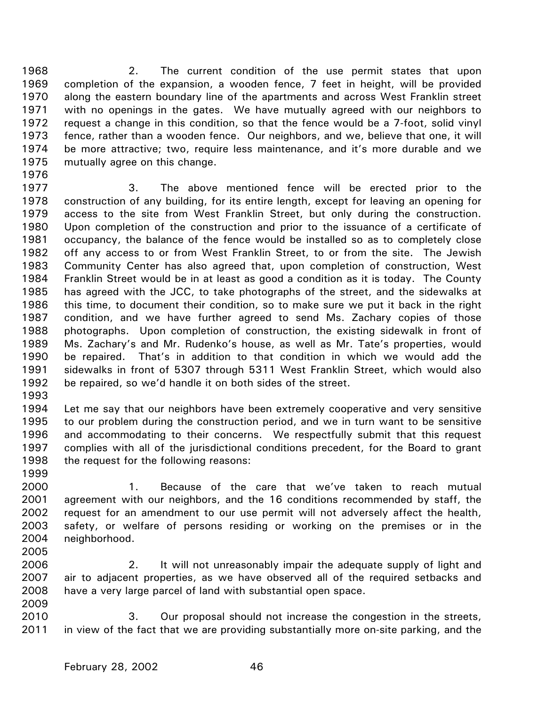1968 1969 1970 1971 1972 1973 1974 1975 2. The current condition of the use permit states that upon completion of the expansion, a wooden fence, 7 feet in height, will be provided along the eastern boundary line of the apartments and across West Franklin street with no openings in the gates. We have mutually agreed with our neighbors to request a change in this condition, so that the fence would be a 7-foot, solid vinyl fence, rather than a wooden fence. Our neighbors, and we, believe that one, it will be more attractive; two, require less maintenance, and it's more durable and we mutually agree on this change.

1976

1977 1978 1979 1980 1981 1982 1983 1984 1985 1986 1987 1988 1989 1990 1991 1992 3. The above mentioned fence will be erected prior to the construction of any building, for its entire length, except for leaving an opening for access to the site from West Franklin Street, but only during the construction. Upon completion of the construction and prior to the issuance of a certificate of occupancy, the balance of the fence would be installed so as to completely close off any access to or from West Franklin Street, to or from the site. The Jewish Community Center has also agreed that, upon completion of construction, West Franklin Street would be in at least as good a condition as it is today. The County has agreed with the JCC, to take photographs of the street, and the sidewalks at this time, to document their condition, so to make sure we put it back in the right condition, and we have further agreed to send Ms. Zachary copies of those photographs. Upon completion of construction, the existing sidewalk in front of Ms. Zachary's and Mr. Rudenko's house, as well as Mr. Tate's properties, would be repaired. That's in addition to that condition in which we would add the sidewalks in front of 5307 through 5311 West Franklin Street, which would also be repaired, so we'd handle it on both sides of the street.

1993

1999

2005

1994 1995 1996 1997 1998 Let me say that our neighbors have been extremely cooperative and very sensitive to our problem during the construction period, and we in turn want to be sensitive and accommodating to their concerns. We respectfully submit that this request complies with all of the jurisdictional conditions precedent, for the Board to grant the request for the following reasons:

2000 2001 2002 2003 2004 1. Because of the care that we've taken to reach mutual agreement with our neighbors, and the 16 conditions recommended by staff, the request for an amendment to our use permit will not adversely affect the health, safety, or welfare of persons residing or working on the premises or in the neighborhood.

2006 2007 2008 2009 2. It will not unreasonably impair the adequate supply of light and air to adjacent properties, as we have observed all of the required setbacks and have a very large parcel of land with substantial open space.

2010 2011 3. Our proposal should not increase the congestion in the streets, in view of the fact that we are providing substantially more on-site parking, and the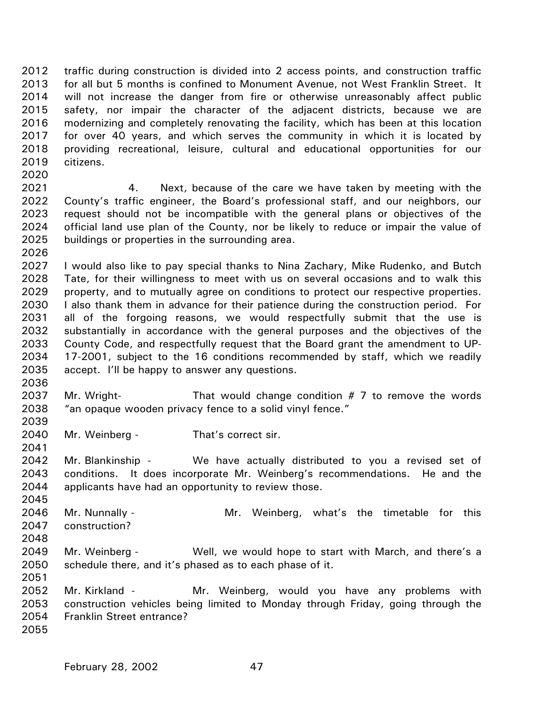2012 2013 2014 2015 2016 2017 2018 2019 traffic during construction is divided into 2 access points, and construction traffic for all but 5 months is confined to Monument Avenue, not West Franklin Street. It will not increase the danger from fire or otherwise unreasonably affect public safety, nor impair the character of the adjacent districts, because we are modernizing and completely renovating the facility, which has been at this location for over 40 years, and which serves the community in which it is located by providing recreational, leisure, cultural and educational opportunities for our citizens.

- 2021 2022 2023 2024 2025 4. Next, because of the care we have taken by meeting with the County's traffic engineer, the Board's professional staff, and our neighbors, our request should not be incompatible with the general plans or objectives of the official land use plan of the County, nor be likely to reduce or impair the value of buildings or properties in the surrounding area.
- 2027 2028 2029 2030 2031 2032 2033 2034 2035 I would also like to pay special thanks to Nina Zachary, Mike Rudenko, and Butch Tate, for their willingness to meet with us on several occasions and to walk this property, and to mutually agree on conditions to protect our respective properties. I also thank them in advance for their patience during the construction period. For all of the forgoing reasons, we would respectfully submit that the use is substantially in accordance with the general purposes and the objectives of the County Code, and respectfully request that the Board grant the amendment to UP-17-2001, subject to the 16 conditions recommended by staff, which we readily accept. I'll be happy to answer any questions.
- 2037 2038 Mr. Wright- That would change condition  $# 7$  to remove the words "an opaque wooden privacy fence to a solid vinyl fence."
- 2040 Mr. Weinberg - That's correct sir.

2020

2026

2036

2039

2041

2051

- 2042 2043 2044 Mr. Blankinship - We have actually distributed to you a revised set of conditions. It does incorporate Mr. Weinberg's recommendations. He and the applicants have had an opportunity to review those.
- 2045 2046 2047 2048 Mr. Nunnally - The Mr. Weinberg, what's the timetable for this construction?
- 2049 2050 Mr. Weinberg - Well, we would hope to start with March, and there's a schedule there, and it's phased as to each phase of it.
- 2052 2053 2054 2055 Mr. Kirkland - The Mr. Weinberg, would you have any problems with construction vehicles being limited to Monday through Friday, going through the Franklin Street entrance?
	- February 28, 2002 47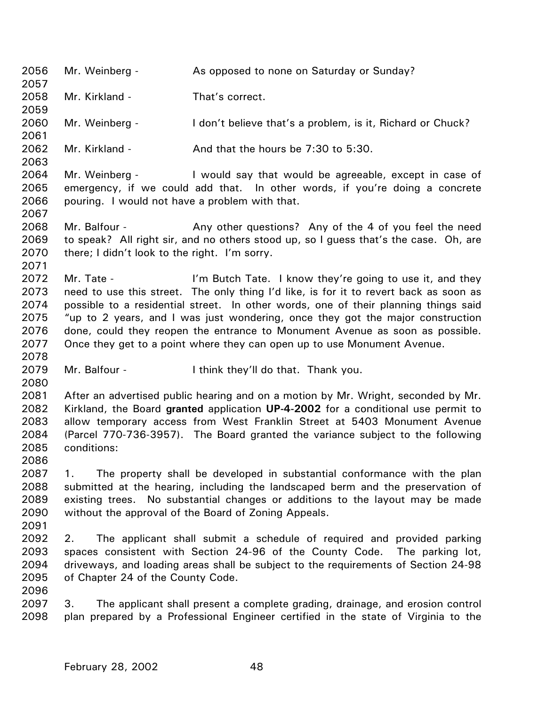2056 2057 2058 2059 2060 2061 2062 2063 2064 2065 2066 2067 2068 2069 2070 2071 2072 2073 2074 2075 2076 2077 2078 2079 2080 2081 2082 2083 2084 2085 2086 2087 2088 2089 2090 2091 2092 2093 2094 2095 2096 2097 2098 Mr. Weinberg - **As opposed to none on Saturday or Sunday?** Mr. Kirkland - That's correct. Mr. Weinberg - I don't believe that's a problem, is it, Richard or Chuck? Mr. Kirkland -  $\mu$  And that the hours be 7:30 to 5:30. Mr. Weinberg - I would say that would be agreeable, except in case of emergency, if we could add that. In other words, if you're doing a concrete pouring. I would not have a problem with that. Mr. Balfour - Any other questions? Any of the 4 of you feel the need to speak? All right sir, and no others stood up, so I guess that's the case. Oh, are there; I didn't look to the right. I'm sorry. Mr. Tate - I'm Butch Tate. I know they're going to use it, and they need to use this street. The only thing I'd like, is for it to revert back as soon as possible to a residential street. In other words, one of their planning things said "up to 2 years, and I was just wondering, once they got the major construction done, could they reopen the entrance to Monument Avenue as soon as possible. Once they get to a point where they can open up to use Monument Avenue. Mr. Balfour - I think they'll do that. Thank you. After an advertised public hearing and on a motion by Mr. Wright, seconded by Mr. Kirkland, the Board **granted** application **UP-4-2002** for a conditional use permit to allow temporary access from West Franklin Street at 5403 Monument Avenue (Parcel 770-736-3957). The Board granted the variance subject to the following conditions: 1. The property shall be developed in substantial conformance with the plan submitted at the hearing, including the landscaped berm and the preservation of existing trees. No substantial changes or additions to the layout may be made without the approval of the Board of Zoning Appeals. 2. The applicant shall submit a schedule of required and provided parking spaces consistent with Section 24-96 of the County Code. The parking lot, driveways, and loading areas shall be subject to the requirements of Section 24-98 of Chapter 24 of the County Code. 3. The applicant shall present a complete grading, drainage, and erosion control plan prepared by a Professional Engineer certified in the state of Virginia to the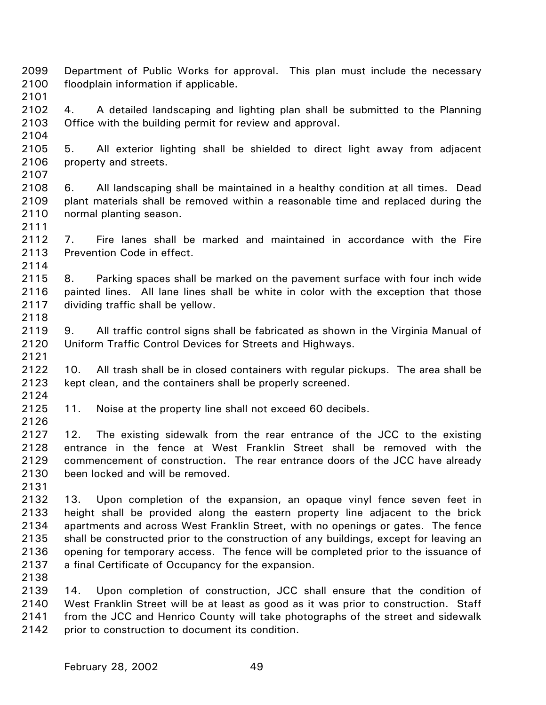- 2099 2100 Department of Public Works for approval. This plan must include the necessary floodplain information if applicable.
- 2102 2103 4. A detailed landscaping and lighting plan shall be submitted to the Planning Office with the building permit for review and approval.
- 2104 2105

2107

2111

2114

2118

2121

2124

2126

2101

- 2106 5. All exterior lighting shall be shielded to direct light away from adjacent property and streets.
- 2108 2109 2110 6. All landscaping shall be maintained in a healthy condition at all times. Dead plant materials shall be removed within a reasonable time and replaced during the normal planting season.
- 2112 2113 7. Fire lanes shall be marked and maintained in accordance with the Fire Prevention Code in effect.
- 2115 2116 2117 8. Parking spaces shall be marked on the pavement surface with four inch wide painted lines. All lane lines shall be white in color with the exception that those dividing traffic shall be yellow.
- 2119 2120 9. All traffic control signs shall be fabricated as shown in the Virginia Manual of Uniform Traffic Control Devices for Streets and Highways.
- 2122 2123 10. All trash shall be in closed containers with regular pickups. The area shall be kept clean, and the containers shall be properly screened.
- 2125 11. Noise at the property line shall not exceed 60 decibels.
- 2127 2128 2129 2130 12. The existing sidewalk from the rear entrance of the JCC to the existing entrance in the fence at West Franklin Street shall be removed with the commencement of construction. The rear entrance doors of the JCC have already been locked and will be removed.
- 2131
- 2132 2133 2134 2135 2136 2137 13. Upon completion of the expansion, an opaque vinyl fence seven feet in height shall be provided along the eastern property line adjacent to the brick apartments and across West Franklin Street, with no openings or gates. The fence shall be constructed prior to the construction of any buildings, except for leaving an opening for temporary access. The fence will be completed prior to the issuance of a final Certificate of Occupancy for the expansion.
- 2138

2139 2140 2141 2142 14. Upon completion of construction, JCC shall ensure that the condition of West Franklin Street will be at least as good as it was prior to construction. Staff from the JCC and Henrico County will take photographs of the street and sidewalk prior to construction to document its condition.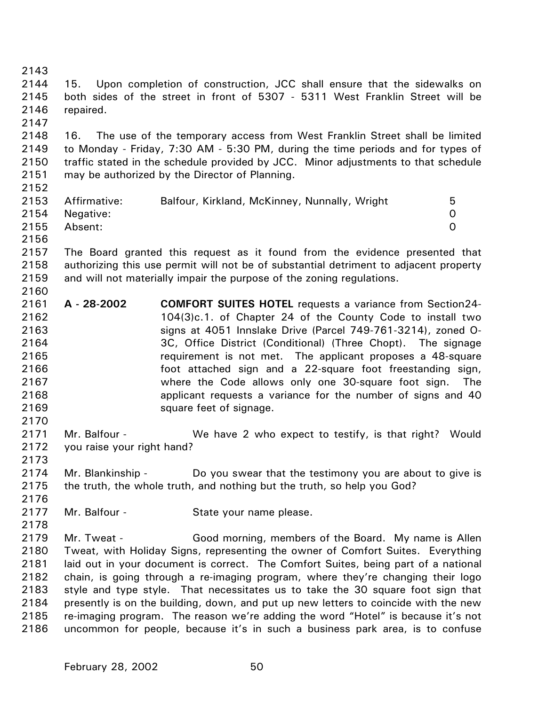2143 2144 2145 2146 2147 2148 2149 2150 2151 2152 2153 2154 2155 2156 2157 2158 2159 2160 2161 2162 2163 2164 2165 2166 2167 2168 2169 2170 2171 2172 2173 2174 2175 2176 2177 2178 2179 2180 2181 2182 2183 2184 2185 2186 15. Upon completion of construction, JCC shall ensure that the sidewalks on both sides of the street in front of 5307 - 5311 West Franklin Street will be repaired. 16. The use of the temporary access from West Franklin Street shall be limited to Monday - Friday, 7:30 AM - 5:30 PM, during the time periods and for types of traffic stated in the schedule provided by JCC. Minor adjustments to that schedule may be authorized by the Director of Planning. Affirmative: Balfour, Kirkland, McKinney, Nunnally, Wright 5 Negative: 0 Absent: 0 The Board granted this request as it found from the evidence presented that authorizing this use permit will not be of substantial detriment to adjacent property and will not materially impair the purpose of the zoning regulations. **A - 28-2002 COMFORT SUITES HOTEL** requests a variance from Section24- 104(3)c.1. of Chapter 24 of the County Code to install two signs at 4051 Innslake Drive (Parcel 749-761-3214), zoned O-3C, Office District (Conditional) (Three Chopt). The signage requirement is not met. The applicant proposes a 48-square foot attached sign and a 22-square foot freestanding sign, where the Code allows only one 30-square foot sign. The applicant requests a variance for the number of signs and 40 square feet of signage. Mr. Balfour - We have 2 who expect to testify, is that right? Would you raise your right hand? Mr. Blankinship - Do you swear that the testimony you are about to give is the truth, the whole truth, and nothing but the truth, so help you God? Mr. Balfour - State your name please. Mr. Tweat - Good morning, members of the Board. My name is Allen Tweat, with Holiday Signs, representing the owner of Comfort Suites. Everything laid out in your document is correct. The Comfort Suites, being part of a national chain, is going through a re-imaging program, where they're changing their logo style and type style. That necessitates us to take the 30 square foot sign that presently is on the building, down, and put up new letters to coincide with the new re-imaging program. The reason we're adding the word "Hotel" is because it's not uncommon for people, because it's in such a business park area, is to confuse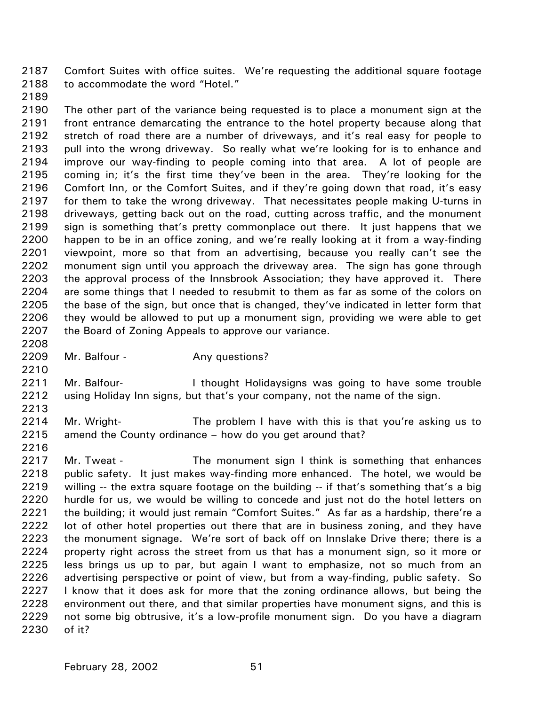2187 2188 Comfort Suites with office suites. We're requesting the additional square footage to accommodate the word "Hotel."

2189

2190 2191 2192 2193 2194 2195 2196 2197 2198 2199 2200 2201 2202 2203 2204 2205 2206 2207 The other part of the variance being requested is to place a monument sign at the front entrance demarcating the entrance to the hotel property because along that stretch of road there are a number of driveways, and it's real easy for people to pull into the wrong driveway. So really what we're looking for is to enhance and improve our way-finding to people coming into that area. A lot of people are coming in; it's the first time they've been in the area. They're looking for the Comfort Inn, or the Comfort Suites, and if they're going down that road, it's easy for them to take the wrong driveway. That necessitates people making U-turns in driveways, getting back out on the road, cutting across traffic, and the monument sign is something that's pretty commonplace out there. It just happens that we happen to be in an office zoning, and we're really looking at it from a way-finding viewpoint, more so that from an advertising, because you really can't see the monument sign until you approach the driveway area. The sign has gone through the approval process of the Innsbrook Association; they have approved it. There are some things that I needed to resubmit to them as far as some of the colors on the base of the sign, but once that is changed, they've indicated in letter form that they would be allowed to put up a monument sign, providing we were able to get the Board of Zoning Appeals to approve our variance.

2208 2209 2210

Mr. Balfour - The Any questions?

2211 2212 Mr. Balfour- **I** thought Holidaysigns was going to have some trouble using Holiday Inn signs, but that's your company, not the name of the sign.

2214 2215 Mr. Wright- The problem I have with this is that you're asking us to amend the County ordinance – how do you get around that?

2216

2213

2217 2218 2219 2220 2221 2222 2223 2224 2225 2226 2227 2228 2229 2230 Mr. Tweat - The monument sign I think is something that enhances public safety. It just makes way-finding more enhanced. The hotel, we would be willing -- the extra square footage on the building -- if that's something that's a big hurdle for us, we would be willing to concede and just not do the hotel letters on the building; it would just remain "Comfort Suites." As far as a hardship, there're a lot of other hotel properties out there that are in business zoning, and they have the monument signage. We're sort of back off on Innslake Drive there; there is a property right across the street from us that has a monument sign, so it more or less brings us up to par, but again I want to emphasize, not so much from an advertising perspective or point of view, but from a way-finding, public safety. So I know that it does ask for more that the zoning ordinance allows, but being the environment out there, and that similar properties have monument signs, and this is not some big obtrusive, it's a low-profile monument sign. Do you have a diagram of it?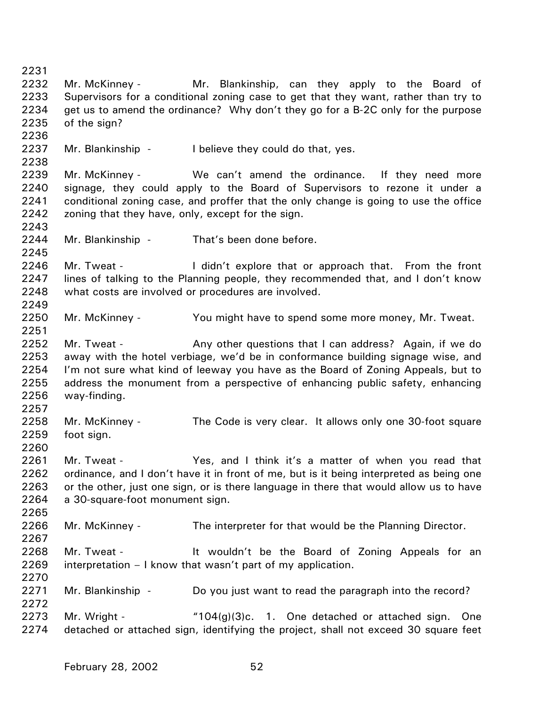2231 2232 2233 2234 2235 2236 2237 2238 2239 2240 2241 2242 2243 2244 2245 2246 2247 2248 2249 2250 2251 2252 2253 2254 2255 2256 2257 2258 2259 2260 2261 2262 2263 2264 2265 2266 2267 2268 2269 2270 2271 2272 2273 2274 Mr. McKinney - Mr. Blankinship, can they apply to the Board of Supervisors for a conditional zoning case to get that they want, rather than try to get us to amend the ordinance? Why don't they go for a B-2C only for the purpose of the sign? Mr. Blankinship - I believe they could do that, yes. Mr. McKinney - We can't amend the ordinance. If they need more signage, they could apply to the Board of Supervisors to rezone it under a conditional zoning case, and proffer that the only change is going to use the office zoning that they have, only, except for the sign. Mr. Blankinship - That's been done before. Mr. Tweat - The I didn't explore that or approach that. From the front lines of talking to the Planning people, they recommended that, and I don't know what costs are involved or procedures are involved. Mr. McKinney - You might have to spend some more money, Mr. Tweat. Mr. Tweat - **Any other questions that I can address?** Again, if we do away with the hotel verbiage, we'd be in conformance building signage wise, and I'm not sure what kind of leeway you have as the Board of Zoning Appeals, but to address the monument from a perspective of enhancing public safety, enhancing way-finding. Mr. McKinney - The Code is very clear. It allows only one 30-foot square foot sign. Mr. Tweat - Yes, and I think it's a matter of when you read that ordinance, and I don't have it in front of me, but is it being interpreted as being one or the other, just one sign, or is there language in there that would allow us to have a 30-square-foot monument sign. Mr. McKinney - The interpreter for that would be the Planning Director. Mr. Tweat - The Muldn't be the Board of Zoning Appeals for an interpretation – I know that wasn't part of my application. Mr. Blankinship - Do you just want to read the paragraph into the record? Mr. Wright - "104(g)(3)c. 1. One detached or attached sign. One detached or attached sign, identifying the project, shall not exceed 30 square feet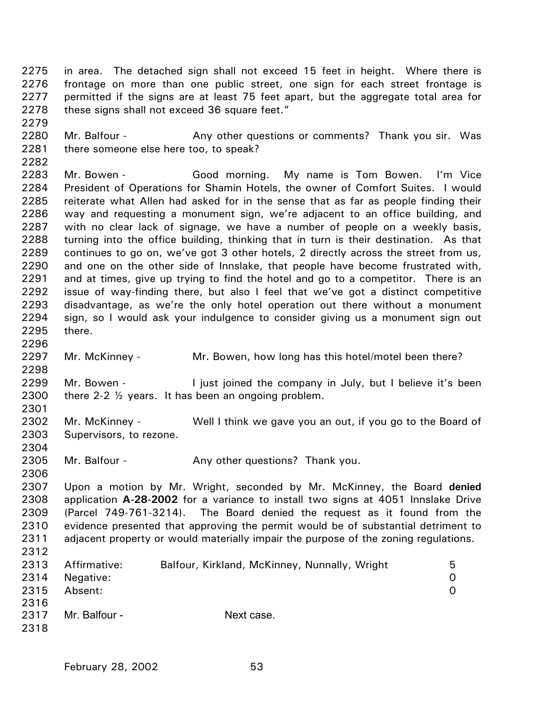2275 2276 2277 2278 in area. The detached sign shall not exceed 15 feet in height. Where there is frontage on more than one public street, one sign for each street frontage is permitted if the signs are at least 75 feet apart, but the aggregate total area for these signs shall not exceed 36 square feet."

2280 2281 Mr. Balfour - **Any other questions or comments?** Thank you sir. Was there someone else here too, to speak?

2283 2284 2285 2286 2287 2288 2289 2290 2291 2292 2293 2294 2295 Mr. Bowen - Good morning. My name is Tom Bowen. I'm Vice President of Operations for Shamin Hotels, the owner of Comfort Suites. I would reiterate what Allen had asked for in the sense that as far as people finding their way and requesting a monument sign, we're adjacent to an office building, and with no clear lack of signage, we have a number of people on a weekly basis, turning into the office building, thinking that in turn is their destination. As that continues to go on, we've got 3 other hotels, 2 directly across the street from us, and one on the other side of Innslake, that people have become frustrated with, and at times, give up trying to find the hotel and go to a competitor. There is an issue of way-finding there, but also I feel that we've got a distinct competitive disadvantage, as we're the only hotel operation out there without a monument sign, so I would ask your indulgence to consider giving us a monument sign out there.

2297 Mr. McKinney - Mr. Bowen, how long has this hotel/motel been there?

2299 2300 Mr. Bowen - The I just joined the company in July, but I believe it's been there 2-2 ½ years. It has been an ongoing problem.

2302 2303 Mr. McKinney - Well I think we gave you an out, if you go to the Board of Supervisors, to rezone.

2305 Mr. Balfour - Any other questions? Thank you.

2307 2308 2309 2310 2311 2312 Upon a motion by Mr. Wright, seconded by Mr. McKinney, the Board **denied** application **A-28-2002** for a variance to install two signs at 4051 Innslake Drive (Parcel 749-761-3214). The Board denied the request as it found from the evidence presented that approving the permit would be of substantial detriment to adjacent property or would materially impair the purpose of the zoning regulations.

| 2313         | Affirmative:  | Balfour, Kirkland, McKinney, Nunnally, Wright | b |
|--------------|---------------|-----------------------------------------------|---|
| 2314         | Negative:     |                                               |   |
| 2315<br>2316 | Absent:       |                                               |   |
|              |               |                                               |   |
| 2317         | Mr. Balfour - | Next case.                                    |   |

2279

2282

2296

2298

2301

2304

2306

2318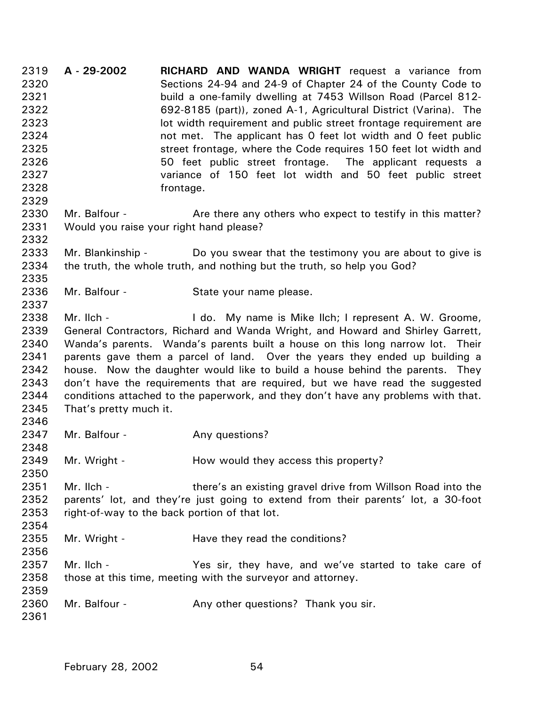2319 2320 2321 2322 2323 2324 2325 2326 2327 2328 2329 2330 2331 2332 2333 2334 2335 2336 2337 2338 2339 2340 2341 2342 2343 2344 2345 2346 2347 2348 2349 2350 2351 2352 2353 2354 2355 2356 2357 2358 2359 2360 2361 **A - 29-2002 RICHARD AND WANDA WRIGHT** request a variance from Sections 24-94 and 24-9 of Chapter 24 of the County Code to build a one-family dwelling at 7453 Willson Road (Parcel 812- 692-8185 (part)), zoned A-1, Agricultural District (Varina). The lot width requirement and public street frontage requirement are not met. The applicant has 0 feet lot width and 0 feet public street frontage, where the Code requires 150 feet lot width and 50 feet public street frontage. The applicant requests a variance of 150 feet lot width and 50 feet public street frontage. Mr. Balfour - **Are there any others who expect to testify in this matter?** Would you raise your right hand please? Mr. Blankinship - Do you swear that the testimony you are about to give is the truth, the whole truth, and nothing but the truth, so help you God? Mr. Balfour - State your name please. Mr. Ilch - I do. My name is Mike Ilch; I represent A. W. Groome, General Contractors, Richard and Wanda Wright, and Howard and Shirley Garrett, Wanda's parents. Wanda's parents built a house on this long narrow lot. Their parents gave them a parcel of land. Over the years they ended up building a house. Now the daughter would like to build a house behind the parents. They don't have the requirements that are required, but we have read the suggested conditions attached to the paperwork, and they don't have any problems with that. That's pretty much it. Mr. Balfour - The Any questions? Mr. Wright - How would they access this property? Mr. Ilch - there's an existing gravel drive from Willson Road into the parents' lot, and they're just going to extend from their parents' lot, a 30-foot right-of-way to the back portion of that lot. Mr. Wright - The Have they read the conditions? Mr. Ilch - The Yes sir, they have, and we've started to take care of those at this time, meeting with the surveyor and attorney. Mr. Balfour - Any other questions? Thank you sir.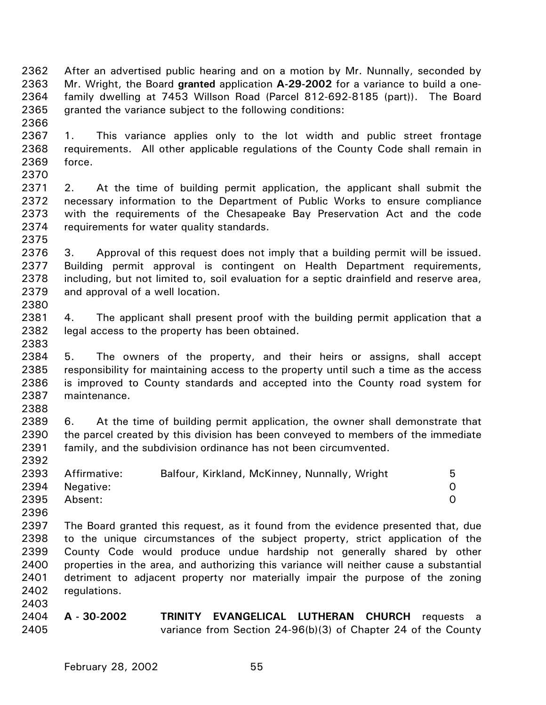2362 2363 2364 2365 After an advertised public hearing and on a motion by Mr. Nunnally, seconded by Mr. Wright, the Board **granted** application **A-29-2002** for a variance to build a onefamily dwelling at 7453 Willson Road (Parcel 812-692-8185 (part)). The Board granted the variance subject to the following conditions:

2367 2368 2369 1. This variance applies only to the lot width and public street frontage requirements. All other applicable regulations of the County Code shall remain in force.

2371 2372 2373 2374 2. At the time of building permit application, the applicant shall submit the necessary information to the Department of Public Works to ensure compliance with the requirements of the Chesapeake Bay Preservation Act and the code requirements for water quality standards.

2376 2377 2378 2379 3. Approval of this request does not imply that a building permit will be issued. Building permit approval is contingent on Health Department requirements, including, but not limited to, soil evaluation for a septic drainfield and reserve area, and approval of a well location.

2381 2382 2383 4. The applicant shall present proof with the building permit application that a legal access to the property has been obtained.

2384 2385 2386 2387 5. The owners of the property, and their heirs or assigns, shall accept responsibility for maintaining access to the property until such a time as the access is improved to County standards and accepted into the County road system for maintenance.

2389 2390 2391 6. At the time of building permit application, the owner shall demonstrate that the parcel created by this division has been conveyed to members of the immediate family, and the subdivision ordinance has not been circumvented.

| 2393 | Affirmative: | Balfour, Kirkland, McKinney, Nunnally, Wright | 5  |
|------|--------------|-----------------------------------------------|----|
| 2394 | Negative:    |                                               | O. |
| 2395 | Absent:      |                                               |    |
| 2396 |              |                                               |    |

2397 2398 2399 2400 2401 2402 The Board granted this request, as it found from the evidence presented that, due to the unique circumstances of the subject property, strict application of the County Code would produce undue hardship not generally shared by other properties in the area, and authorizing this variance will neither cause a substantial detriment to adjacent property nor materially impair the purpose of the zoning regulations.

2404 2405 **A - 30-2002 TRINITY EVANGELICAL LUTHERAN CHURCH** requests a variance from Section 24-96(b)(3) of Chapter 24 of the County

2366

2370

2375

2380

2388

2392

2403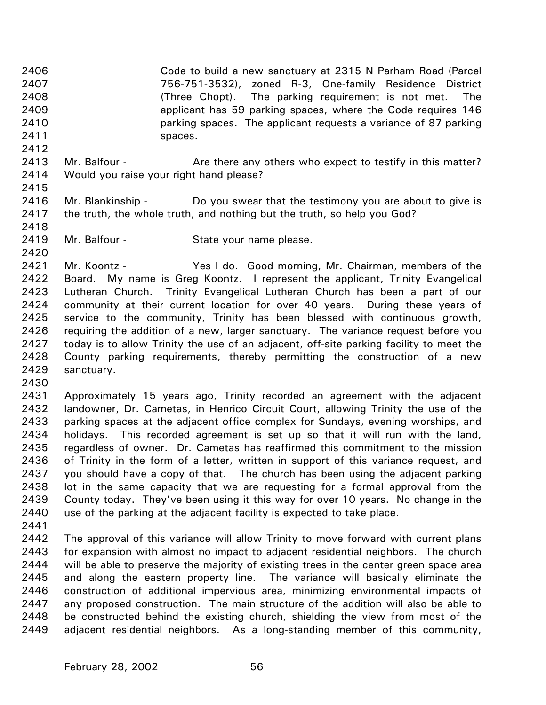2406 2407 2408 2409 2410 2411 Code to build a new sanctuary at 2315 N Parham Road (Parcel 756-751-3532), zoned R-3, One-family Residence District (Three Chopt). The parking requirement is not met. The applicant has 59 parking spaces, where the Code requires 146 parking spaces. The applicant requests a variance of 87 parking spaces.

- 2413 2414 Mr. Balfour - **Are there any others who expect to testify in this matter?** Would you raise your right hand please?
- 2416 2417 Mr. Blankinship - Do you swear that the testimony you are about to give is the truth, the whole truth, and nothing but the truth, so help you God?
- 2419 Mr. Balfour - State your name please.

2421 2422 2423 2424 2425 2426 2427 2428 2429 Mr. Koontz - Yes I do. Good morning, Mr. Chairman, members of the Board. My name is Greg Koontz. I represent the applicant, Trinity Evangelical Lutheran Church. Trinity Evangelical Lutheran Church has been a part of our community at their current location for over 40 years. During these years of service to the community, Trinity has been blessed with continuous growth, requiring the addition of a new, larger sanctuary. The variance request before you today is to allow Trinity the use of an adjacent, off-site parking facility to meet the County parking requirements, thereby permitting the construction of a new sanctuary.

2430

2412

2415

2418

2420

2431 2432 2433 2434 2435 2436 2437 2438 2439 2440 Approximately 15 years ago, Trinity recorded an agreement with the adjacent landowner, Dr. Cametas, in Henrico Circuit Court, allowing Trinity the use of the parking spaces at the adjacent office complex for Sundays, evening worships, and holidays. This recorded agreement is set up so that it will run with the land, regardless of owner. Dr. Cametas has reaffirmed this commitment to the mission of Trinity in the form of a letter, written in support of this variance request, and you should have a copy of that. The church has been using the adjacent parking lot in the same capacity that we are requesting for a formal approval from the County today. They've been using it this way for over 10 years. No change in the use of the parking at the adjacent facility is expected to take place.

2441

2442 2443 2444 2445 2446 2447 2448 2449 The approval of this variance will allow Trinity to move forward with current plans for expansion with almost no impact to adjacent residential neighbors. The church will be able to preserve the majority of existing trees in the center green space area and along the eastern property line. The variance will basically eliminate the construction of additional impervious area, minimizing environmental impacts of any proposed construction. The main structure of the addition will also be able to be constructed behind the existing church, shielding the view from most of the adjacent residential neighbors. As a long-standing member of this community,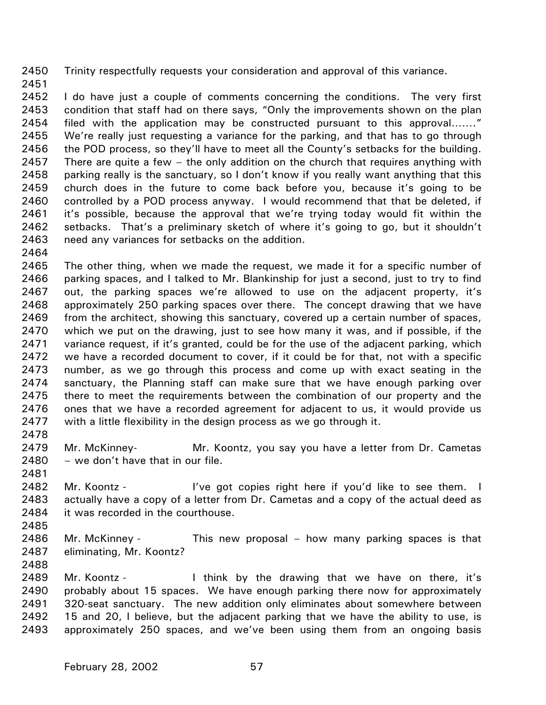2450 Trinity respectfully requests your consideration and approval of this variance.

2451

2452 2453 2454 2455 2456 2457 2458 2459 2460 2461 2462 2463 I do have just a couple of comments concerning the conditions. The very first condition that staff had on there says, "Only the improvements shown on the plan filed with the application may be constructed pursuant to this approval……." We're really just requesting a variance for the parking, and that has to go through the POD process, so they'll have to meet all the County's setbacks for the building. There are quite a few – the only addition on the church that requires anything with parking really is the sanctuary, so I don't know if you really want anything that this church does in the future to come back before you, because it's going to be controlled by a POD process anyway. I would recommend that that be deleted, if it's possible, because the approval that we're trying today would fit within the setbacks. That's a preliminary sketch of where it's going to go, but it shouldn't need any variances for setbacks on the addition.

2464

2465 2466 2467 2468 2469 2470 2471 2472 2473 2474 2475 2476 2477 The other thing, when we made the request, we made it for a specific number of parking spaces, and I talked to Mr. Blankinship for just a second, just to try to find out, the parking spaces we're allowed to use on the adjacent property, it's approximately 250 parking spaces over there. The concept drawing that we have from the architect, showing this sanctuary, covered up a certain number of spaces, which we put on the drawing, just to see how many it was, and if possible, if the variance request, if it's granted, could be for the use of the adjacent parking, which we have a recorded document to cover, if it could be for that, not with a specific number, as we go through this process and come up with exact seating in the sanctuary, the Planning staff can make sure that we have enough parking over there to meet the requirements between the combination of our property and the ones that we have a recorded agreement for adjacent to us, it would provide us with a little flexibility in the design process as we go through it.

2478

2481

2479 2480 Mr. McKinney- Mr. Koontz, you say you have a letter from Dr. Cametas – we don't have that in our file.

2482 2483 2484 Mr. Koontz - **I've got copies right here if you'd like to see them.** I actually have a copy of a letter from Dr. Cametas and a copy of the actual deed as it was recorded in the courthouse.

2486 2487 Mr. McKinney - This new proposal – how many parking spaces is that eliminating, Mr. Koontz?

2488

2485

2489 2490 2491 2492 2493 Mr. Koontz - Think by the drawing that we have on there, it's probably about 15 spaces. We have enough parking there now for approximately 320-seat sanctuary. The new addition only eliminates about somewhere between 15 and 20, I believe, but the adjacent parking that we have the ability to use, is approximately 250 spaces, and we've been using them from an ongoing basis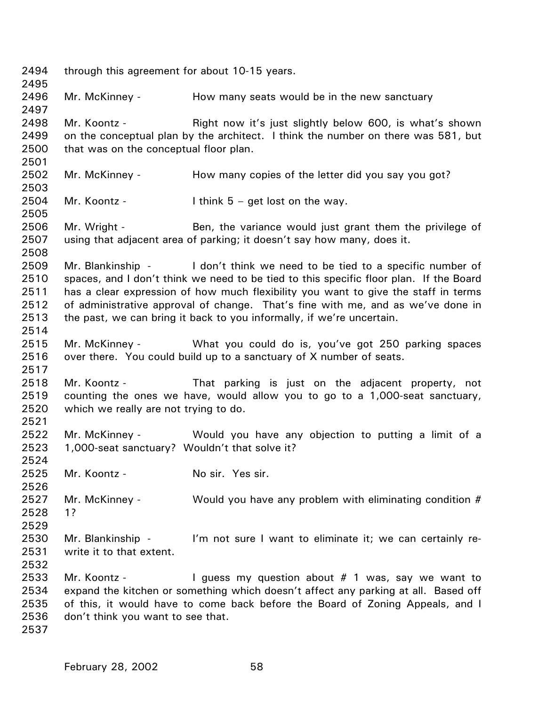2494 2495 2496 2497 2498 2499 2500 2501 2502 2503 2504 2505 2506 2507 2508 2509 2510 2511 2512 2513 2514 2515 2516 2517 2518 2519 2520 2521 2522 2523 2524 2525 2526 2527 2528 2529 2530 2531 2532 2533 2534 2535 2536 2537 through this agreement for about 10-15 years. Mr. McKinney - The How many seats would be in the new sanctuary Mr. Koontz - Right now it's just slightly below 600, is what's shown on the conceptual plan by the architect. I think the number on there was 581, but that was on the conceptual floor plan. Mr. McKinney - The How many copies of the letter did you say you got? Mr. Koontz - I think  $5 - get$  lost on the way. Mr. Wright - Ben, the variance would just grant them the privilege of using that adjacent area of parking; it doesn't say how many, does it. Mr. Blankinship - I don't think we need to be tied to a specific number of spaces, and I don't think we need to be tied to this specific floor plan. If the Board has a clear expression of how much flexibility you want to give the staff in terms of administrative approval of change. That's fine with me, and as we've done in the past, we can bring it back to you informally, if we're uncertain. Mr. McKinney - What you could do is, you've got 250 parking spaces over there. You could build up to a sanctuary of X number of seats. Mr. Koontz - That parking is just on the adjacent property, not counting the ones we have, would allow you to go to a 1,000-seat sanctuary, which we really are not trying to do. Mr. McKinney - The Would you have any objection to putting a limit of a 1,000-seat sanctuary? Wouldn't that solve it? Mr. Koontz - No sir. Yes sir. Mr. McKinney - Would you have any problem with eliminating condition  $#$ 1? Mr. Blankinship - I'm not sure I want to eliminate it; we can certainly rewrite it to that extent. Mr. Koontz - I guess my question about  $#$  1 was, say we want to expand the kitchen or something which doesn't affect any parking at all. Based off of this, it would have to come back before the Board of Zoning Appeals, and I don't think you want to see that.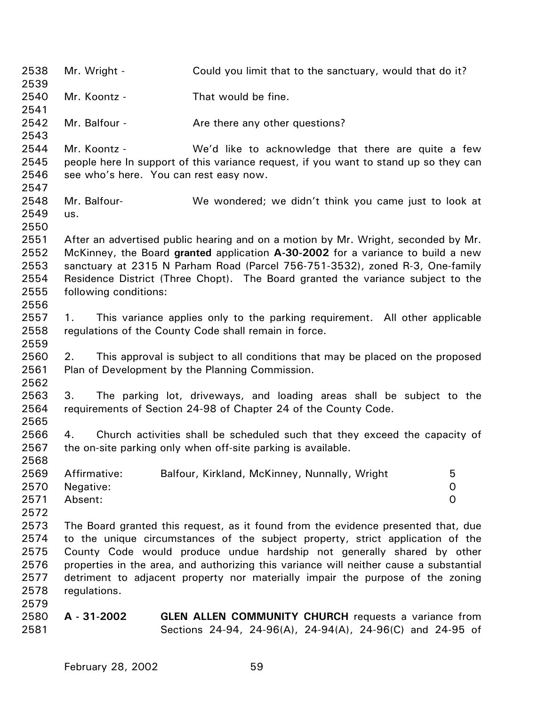2538 2539 2540 2541 2542 2543 2544 2545 2546 2547 2548 2549 2550 2551 2552 2553 2554 2555 2556 2557 2558 2559 2560 2561 2562 2563 2564 2565 2566 2567 2568 2569 2570 2571 2572 2573 2574 2575 2576 2577 2578 2579 2580 2581 Mr. Wright - Could you limit that to the sanctuary, would that do it? Mr. Koontz - That would be fine. Mr. Balfour - The Are there any other questions? Mr. Koontz - We'd like to acknowledge that there are quite a few people here In support of this variance request, if you want to stand up so they can see who's here. You can rest easy now. Mr. Balfour- We wondered; we didn't think you came just to look at us. After an advertised public hearing and on a motion by Mr. Wright, seconded by Mr. McKinney, the Board **granted** application **A-30-2002** for a variance to build a new sanctuary at 2315 N Parham Road (Parcel 756-751-3532), zoned R-3, One-family Residence District (Three Chopt). The Board granted the variance subject to the following conditions: 1. This variance applies only to the parking requirement. All other applicable regulations of the County Code shall remain in force. 2. This approval is subject to all conditions that may be placed on the proposed Plan of Development by the Planning Commission. 3. The parking lot, driveways, and loading areas shall be subject to the requirements of Section 24-98 of Chapter 24 of the County Code. 4. Church activities shall be scheduled such that they exceed the capacity of the on-site parking only when off-site parking is available. Affirmative: Balfour, Kirkland, McKinney, Nunnally, Wright 5 Negative: 0 Absent: 0 The Board granted this request, as it found from the evidence presented that, due to the unique circumstances of the subject property, strict application of the County Code would produce undue hardship not generally shared by other properties in the area, and authorizing this variance will neither cause a substantial detriment to adjacent property nor materially impair the purpose of the zoning regulations. **A - 31-2002 GLEN ALLEN COMMUNITY CHURCH** requests a variance from Sections 24-94, 24-96(A), 24-94(A), 24-96(C) and 24-95 of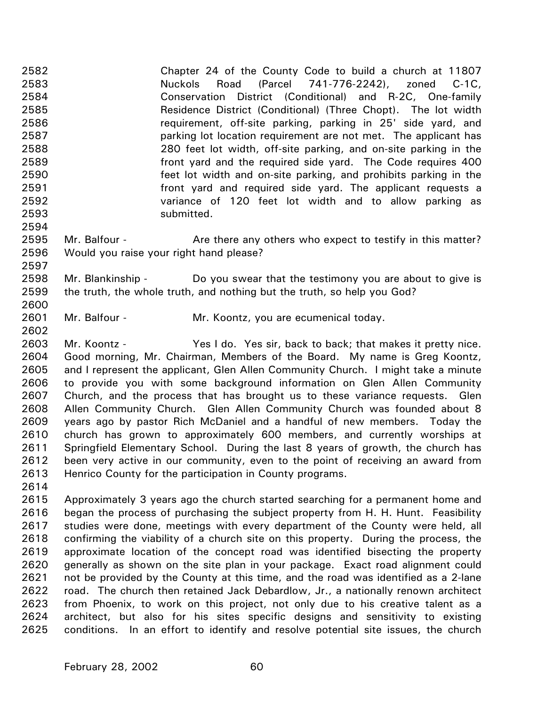2582 2583 2584 2585 2586 2587 2588 2589 2590 2591 2592 2593 Chapter 24 of the County Code to build a church at 11807 Nuckols Road (Parcel 741-776-2242), zoned C-1C, Conservation District (Conditional) and R-2C, One-family Residence District (Conditional) (Three Chopt). The lot width requirement, off-site parking, parking in 25' side yard, and parking lot location requirement are not met. The applicant has 280 feet lot width, off-site parking, and on-site parking in the front yard and the required side yard. The Code requires 400 feet lot width and on-site parking, and prohibits parking in the front yard and required side yard. The applicant requests a variance of 120 feet lot width and to allow parking as submitted.

- 2595 2596 Mr. Balfour - **Are there any others who expect to testify in this matter?** Would you raise your right hand please?
- 2598 2599 Mr. Blankinship - Do you swear that the testimony you are about to give is the truth, the whole truth, and nothing but the truth, so help you God?
- 2601 Mr. Balfour - Mr. Koontz, you are ecumenical today.
- 2603 2604 2605 2606 2607 2608 2609 2610 2611 2612 2613 Mr. Koontz - Yes I do. Yes sir, back to back; that makes it pretty nice. Good morning, Mr. Chairman, Members of the Board. My name is Greg Koontz, and I represent the applicant, Glen Allen Community Church. I might take a minute to provide you with some background information on Glen Allen Community Church, and the process that has brought us to these variance requests. Glen Allen Community Church. Glen Allen Community Church was founded about 8 years ago by pastor Rich McDaniel and a handful of new members. Today the church has grown to approximately 600 members, and currently worships at Springfield Elementary School. During the last 8 years of growth, the church has been very active in our community, even to the point of receiving an award from Henrico County for the participation in County programs.
- 2614

2594

2597

2600

2602

2615 2616 2617 2618 2619 2620 2621 2622 2623 2624 2625 Approximately 3 years ago the church started searching for a permanent home and began the process of purchasing the subject property from H. H. Hunt. Feasibility studies were done, meetings with every department of the County were held, all confirming the viability of a church site on this property. During the process, the approximate location of the concept road was identified bisecting the property generally as shown on the site plan in your package. Exact road alignment could not be provided by the County at this time, and the road was identified as a 2-lane road. The church then retained Jack Debardlow, Jr., a nationally renown architect from Phoenix, to work on this project, not only due to his creative talent as a architect, but also for his sites specific designs and sensitivity to existing conditions. In an effort to identify and resolve potential site issues, the church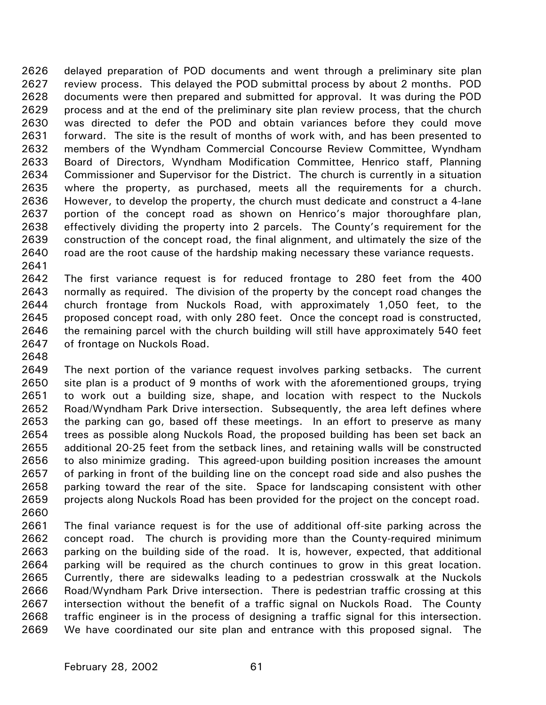2626 2627 2628 2629 2630 2631 2632 2633 2634 2635 2636 2637 2638 2639 2640 delayed preparation of POD documents and went through a preliminary site plan review process. This delayed the POD submittal process by about 2 months. POD documents were then prepared and submitted for approval. It was during the POD process and at the end of the preliminary site plan review process, that the church was directed to defer the POD and obtain variances before they could move forward. The site is the result of months of work with, and has been presented to members of the Wyndham Commercial Concourse Review Committee, Wyndham Board of Directors, Wyndham Modification Committee, Henrico staff, Planning Commissioner and Supervisor for the District. The church is currently in a situation where the property, as purchased, meets all the requirements for a church. However, to develop the property, the church must dedicate and construct a 4-lane portion of the concept road as shown on Henrico's major thoroughfare plan, effectively dividing the property into 2 parcels. The County's requirement for the construction of the concept road, the final alignment, and ultimately the size of the road are the root cause of the hardship making necessary these variance requests.

2641

2642 2643 2644 2645 2646 2647 The first variance request is for reduced frontage to 280 feet from the 400 normally as required. The division of the property by the concept road changes the church frontage from Nuckols Road, with approximately 1,050 feet, to the proposed concept road, with only 280 feet. Once the concept road is constructed, the remaining parcel with the church building will still have approximately 540 feet of frontage on Nuckols Road.

2648

2649 2650 2651 2652 2653 2654 2655 2656 2657 2658 2659 2660 The next portion of the variance request involves parking setbacks. The current site plan is a product of 9 months of work with the aforementioned groups, trying to work out a building size, shape, and location with respect to the Nuckols Road/Wyndham Park Drive intersection. Subsequently, the area left defines where the parking can go, based off these meetings. In an effort to preserve as many trees as possible along Nuckols Road, the proposed building has been set back an additional 20-25 feet from the setback lines, and retaining walls will be constructed to also minimize grading. This agreed-upon building position increases the amount of parking in front of the building line on the concept road side and also pushes the parking toward the rear of the site. Space for landscaping consistent with other projects along Nuckols Road has been provided for the project on the concept road.

2661 2662 2663 2664 2665 2666 2667 2668 2669 The final variance request is for the use of additional off-site parking across the concept road. The church is providing more than the County-required minimum parking on the building side of the road. It is, however, expected, that additional parking will be required as the church continues to grow in this great location. Currently, there are sidewalks leading to a pedestrian crosswalk at the Nuckols Road/Wyndham Park Drive intersection. There is pedestrian traffic crossing at this intersection without the benefit of a traffic signal on Nuckols Road. The County traffic engineer is in the process of designing a traffic signal for this intersection. We have coordinated our site plan and entrance with this proposed signal. The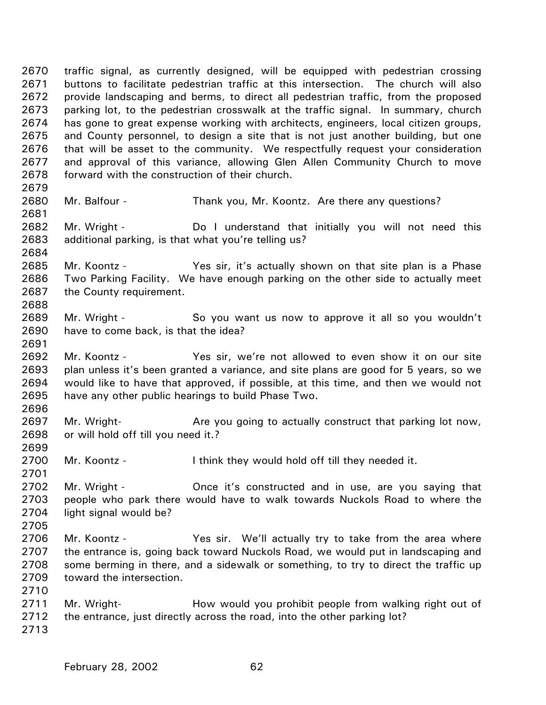2670 2671 2672 2673 2674 2675 2676 2677 2678 2679 traffic signal, as currently designed, will be equipped with pedestrian crossing buttons to facilitate pedestrian traffic at this intersection. The church will also provide landscaping and berms, to direct all pedestrian traffic, from the proposed parking lot, to the pedestrian crosswalk at the traffic signal. In summary, church has gone to great expense working with architects, engineers, local citizen groups, and County personnel, to design a site that is not just another building, but one that will be asset to the community. We respectfully request your consideration and approval of this variance, allowing Glen Allen Community Church to move forward with the construction of their church.

- 2680 Mr. Balfour - Thank you, Mr. Koontz. Are there any questions?
- 2682 2683 Mr. Wright - The Do I understand that initially you will not need this additional parking, is that what you're telling us?
- 2685 2686 2687 Mr. Koontz - Yes sir, it's actually shown on that site plan is a Phase Two Parking Facility. We have enough parking on the other side to actually meet the County requirement.
- 2689 2690 Mr. Wright - So you want us now to approve it all so you wouldn't have to come back, is that the idea?
- 2692 2693 2694 2695 Mr. Koontz - The Yes sir, we're not allowed to even show it on our site plan unless it's been granted a variance, and site plans are good for 5 years, so we would like to have that approved, if possible, at this time, and then we would not have any other public hearings to build Phase Two.
- 2697 2698 Mr. Wright- **Are you going to actually construct that parking lot now,** or will hold off till you need it.?
- 2700 Mr. Koontz - I think they would hold off till they needed it.
- 2702 2703 2704 Mr. Wright - **Once it's constructed and in use, are you saying that** people who park there would have to walk towards Nuckols Road to where the light signal would be?
- 2706 2707 2708 2709 Mr. Koontz - The Yes sir. We'll actually try to take from the area where the entrance is, going back toward Nuckols Road, we would put in landscaping and some berming in there, and a sidewalk or something, to try to direct the traffic up toward the intersection.
- 2711 2712 Mr. Wright- **How would you prohibit people from walking right out of** the entrance, just directly across the road, into the other parking lot?
- 2713

2710

2681

2684

2688

2691

2696

2699

2701

2705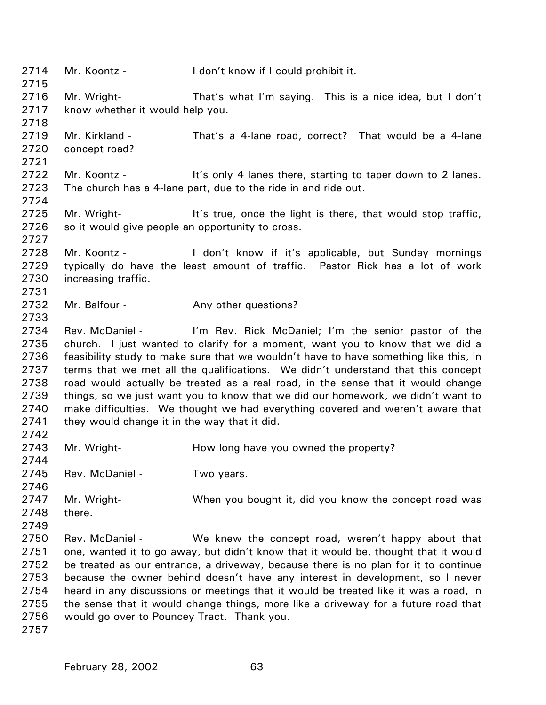2714 2715 2716 2717 2718 2719 2720 2721 2722 2723 2724 2725 2726 2727 2728 2729 2730 2731 2732 2733 2734 2735 2736 2737 2738 2739 2740 2741 2742 2743 2744 2745 2746 2747 2748 2749 2750 2751 2752 2753 2754 2755 2756 2757 Mr. Koontz - I don't know if I could prohibit it. Mr. Wright- That's what I'm saying. This is a nice idea, but I don't know whether it would help you. Mr. Kirkland - That's a 4-lane road, correct? That would be a 4-lane concept road? Mr. Koontz - It's only 4 lanes there, starting to taper down to 2 lanes. The church has a 4-lane part, due to the ride in and ride out. Mr. Wright- **It's true, once the light is there, that would stop traffic,** so it would give people an opportunity to cross. Mr. Koontz - I don't know if it's applicable, but Sunday mornings typically do have the least amount of traffic. Pastor Rick has a lot of work increasing traffic. Mr. Balfour - Any other questions? Rev. McDaniel - I'm Rev. Rick McDaniel; I'm the senior pastor of the church. I just wanted to clarify for a moment, want you to know that we did a feasibility study to make sure that we wouldn't have to have something like this, in terms that we met all the qualifications. We didn't understand that this concept road would actually be treated as a real road, in the sense that it would change things, so we just want you to know that we did our homework, we didn't want to make difficulties. We thought we had everything covered and weren't aware that they would change it in the way that it did. Mr. Wright- **How long have you owned the property?** Rev. McDaniel - Two years. Mr. Wright- When you bought it, did you know the concept road was there. Rev. McDaniel - We knew the concept road, weren't happy about that one, wanted it to go away, but didn't know that it would be, thought that it would be treated as our entrance, a driveway, because there is no plan for it to continue because the owner behind doesn't have any interest in development, so I never heard in any discussions or meetings that it would be treated like it was a road, in the sense that it would change things, more like a driveway for a future road that would go over to Pouncey Tract. Thank you.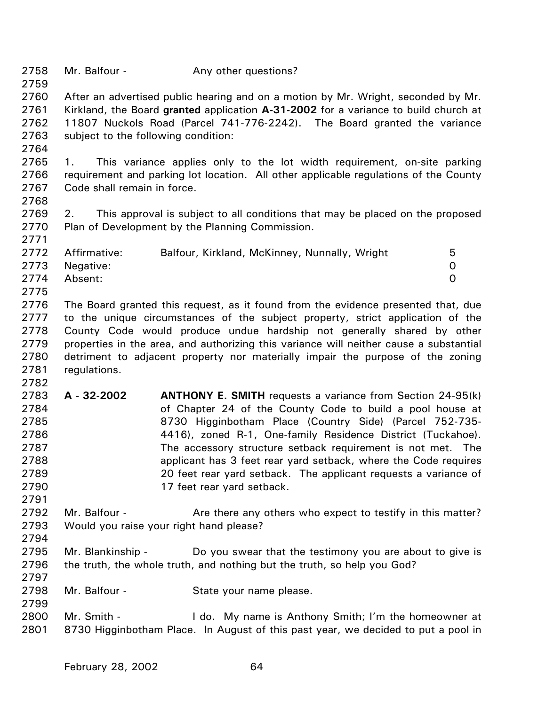| 2758 | Mr. Balfour - | Any other questions? |
|------|---------------|----------------------|
|------|---------------|----------------------|

2760 2761 2762 2763 After an advertised public hearing and on a motion by Mr. Wright, seconded by Mr. Kirkland, the Board **granted** application **A-31-2002** for a variance to build church at 11807 Nuckols Road (Parcel 741-776-2242). The Board granted the variance subject to the following condition:

2764

2759

2765 2766 2767 1. This variance applies only to the lot width requirement, on-site parking requirement and parking lot location. All other applicable regulations of the County Code shall remain in force.

2768

2771

2782

2769 2770 2. This approval is subject to all conditions that may be placed on the proposed Plan of Development by the Planning Commission.

|      | 2772 Affirmative: | Balfour, Kirkland, McKinney, Nunnally, Wright | 5. |
|------|-------------------|-----------------------------------------------|----|
|      | 2773 Negative:    |                                               |    |
|      | 2774 Absent:      |                                               |    |
| 2775 |                   |                                               |    |

2776 2777 2778 2779 2780 2781 The Board granted this request, as it found from the evidence presented that, due to the unique circumstances of the subject property, strict application of the County Code would produce undue hardship not generally shared by other properties in the area, and authorizing this variance will neither cause a substantial detriment to adjacent property nor materially impair the purpose of the zoning regulations.

- 2783 2784 2785 2786 2787 2788 2789 2790 **A - 32-2002 ANTHONY E. SMITH** requests a variance from Section 24-95(k) of Chapter 24 of the County Code to build a pool house at 8730 Higginbotham Place (Country Side) (Parcel 752-735- 4416), zoned R-1, One-family Residence District (Tuckahoe). The accessory structure setback requirement is not met. The applicant has 3 feet rear yard setback, where the Code requires 20 feet rear yard setback. The applicant requests a variance of 17 feet rear yard setback.
- 2792 2793 Mr. Balfour - Are there any others who expect to testify in this matter? Would you raise your right hand please?
- 2795 2796 Mr. Blankinship - Do you swear that the testimony you are about to give is the truth, the whole truth, and nothing but the truth, so help you God?
- 2798 Mr. Balfour - State your name please.
- 2799

2791

2794

2797

2800 2801 Mr. Smith - I do. My name is Anthony Smith; I'm the homeowner at 8730 Higginbotham Place. In August of this past year, we decided to put a pool in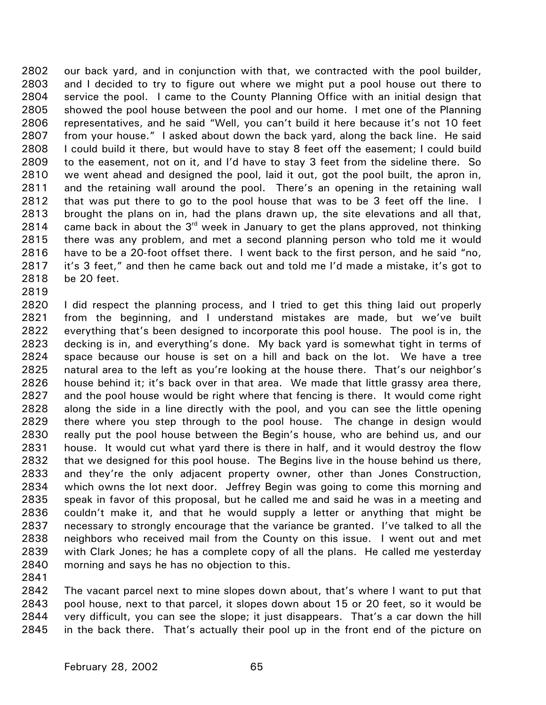our back yard, and in conjunction with that, we contracted with the pool builder, and I decided to try to figure out where we might put a pool house out there to service the pool. I came to the County Planning Office with an initial design that showed the pool house between the pool and our home. I met one of the Planning representatives, and he said "Well, you can't build it here because it's not 10 feet from your house." I asked about down the back yard, along the back line. He said I could build it there, but would have to stay 8 feet off the easement; I could build to the easement, not on it, and I'd have to stay 3 feet from the sideline there. So we went ahead and designed the pool, laid it out, got the pool built, the apron in, and the retaining wall around the pool. There's an opening in the retaining wall that was put there to go to the pool house that was to be 3 feet off the line. I brought the plans on in, had the plans drawn up, the site elevations and all that, came back in about the 3<sup>rd</sup> week in January to get the plans approved, not thinking 2802 2803 2804 2805 2806 2807 2808 2809 2810 2811 2812 2813 2814 2815 2816 2817 2818 there was any problem, and met a second planning person who told me it would have to be a 20-foot offset there. I went back to the first person, and he said "no, it's 3 feet," and then he came back out and told me I'd made a mistake, it's got to be 20 feet.

2820 2821 2822 2823 2824 2825 2826 2827 2828 2829 2830 2831 2832 2833 2834 2835 2836 2837 2838 2839 2840 I did respect the planning process, and I tried to get this thing laid out properly from the beginning, and I understand mistakes are made, but we've built everything that's been designed to incorporate this pool house. The pool is in, the decking is in, and everything's done. My back yard is somewhat tight in terms of space because our house is set on a hill and back on the lot. We have a tree natural area to the left as you're looking at the house there. That's our neighbor's house behind it; it's back over in that area. We made that little grassy area there, and the pool house would be right where that fencing is there. It would come right along the side in a line directly with the pool, and you can see the little opening there where you step through to the pool house. The change in design would really put the pool house between the Begin's house, who are behind us, and our house. It would cut what yard there is there in half, and it would destroy the flow that we designed for this pool house. The Begins live in the house behind us there, and they're the only adjacent property owner, other than Jones Construction, which owns the lot next door. Jeffrey Begin was going to come this morning and speak in favor of this proposal, but he called me and said he was in a meeting and couldn't make it, and that he would supply a letter or anything that might be necessary to strongly encourage that the variance be granted. I've talked to all the neighbors who received mail from the County on this issue. I went out and met with Clark Jones; he has a complete copy of all the plans. He called me yesterday morning and says he has no objection to this.

2841

2819

2842 2843 2844 2845 The vacant parcel next to mine slopes down about, that's where I want to put that pool house, next to that parcel, it slopes down about 15 or 20 feet, so it would be very difficult, you can see the slope; it just disappears. That's a car down the hill in the back there. That's actually their pool up in the front end of the picture on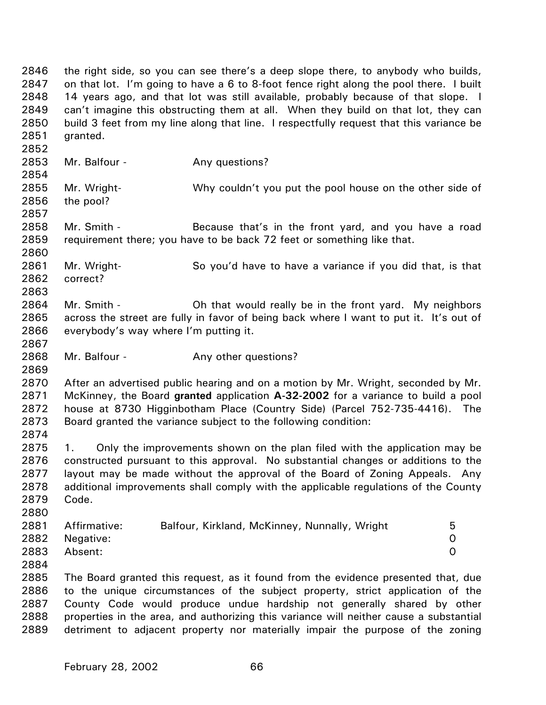2846 2847 2848 2849 2850 2851 2852 2853 2854 2855 2856 2857 2858 2859 2860 2861 2862 2863 2864 2865 2866 2867 2868 2869 2870 2871 2872 2873 2874 2875 2876 2877 2878 2879 2880 2881 2882 2883 2884 2885 2886 2887 2888 2889 the right side, so you can see there's a deep slope there, to anybody who builds, on that lot. I'm going to have a 6 to 8-foot fence right along the pool there. I built 14 years ago, and that lot was still available, probably because of that slope. I can't imagine this obstructing them at all. When they build on that lot, they can build 3 feet from my line along that line. I respectfully request that this variance be granted. Mr. Balfour - Any questions? Mr. Wright- Why couldn't you put the pool house on the other side of the pool? Mr. Smith - Because that's in the front yard, and you have a road requirement there; you have to be back 72 feet or something like that. Mr. Wright- So you'd have to have a variance if you did that, is that correct? Mr. Smith - **Oh that would really be in the front yard.** My neighbors across the street are fully in favor of being back where I want to put it. It's out of everybody's way where I'm putting it. Mr. Balfour - The Any other questions? After an advertised public hearing and on a motion by Mr. Wright, seconded by Mr. McKinney, the Board **granted** application **A-32-2002** for a variance to build a pool house at 8730 Higginbotham Place (Country Side) (Parcel 752-735-4416). The Board granted the variance subject to the following condition: 1. Only the improvements shown on the plan filed with the application may be constructed pursuant to this approval. No substantial changes or additions to the layout may be made without the approval of the Board of Zoning Appeals. Any additional improvements shall comply with the applicable regulations of the County Code. Affirmative: Balfour, Kirkland, McKinney, Nunnally, Wright 5 Negative: 0 Absent: 0 The Board granted this request, as it found from the evidence presented that, due to the unique circumstances of the subject property, strict application of the County Code would produce undue hardship not generally shared by other properties in the area, and authorizing this variance will neither cause a substantial detriment to adjacent property nor materially impair the purpose of the zoning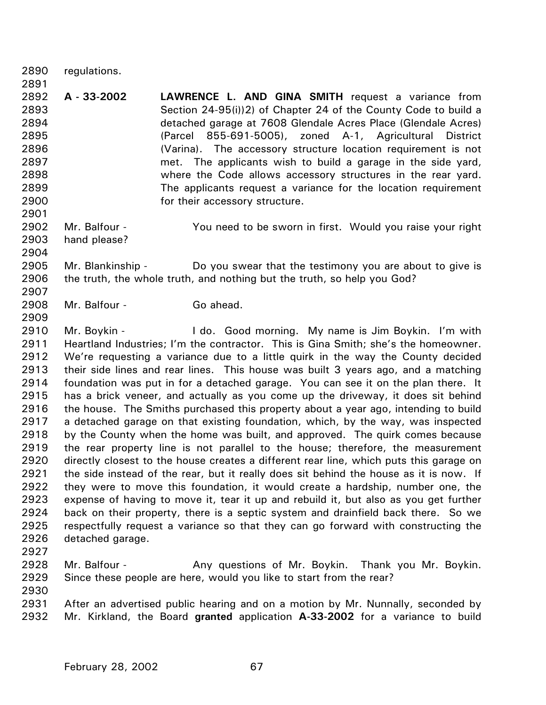2890 2891 regulations.

2892 2893 2894 2895 2896 2897 2898 2899 2900 **A - 33-2002 LAWRENCE L. AND GINA SMITH** request a variance from Section 24-95(i))2) of Chapter 24 of the County Code to build a detached garage at 7608 Glendale Acres Place (Glendale Acres) (Parcel 855-691-5005), zoned A-1, Agricultural District (Varina). The accessory structure location requirement is not met. The applicants wish to build a garage in the side yard, where the Code allows accessory structures in the rear yard. The applicants request a variance for the location requirement for their accessory structure.

2902 2903 Mr. Balfour - You need to be sworn in first. Would you raise your right hand please?

2904

2901

2907

2909

2905 2906 Mr. Blankinship - Do you swear that the testimony you are about to give is the truth, the whole truth, and nothing but the truth, so help you God?

2908 Mr. Balfour - Go ahead.

2910 2911 2912 2913 2914 2915 2916 2917 2918 2919 2920 2921 2922 2923 2924 2925 2926 Mr. Boykin - The Lide. Good morning. My name is Jim Boykin. I'm with Heartland Industries; I'm the contractor. This is Gina Smith; she's the homeowner. We're requesting a variance due to a little quirk in the way the County decided their side lines and rear lines. This house was built 3 years ago, and a matching foundation was put in for a detached garage. You can see it on the plan there. It has a brick veneer, and actually as you come up the driveway, it does sit behind the house. The Smiths purchased this property about a year ago, intending to build a detached garage on that existing foundation, which, by the way, was inspected by the County when the home was built, and approved. The quirk comes because the rear property line is not parallel to the house; therefore, the measurement directly closest to the house creates a different rear line, which puts this garage on the side instead of the rear, but it really does sit behind the house as it is now. If they were to move this foundation, it would create a hardship, number one, the expense of having to move it, tear it up and rebuild it, but also as you get further back on their property, there is a septic system and drainfield back there. So we respectfully request a variance so that they can go forward with constructing the detached garage.

2927

2928 2929 Mr. Balfour - Any questions of Mr. Boykin. Thank you Mr. Boykin. Since these people are here, would you like to start from the rear?

2930

2931 2932 After an advertised public hearing and on a motion by Mr. Nunnally, seconded by Mr. Kirkland, the Board **granted** application **A-33-2002** for a variance to build